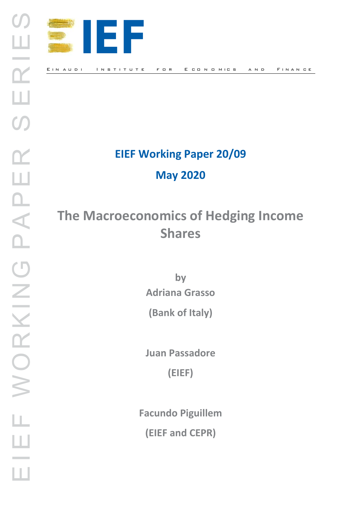

# **EIEF Working Paper 20/09**

**May 2020** 

# **The Macroeconomics of Hedging Income Shares**

**by Adriana Grasso**

**(Bank of Italy)**

**Juan Passadore**

**(EIEF)**

**Facundo Piguillem (EIEF and CEPR)**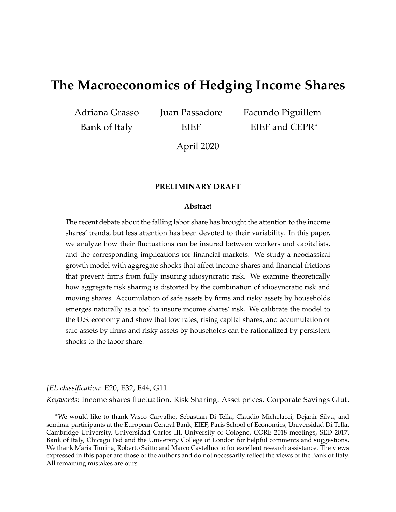# **The Macroeconomics of Hedging Income Shares**

Adriana Grasso Bank of Italy

Juan Passadore EIEF

Facundo Piguillem EIEF and CEPR<sup>∗</sup>

April 2020

#### **PRELIMINARY DRAFT**

#### **Abstract**

The recent debate about the falling labor share has brought the attention to the income shares' trends, but less attention has been devoted to their variability. In this paper, we analyze how their fluctuations can be insured between workers and capitalists, and the corresponding implications for financial markets. We study a neoclassical growth model with aggregate shocks that affect income shares and financial frictions that prevent firms from fully insuring idiosyncratic risk. We examine theoretically how aggregate risk sharing is distorted by the combination of idiosyncratic risk and moving shares. Accumulation of safe assets by firms and risky assets by households emerges naturally as a tool to insure income shares' risk. We calibrate the model to the U.S. economy and show that low rates, rising capital shares, and accumulation of safe assets by firms and risky assets by households can be rationalized by persistent shocks to the labor share.

#### *JEL classification*: E20, E32, E44, G11.

*Keywords*: Income shares fluctuation. Risk Sharing. Asset prices. Corporate Savings Glut.

<sup>∗</sup>We would like to thank Vasco Carvalho, Sebastian Di Tella, Claudio Michelacci, Dejanir Silva, and seminar participants at the European Central Bank, EIEF, Paris School of Economics, Universidad Di Tella, Cambridge University, Universidad Carlos III, University of Cologne, CORE 2018 meetings, SED 2017, Bank of Italy, Chicago Fed and the University College of London for helpful comments and suggestions. We thank Maria Tiurina, Roberto Saitto and Marco Castelluccio for excellent research assistance. The views expressed in this paper are those of the authors and do not necessarily reflect the views of the Bank of Italy. All remaining mistakes are ours.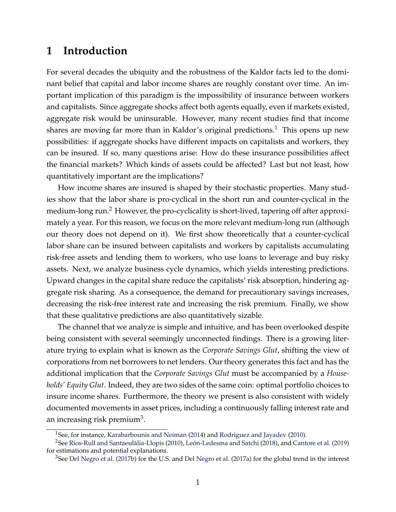## **1 Introduction**

For several decades the ubiquity and the robustness of the Kaldor facts led to the dominant belief that capital and labor income shares are roughly constant over time. An important implication of this paradigm is the impossibility of insurance between workers and capitalists. Since aggregate shocks affect both agents equally, even if markets existed, aggregate risk would be uninsurable. However, many recent studies find that income shares are moving far more than in Kaldor's original predictions.<sup>[1](#page-2-0)</sup> This opens up new possibilities: if aggregate shocks have different impacts on capitalists and workers, they can be insured. If so, many questions arise: How do these insurance possibilities affect the financial markets? Which kinds of assets could be affected? Last but not least, how quantitatively important are the implications?

How income shares are insured is shaped by their stochastic properties. Many studies show that the labor share is pro-cyclical in the short run and counter-cyclical in the medium-long run.<sup>[2](#page-2-1)</sup> However, the pro-cyclicality is short-lived, tapering off after approximately a year. For this reason, we focus on the more relevant medium-long run (although our theory does not depend on it). We first show theoretically that a counter-cyclical labor share can be insured between capitalists and workers by capitalists accumulating risk-free assets and lending them to workers, who use loans to leverage and buy risky assets. Next, we analyze business cycle dynamics, which yields interesting predictions. Upward changes in the capital share reduce the capitalists' risk absorption, hindering aggregate risk sharing. As a consequence, the demand for precautionary savings increases, decreasing the risk-free interest rate and increasing the risk premium. Finally, we show that these qualitative predictions are also quantitatively sizable.

The channel that we analyze is simple and intuitive, and has been overlooked despite being consistent with several seemingly unconnected findings. There is a growing literature trying to explain what is known as the *Corporate Savings Glut*, shifting the view of corporations from net borrowers to net lenders. Our theory generates this fact and has the additional implication that the *Corporate Savings Glut* must be accompanied by a *Households' Equity Glut*. Indeed, they are two sides of the same coin: optimal portfolio choices to insure income shares. Furthermore, the theory we present is also consistent with widely documented movements in asset prices, including a continuously falling interest rate and an increasing risk premium<sup>[3](#page-2-2)</sup>.

<span id="page-2-1"></span><span id="page-2-0"></span><sup>&</sup>lt;sup>1</sup>See, for instance, [Karabarbounis and Neiman](#page-43-0) [\(2014\)](#page-43-0) and [Rodriguez and Jayadev](#page-44-0) [\(2010\)](#page-44-0).

<sup>2</sup>See [Ríos-Rull and Santaeulàlia-Llopis](#page-44-1) [\(2010\)](#page-44-1), [León-Ledesma and Satchi](#page-43-1) [\(2018\)](#page-43-1), and [Cantore et al.](#page-41-0) [\(2019\)](#page-41-0) for estimations and potential explanations.

<span id="page-2-2"></span> $3$ See [Del Negro et al.](#page-41-2) [\(2017b\)](#page-41-1) for the U.S. and Del Negro et al. [\(2017a\)](#page-41-2) for the global trend in the interest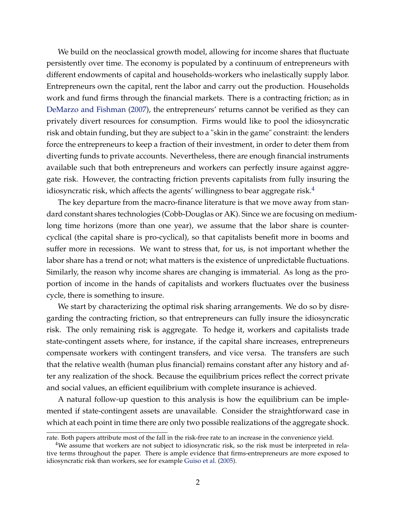We build on the neoclassical growth model, allowing for income shares that fluctuate persistently over time. The economy is populated by a continuum of entrepreneurs with different endowments of capital and households-workers who inelastically supply labor. Entrepreneurs own the capital, rent the labor and carry out the production. Households work and fund firms through the financial markets. There is a contracting friction; as in [DeMarzo and Fishman](#page-41-3) [\(2007\)](#page-41-3), the entrepreneurs' returns cannot be verified as they can privately divert resources for consumption. Firms would like to pool the idiosyncratic risk and obtain funding, but they are subject to a "skin in the game" constraint: the lenders force the entrepreneurs to keep a fraction of their investment, in order to deter them from diverting funds to private accounts. Nevertheless, there are enough financial instruments available such that both entrepreneurs and workers can perfectly insure against aggregate risk. However, the contracting friction prevents capitalists from fully insuring the idiosyncratic risk, which affects the agents' willingness to bear aggregate risk. $4$ 

The key departure from the macro-finance literature is that we move away from standard constant shares technologies (Cobb-Douglas or AK). Since we are focusing on mediumlong time horizons (more than one year), we assume that the labor share is countercyclical (the capital share is pro-cyclical), so that capitalists benefit more in booms and suffer more in recessions. We want to stress that, for us, is not important whether the labor share has a trend or not; what matters is the existence of unpredictable fluctuations. Similarly, the reason why income shares are changing is immaterial. As long as the proportion of income in the hands of capitalists and workers fluctuates over the business cycle, there is something to insure.

We start by characterizing the optimal risk sharing arrangements. We do so by disregarding the contracting friction, so that entrepreneurs can fully insure the idiosyncratic risk. The only remaining risk is aggregate. To hedge it, workers and capitalists trade state-contingent assets where, for instance, if the capital share increases, entrepreneurs compensate workers with contingent transfers, and vice versa. The transfers are such that the relative wealth (human plus financial) remains constant after any history and after any realization of the shock. Because the equilibrium prices reflect the correct private and social values, an efficient equilibrium with complete insurance is achieved.

A natural follow-up question to this analysis is how the equilibrium can be implemented if state-contingent assets are unavailable. Consider the straightforward case in which at each point in time there are only two possible realizations of the aggregate shock.

rate. Both papers attribute most of the fall in the risk-free rate to an increase in the convenience yield.

<span id="page-3-0"></span><sup>&</sup>lt;sup>4</sup>We assume that workers are not subject to idiosyncratic risk, so the risk must be interpreted in relative terms throughout the paper. There is ample evidence that firms-entrepreneurs are more exposed to idiosyncratic risk than workers, see for example [Guiso et al.](#page-42-0) [\(2005\)](#page-42-0).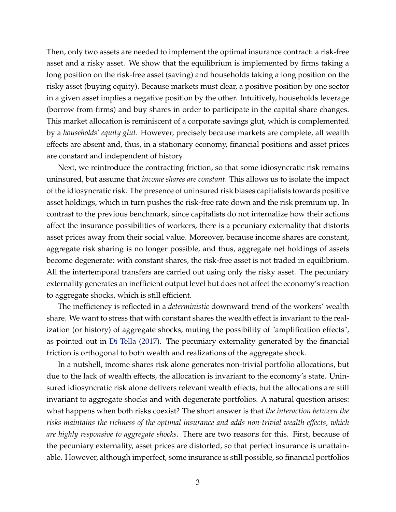Then, only two assets are needed to implement the optimal insurance contract: a risk-free asset and a risky asset. We show that the equilibrium is implemented by firms taking a long position on the risk-free asset (saving) and households taking a long position on the risky asset (buying equity). Because markets must clear, a positive position by one sector in a given asset implies a negative position by the other. Intuitively, households leverage (borrow from firms) and buy shares in order to participate in the capital share changes. This market allocation is reminiscent of a corporate savings glut, which is complemented by a *households' equity glut*. However, precisely because markets are complete, all wealth effects are absent and, thus, in a stationary economy, financial positions and asset prices are constant and independent of history.

Next, we reintroduce the contracting friction, so that some idiosyncratic risk remains uninsured, but assume that *income shares are constant*. This allows us to isolate the impact of the idiosyncratic risk. The presence of uninsured risk biases capitalists towards positive asset holdings, which in turn pushes the risk-free rate down and the risk premium up. In contrast to the previous benchmark, since capitalists do not internalize how their actions affect the insurance possibilities of workers, there is a pecuniary externality that distorts asset prices away from their social value. Moreover, because income shares are constant, aggregate risk sharing is no longer possible, and thus, aggregate net holdings of assets become degenerate: with constant shares, the risk-free asset is not traded in equilibrium. All the intertemporal transfers are carried out using only the risky asset. The pecuniary externality generates an inefficient output level but does not affect the economy's reaction to aggregate shocks, which is still efficient.

The inefficiency is reflected in a *deterministic* downward trend of the workers' wealth share. We want to stress that with constant shares the wealth effect is invariant to the realization (or history) of aggregate shocks, muting the possibility of "amplification effects", as pointed out in [Di Tella](#page-42-1) [\(2017\)](#page-42-1). The pecuniary externality generated by the financial friction is orthogonal to both wealth and realizations of the aggregate shock.

In a nutshell, income shares risk alone generates non-trivial portfolio allocations, but due to the lack of wealth effects, the allocation is invariant to the economy's state. Uninsured idiosyncratic risk alone delivers relevant wealth effects, but the allocations are still invariant to aggregate shocks and with degenerate portfolios. A natural question arises: what happens when both risks coexist? The short answer is that *the interaction between the risks maintains the richness of the optimal insurance and adds non-trivial wealth effects, which are highly responsive to aggregate shocks*. There are two reasons for this. First, because of the pecuniary externality, asset prices are distorted, so that perfect insurance is unattainable. However, although imperfect, some insurance is still possible, so financial portfolios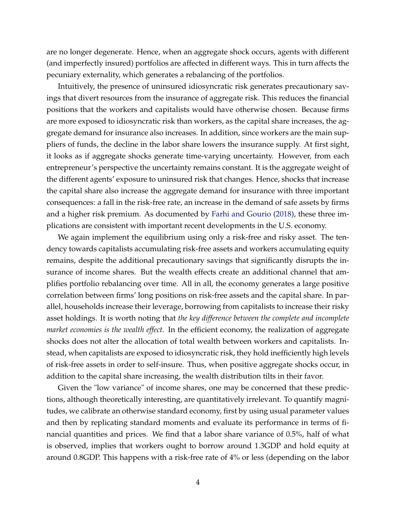are no longer degenerate. Hence, when an aggregate shock occurs, agents with different (and imperfectly insured) portfolios are affected in different ways. This in turn affects the pecuniary externality, which generates a rebalancing of the portfolios.

Intuitively, the presence of uninsured idiosyncratic risk generates precautionary savings that divert resources from the insurance of aggregate risk. This reduces the financial positions that the workers and capitalists would have otherwise chosen. Because firms are more exposed to idiosyncratic risk than workers, as the capital share increases, the aggregate demand for insurance also increases. In addition, since workers are the main suppliers of funds, the decline in the labor share lowers the insurance supply. At first sight, it looks as if aggregate shocks generate time-varying uncertainty. However, from each entrepreneur's perspective the uncertainty remains constant. It is the aggregate weight of the different agents' exposure to uninsured risk that changes. Hence, shocks that increase the capital share also increase the aggregate demand for insurance with three important consequences: a fall in the risk-free rate, an increase in the demand of safe assets by firms and a higher risk premium. As documented by [Farhi and Gourio](#page-42-2) [\(2018\)](#page-42-2), these three implications are consistent with important recent developments in the U.S. economy.

We again implement the equilibrium using only a risk-free and risky asset. The tendency towards capitalists accumulating risk-free assets and workers accumulating equity remains, despite the additional precautionary savings that significantly disrupts the insurance of income shares. But the wealth effects create an additional channel that amplifies portfolio rebalancing over time. All in all, the economy generates a large positive correlation between firms' long positions on risk-free assets and the capital share. In parallel, households increase their leverage, borrowing from capitalists to increase their risky asset holdings. It is worth noting that *the key difference between the complete and incomplete market economies is the wealth effect.* In the efficient economy, the realization of aggregate shocks does not alter the allocation of total wealth between workers and capitalists. Instead, when capitalists are exposed to idiosyncratic risk, they hold inefficiently high levels of risk-free assets in order to self-insure. Thus, when positive aggregate shocks occur, in addition to the capital share increasing, the wealth distribution tilts in their favor.

Given the "low variance" of income shares, one may be concerned that these predictions, although theoretically interesting, are quantitatively irrelevant. To quantify magnitudes, we calibrate an otherwise standard economy, first by using usual parameter values and then by replicating standard moments and evaluate its performance in terms of financial quantities and prices. We find that a labor share variance of 0.5%, half of what is observed, implies that workers ought to borrow around 1.3GDP and hold equity at around 0.8GDP. This happens with a risk-free rate of 4% or less (depending on the labor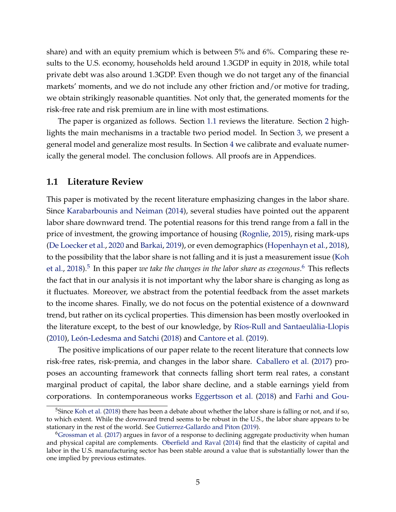share) and with an equity premium which is between 5% and 6%. Comparing these results to the U.S. economy, households held around 1.3GDP in equity in 2018, while total private debt was also around 1.3GDP. Even though we do not target any of the financial markets' moments, and we do not include any other friction and/or motive for trading, we obtain strikingly reasonable quantities. Not only that, the generated moments for the risk-free rate and risk premium are in line with most estimations.

The paper is organized as follows. Section [1.1](#page-6-0) reviews the literature. Section [2](#page-8-0) highlights the main mechanisms in a tractable two period model. In Section [3,](#page-19-0) we present a general model and generalize most results. In Section [4](#page-31-0) we calibrate and evaluate numerically the general model. The conclusion follows. All proofs are in Appendices.

#### <span id="page-6-0"></span>**1.1 Literature Review**

This paper is motivated by the recent literature emphasizing changes in the labor share. Since [Karabarbounis and Neiman](#page-43-0) [\(2014\)](#page-43-0), several studies have pointed out the apparent labor share downward trend. The potential reasons for this trend range from a fall in the price of investment, the growing importance of housing [\(Rognlie,](#page-44-2) [2015\)](#page-44-2), rising mark-ups [\(De Loecker et al.,](#page-41-4) [2020](#page-41-4) and [Barkai,](#page-40-0) [2019\)](#page-40-0), or even demographics [\(Hopenhayn et al.,](#page-43-2) [2018\)](#page-43-2), to the possibility that the labor share is not falling and it is just a measurement issue [\(Koh](#page-43-3) [et al.,](#page-43-3) [2018\)](#page-43-3).<sup>[5](#page-6-1)</sup> In this paper *we take the changes in the labor share as exogenous*.<sup>[6](#page-6-2)</sup> This reflects the fact that in our analysis it is not important why the labor share is changing as long as it fluctuates. Moreover, we abstract from the potential feedback from the asset markets to the income shares. Finally, we do not focus on the potential existence of a downward trend, but rather on its cyclical properties. This dimension has been mostly overlooked in the literature except, to the best of our knowledge, by [Ríos-Rull and Santaeulàlia-Llopis](#page-44-1) [\(2010\)](#page-44-1), [León-Ledesma and Satchi](#page-43-1) [\(2018\)](#page-43-1) and [Cantore et al.](#page-41-0) [\(2019\)](#page-41-0).

The positive implications of our paper relate to the recent literature that connects low risk-free rates, risk-premia, and changes in the labor share. [Caballero et al.](#page-41-5) [\(2017\)](#page-41-5) proposes an accounting framework that connects falling short term real rates, a constant marginal product of capital, the labor share decline, and a stable earnings yield from corporations. In contemporaneous works [Eggertsson et al.](#page-42-3) [\(2018\)](#page-42-3) and [Farhi and Gou-](#page-42-2)

<span id="page-6-1"></span><sup>&</sup>lt;sup>5</sup>Since [Koh et al.](#page-43-3) [\(2018\) there has been a debate about whether the labor share is falling or not, and if so,](#page-42-2) [to which extent. While the downward trend seems to be robust in the U.S., the labor share appears to be](#page-42-2) [stationary in the rest of the world. See](#page-42-2) [Gutierrez-Gallardo and Piton](#page-42-4) [\(2019\)](#page-42-4).

<span id="page-6-2"></span><sup>6</sup>[Grossman et al.](#page-42-5) [\(2017\) argues in favor of a response to declining aggregate productivity when human](#page-42-2) and physical capital are complements. [Oberfield and Raval](#page-43-4) [\(2014\) find that the elasticity of capital and](#page-42-2) [labor in the U.S. manufacturing sector has been stable around a value that is substantially lower than the](#page-42-2) [one implied by previous estimates.](#page-42-2)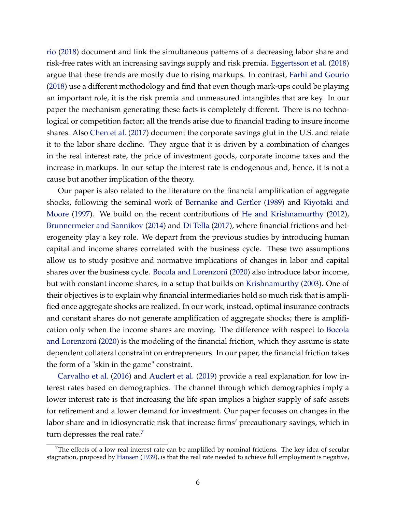[rio](#page-42-2) [\(2018\)](#page-42-2) document and link the simultaneous patterns of a decreasing labor share and risk-free rates with an increasing savings supply and risk premia. [Eggertsson et al.](#page-42-3) [\(2018\)](#page-42-3) argue that these trends are mostly due to rising markups. In contrast, [Farhi and Gourio](#page-42-2) [\(2018\)](#page-42-2) use a different methodology and find that even though mark-ups could be playing an important role, it is the risk premia and unmeasured intangibles that are key. In our paper the mechanism generating these facts is completely different. There is no technological or competition factor; all the trends arise due to financial trading to insure income shares. Also [Chen et al.](#page-41-6) [\(2017\)](#page-41-6) document the corporate savings glut in the U.S. and relate it to the labor share decline. They argue that it is driven by a combination of changes in the real interest rate, the price of investment goods, corporate income taxes and the increase in markups. In our setup the interest rate is endogenous and, hence, it is not a cause but another implication of the theory.

Our paper is also related to the literature on the financial amplification of aggregate shocks, following the seminal work of [Bernanke and Gertler](#page-40-1) [\(1989\)](#page-40-1) and [Kiyotaki and](#page-43-5) [Moore](#page-43-5) [\(1997\)](#page-43-5). We build on the recent contributions of [He and Krishnamurthy](#page-42-6) [\(2012\)](#page-42-6), [Brunnermeier and Sannikov](#page-41-7) [\(2014\)](#page-41-7) and [Di Tella](#page-42-1) [\(2017\)](#page-42-1), where financial frictions and heterogeneity play a key role. We depart from the previous studies by introducing human capital and income shares correlated with the business cycle. These two assumptions allow us to study positive and normative implications of changes in labor and capital shares over the business cycle. [Bocola and Lorenzoni](#page-41-8) [\(2020\)](#page-41-8) also introduce labor income, but with constant income shares, in a setup that builds on [Krishnamurthy](#page-43-6) [\(2003\)](#page-43-6). One of their objectives is to explain why financial intermediaries hold so much risk that is amplified once aggregate shocks are realized. In our work, instead, optimal insurance contracts and constant shares do not generate amplification of aggregate shocks; there is amplification only when the income shares are moving. The difference with respect to [Bocola](#page-41-8) [and Lorenzoni](#page-41-8) [\(2020\)](#page-41-8) is the modeling of the financial friction, which they assume is state dependent collateral constraint on entrepreneurs. In our paper, the financial friction takes the form of a "skin in the game" constraint.

[Carvalho et al.](#page-41-9) [\(2016\)](#page-41-9) and [Auclert et al.](#page-40-2) [\(2019\)](#page-40-2) provide a real explanation for low interest rates based on demographics. The channel through which demographics imply a lower interest rate is that increasing the life span implies a higher supply of safe assets for retirement and a lower demand for investment. Our paper focuses on changes in the labor share and in idiosyncratic risk that increase firms' precautionary savings, which in turn depresses the real rate. $\frac{7}{7}$  $\frac{7}{7}$  $\frac{7}{7}$ 

<span id="page-7-0"></span><sup>&</sup>lt;sup>7</sup>The effects of a low real interest rate can be amplified by nominal frictions. The key idea of secular stagnation, proposed by [Hansen](#page-42-7) [\(1939\)](#page-42-7), is that the real rate needed to achieve full employment is negative,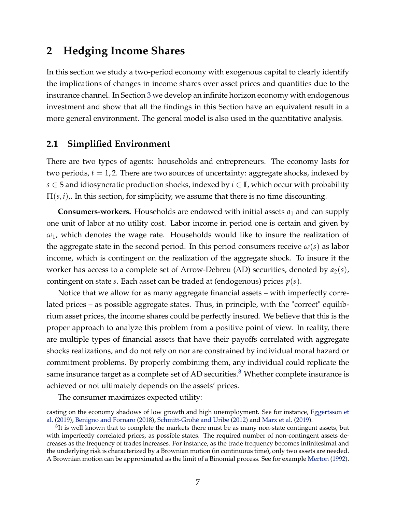# <span id="page-8-0"></span>**2 Hedging Income Shares**

In this section we study a two-period economy with exogenous capital to clearly identify the implications of changes in income shares over asset prices and quantities due to the insurance channel. In Section [3](#page-19-0) we develop an infinite horizon economy with endogenous investment and show that all the findings in this Section have an equivalent result in a more general environment. The general model is also used in the quantitative analysis.

#### **2.1 Simplified Environment**

There are two types of agents: households and entrepreneurs. The economy lasts for two periods, *t* = 1, 2. There are two sources of uncertainty: aggregate shocks, indexed by  $s \in S$  and idiosyncratic production shocks, indexed by  $i \in I$ , which occur with probability  $\Pi(s, i)$ ,. In this section, for simplicity, we assume that there is no time discounting.

**Consumers-workers.** Households are endowed with initial assets *a*<sup>1</sup> and can supply one unit of labor at no utility cost. Labor income in period one is certain and given by *ω*1, which denotes the wage rate. Households would like to insure the realization of the aggregate state in the second period. In this period consumers receive  $\omega(s)$  as labor income, which is contingent on the realization of the aggregate shock. To insure it the worker has access to a complete set of Arrow-Debreu (AD) securities, denoted by  $a_2(s)$ , contingent on state *s*. Each asset can be traded at (endogenous) prices *p*(*s*).

Notice that we allow for as many aggregate financial assets – with imperfectly correlated prices – as possible aggregate states. Thus, in principle, with the "correct" equilibrium asset prices, the income shares could be perfectly insured. We believe that this is the proper approach to analyze this problem from a positive point of view. In reality, there are multiple types of financial assets that have their payoffs correlated with aggregate shocks realizations, and do not rely on nor are constrained by individual moral hazard or commitment problems. By properly combining them, any individual could replicate the same insurance target as a complete set of AD securities.<sup>[8](#page-8-1)</sup> Whether complete insurance is achieved or not ultimately depends on the assets' prices.

The consumer maximizes expected utility:

casting on the economy shadows of low growth and high unemployment. See for instance, [Eggertsson et](#page-42-8) [al.](#page-42-8) [\(2019\)](#page-42-8), [Benigno and Fornaro](#page-40-3) [\(2018\)](#page-40-3), [Schmitt-Grohé and Uribe](#page-44-3) [\(2012\)](#page-44-3) and [Marx et al.](#page-43-7) [\(2019\)](#page-43-7).

<span id="page-8-1"></span> ${}^{8}$ It is well known that to complete the markets there must be as many non-state contingent assets, but with imperfectly correlated prices, as possible states. The required number of non-contingent assets decreases as the frequency of trades increases. For instance, as the trade frequency becomes infinitesimal and the underlying risk is characterized by a Brownian motion (in continuous time), only two assets are needed. A Brownian motion can be approximated as the limit of a Binomial process. See for example [Merton](#page-43-8) [\(1992\)](#page-43-8).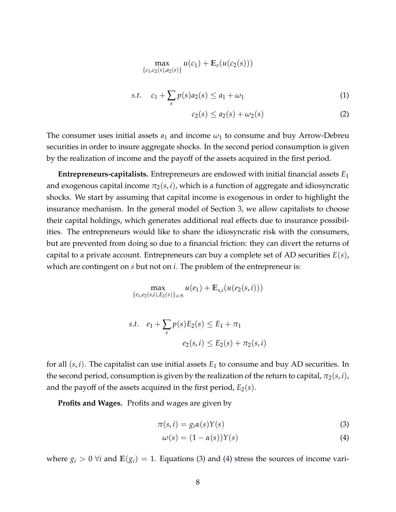$$
\max_{\{c_1, c_2(s), a_2(s)\}} u(c_1) + \mathbb{E}_s(u(c_2(s)))
$$
  
s.t.  $c_1 + \sum_s p(s) a_2(s) \le a_1 + \omega_1$  (1)

$$
c_2(s) \le a_2(s) + \omega_2(s) \tag{2}
$$

The consumer uses initial assets  $a_1$  and income  $\omega_1$  to consume and buy Arrow-Debreu securities in order to insure aggregate shocks. In the second period consumption is given by the realization of income and the payoff of the assets acquired in the first period.

**Entrepreneurs-capitalists.** Entrepreneurs are endowed with initial financial assets *E*<sup>1</sup> and exogenous capital income  $\pi_2(s, i)$ , which is a function of aggregate and idiosyncratic shocks. We start by assuming that capital income is exogenous in order to highlight the insurance mechanism. In the general model of Section [3,](#page-19-0) we allow capitalists to choose their capital holdings, which generates additional real effects due to insurance possibilities. The entrepreneurs would like to share the idiosyncratic risk with the consumers, but are prevented from doing so due to a financial friction: they can divert the returns of capital to a private account. Entrepreneurs can buy a complete set of AD securities *E*(*s*), which are contingent on *s* but not on *i*. The problem of the entrepreneur is:

$$
\max_{\{e_1, e_2(s,i), E_2(s)\}_{s \in S}} u(e_1) + \mathbb{E}_{s,i}(u(e_2(s,i)))
$$
  
s.t.  $e_1 + \sum_s p(s)E_2(s) \le E_1 + \pi_1$   
 $e_2(s,i) \le E_2(s) + \pi_2(s,i)$ 

for all (*s*, *i*). The capitalist can use initial assets *E*<sup>1</sup> to consume and buy AD securities. In the second period, consumption is given by the realization of the return to capital,  $\pi_2(s, i)$ , and the payoff of the assets acquired in the first period,  $E_2(s)$ .

**Profits and Wages.** Profits and wages are given by

$$
\pi(s, i) = g_i \alpha(s) Y(s) \tag{3}
$$

<span id="page-9-1"></span><span id="page-9-0"></span>
$$
\omega(s) = (1 - \alpha(s))Y(s) \tag{4}
$$

where  $g_i > 0$   $\forall i$  and  $\mathbb{E}(g_i) = 1$ . Equations [\(3\)](#page-9-0) and [\(4\)](#page-9-1) stress the sources of income vari-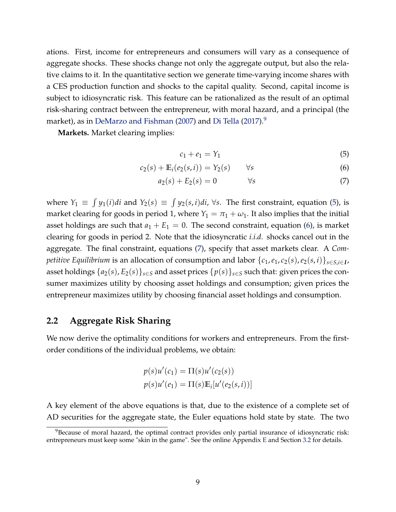ations. First, income for entrepreneurs and consumers will vary as a consequence of aggregate shocks. These shocks change not only the aggregate output, but also the relative claims to it. In the quantitative section we generate time-varying income shares with a CES production function and shocks to the capital quality. Second, capital income is subject to idiosyncratic risk. This feature can be rationalized as the result of an optimal risk-sharing contract between the entrepreneur, with moral hazard, and a principal (the market), as in [DeMarzo and Fishman](#page-41-3) [\(2007\)](#page-41-3) and [Di Tella](#page-42-1) [\(2017\)](#page-42-1).<sup>[9](#page-10-0)</sup>

**Markets.** Market clearing implies:

<span id="page-10-3"></span><span id="page-10-2"></span><span id="page-10-1"></span>
$$
c_1 + e_1 = Y_1 \tag{5}
$$

$$
c_2(s) + \mathbb{E}_i(e_2(s, i)) = Y_2(s) \qquad \forall s \tag{6}
$$

$$
a_2(s) + E_2(s) = 0 \qquad \forall s \tag{7}
$$

where  $Y_1 \equiv \int y_1(i)di$  and  $Y_2(s) \equiv \int y_2(s,i)di$ ,  $\forall s$ . The first constraint, equation [\(5\)](#page-10-1), is market clearing for goods in period 1, where  $Y_1 = \pi_1 + \omega_1$ . It also implies that the initial asset holdings are such that  $a_1 + E_1 = 0$ . The second constraint, equation [\(6\)](#page-10-2), is market clearing for goods in period 2. Note that the idiosyncratic *i.i.d.* shocks cancel out in the aggregate. The final constraint, equations [\(7\)](#page-10-3), specify that asset markets clear. A *Competitive Equilibrium* is an allocation of consumption and labor {*c*1,*e*1, *c*2(*s*),*e*2(*s*, *i*)}*s*∈*S*,*i*∈*<sup>I</sup>* , asset holdings  $\{a_2(s), E_2(s)\}_{s \in S}$  and asset prices  $\{p(s)\}_{s \in S}$  such that: given prices the consumer maximizes utility by choosing asset holdings and consumption; given prices the entrepreneur maximizes utility by choosing financial asset holdings and consumption.

#### <span id="page-10-4"></span>**2.2 Aggregate Risk Sharing**

We now derive the optimality conditions for workers and entrepreneurs. From the firstorder conditions of the individual problems, we obtain:

$$
p(s)u'(c_1) = \Pi(s)u'(c_2(s))
$$
  

$$
p(s)u'(e_1) = \Pi(s)\mathbb{E}_i[u'(e_2(s,i))]
$$

A key element of the above equations is that, due to the existence of a complete set of AD securities for the aggregate state, the Euler equations hold state by state. The two

<span id="page-10-0"></span> $9B$  Because of moral hazard, the optimal contract provides only partial insurance of idiosyncratic risk: entrepreneurs must keep some "skin in the game". See the online Appendix [E](#page--1-0) and Section [3.2](#page-20-0) for details.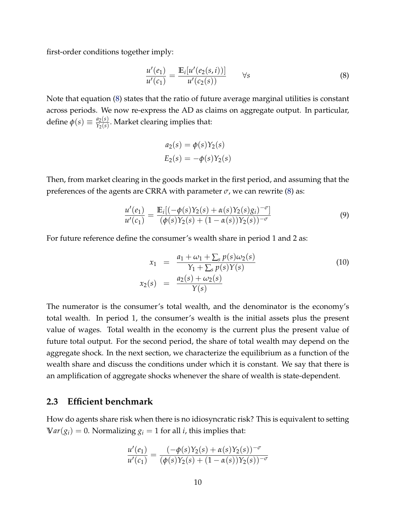first-order conditions together imply:

<span id="page-11-0"></span>
$$
\frac{u'(e_1)}{u'(c_1)} = \frac{\mathbb{E}_i[u'(e_2(s,i))]}{u'(c_2(s))} \qquad \forall s \tag{8}
$$

Note that equation [\(8\)](#page-11-0) states that the ratio of future average marginal utilities is constant across periods. We now re-express the AD as claims on aggregate output. In particular, define  $\phi(s) \equiv \frac{a_2(s)}{Y_2(s)}$  $\frac{u_2(s)}{Y_2(s)}$ . Market clearing implies that:

$$
a_2(s) = \phi(s)Y_2(s)
$$
  

$$
E_2(s) = -\phi(s)Y_2(s)
$$

Then, from market clearing in the goods market in the first period, and assuming that the preferences of the agents are CRRA with parameter  $\sigma$ , we can rewrite [\(8\)](#page-11-0) as:

<span id="page-11-1"></span>
$$
\frac{u'(e_1)}{u'(c_1)} = \frac{\mathbb{E}_i[(-\phi(s)Y_2(s) + \alpha(s)Y_2(s)g_i)^{-\sigma}]}{(\phi(s)Y_2(s) + (1 - \alpha(s))Y_2(s))^{-\sigma}}
$$
(9)

For future reference define the consumer's wealth share in period 1 and 2 as:

$$
x_1 = \frac{a_1 + \omega_1 + \sum_s p(s)\omega_2(s)}{Y_1 + \sum_s p(s)Y(s)}
$$
  
\n
$$
x_2(s) = \frac{a_2(s) + \omega_2(s)}{Y(s)}
$$
\n(10)

The numerator is the consumer's total wealth, and the denominator is the economy's total wealth. In period 1, the consumer's wealth is the initial assets plus the present value of wages. Total wealth in the economy is the current plus the present value of future total output. For the second period, the share of total wealth may depend on the aggregate shock. In the next section, we characterize the equilibrium as a function of the wealth share and discuss the conditions under which it is constant. We say that there is an amplification of aggregate shocks whenever the share of wealth is state-dependent.

#### **2.3 Efficient benchmark**

How do agents share risk when there is no idiosyncratic risk? This is equivalent to setting  $Var(g_i) = 0$ . Normalizing  $g_i = 1$  for all *i*, this implies that:

$$
\frac{u'(e_1)}{u'(c_1)} = \frac{(-\phi(s)Y_2(s) + \alpha(s)Y_2(s))^{-\sigma}}{(\phi(s)Y_2(s) + (1 - \alpha(s))Y_2(s))^{-\sigma}}
$$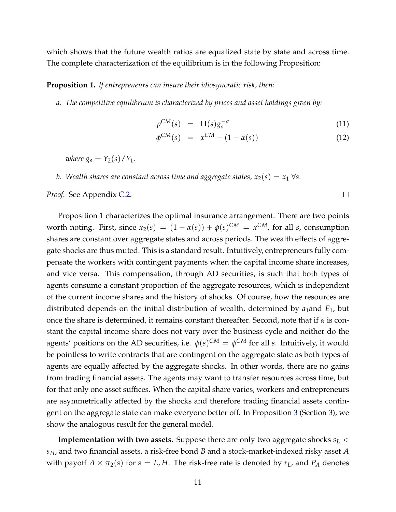which shows that the future wealth ratios are equalized state by state and across time. The complete characterization of the equilibrium is in the following Proposition:

#### <span id="page-12-0"></span>**Proposition 1.** *If entrepreneurs can insure their idiosyncratic risk, then:*

*a. The competitive equilibrium is characterized by prices and asset holdings given by:*

<span id="page-12-1"></span>
$$
p^{CM}(s) = \Pi(s)g_s^{-\sigma}
$$
\n(11)

$$
\phi^{CM}(s) = x^{CM} - (1 - \alpha(s)) \tag{12}
$$

 $\Box$ 

*where*  $g_s = Y_2(s)/Y_1$ .

*b. Wealth shares are constant across time and aggregate states,*  $x_2(s) = x_1 \,\forall s$ .

*Proof.* See Appendix [C.2.](#page-48-0)

Proposition [1](#page-12-0) characterizes the optimal insurance arrangement. There are two points worth noting. First, since  $x_2(s) = (1 - \alpha(s)) + \phi(s)^{CM} = x^{CM}$ , for all *s*, consumption shares are constant over aggregate states and across periods. The wealth effects of aggregate shocks are thus muted. This is a standard result. Intuitively, entrepreneurs fully compensate the workers with contingent payments when the capital income share increases, and vice versa. This compensation, through AD securities, is such that both types of agents consume a constant proportion of the aggregate resources, which is independent of the current income shares and the history of shocks. Of course, how the resources are distributed depends on the initial distribution of wealth, determined by *a*1and *E*1, but once the share is determined, it remains constant thereafter. Second, note that if *α* is constant the capital income share does not vary over the business cycle and neither do the agents' positions on the AD securities, i.e.  $\phi(s)^{CM} = \phi^{CM}$  for all *s*. Intuitively, it would be pointless to write contracts that are contingent on the aggregate state as both types of agents are equally affected by the aggregate shocks. In other words, there are no gains from trading financial assets. The agents may want to transfer resources across time, but for that only one asset suffices. When the capital share varies, workers and entrepreneurs are asymmetrically affected by the shocks and therefore trading financial assets contingent on the aggregate state can make everyone better off. In Proposition [3](#page-26-0) (Section [3\)](#page-19-0), we show the analogous result for the general model.

**Implementation with two assets.** Suppose there are only two aggregate shocks *s<sup>L</sup>* < *sH*, and two financial assets, a risk-free bond *B* and a stock-market-indexed risky asset *A* with payoff  $A \times \pi_2(s)$  for  $s = L$ , *H*. The risk-free rate is denoted by  $r_L$ , and  $P_A$  denotes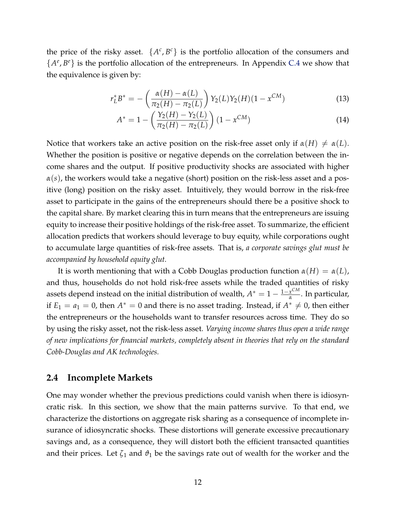the price of the risky asset.  $\{A^c, B^c\}$  is the portfolio allocation of the consumers and  ${A^e, B^e}$  is the portfolio allocation of the entrepreneurs. In Appendix [C.4](#page-54-0) we show that the equivalence is given by:

$$
r_L^* B^* = -\left(\frac{\alpha(H) - \alpha(L)}{\pi_2(H) - \pi_2(L)}\right) Y_2(L) Y_2(H) (1 - x^{CM}) \tag{13}
$$

<span id="page-13-1"></span><span id="page-13-0"></span>
$$
A^* = 1 - \left(\frac{Y_2(H) - Y_2(L)}{\pi_2(H) - \pi_2(L)}\right) (1 - x^{CM})
$$
\n(14)

Notice that workers take an active position on the risk-free asset only if  $\alpha(H) \neq \alpha(L)$ . Whether the position is positive or negative depends on the correlation between the income shares and the output. If positive productivity shocks are associated with higher *α*(*s*), the workers would take a negative (short) position on the risk-less asset and a positive (long) position on the risky asset. Intuitively, they would borrow in the risk-free asset to participate in the gains of the entrepreneurs should there be a positive shock to the capital share. By market clearing this in turn means that the entrepreneurs are issuing equity to increase their positive holdings of the risk-free asset. To summarize, the efficient allocation predicts that workers should leverage to buy equity, while corporations ought to accumulate large quantities of risk-free assets. That is, *a corporate savings glut must be accompanied by household equity glut.*

It is worth mentioning that with a Cobb Douglas production function  $\alpha(H) = \alpha(L)$ , and thus, households do not hold risk-free assets while the traded quantities of risky assets depend instead on the initial distribution of wealth,  $A^* = 1 - \frac{1-x^{CM}}{x}$ *α* . In particular, if  $E_1 = a_1 = 0$ , then  $A^* = 0$  and there is no asset trading. Instead, if  $A^* \neq 0$ , then either the entrepreneurs or the households want to transfer resources across time. They do so by using the risky asset, not the risk-less asset. *Varying income shares thus open a wide range of new implications for financial markets, completely absent in theories that rely on the standard Cobb-Douglas and AK technologies.*

#### <span id="page-13-2"></span>**2.4 Incomplete Markets**

One may wonder whether the previous predictions could vanish when there is idiosyncratic risk. In this section, we show that the main patterns survive. To that end, we characterize the distortions on aggregate risk sharing as a consequence of incomplete insurance of idiosyncratic shocks. These distortions will generate excessive precautionary savings and, as a consequence, they will distort both the efficient transacted quantities and their prices. Let  $\zeta_1$  and  $\vartheta_1$  be the savings rate out of wealth for the worker and the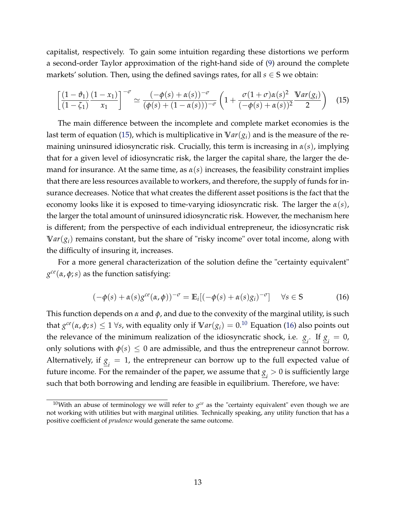capitalist, respectively. To gain some intuition regarding these distortions we perform a second-order Taylor approximation of the right-hand side of [\(9\)](#page-11-1) around the complete markets' solution. Then, using the defined savings rates, for all  $s \in S$  we obtain:

<span id="page-14-0"></span>
$$
\left[\frac{(1-\vartheta_1)}{(1-\zeta_1)}\frac{(1-x_1)}{x_1}\right]^{-\sigma} \simeq \frac{(-\phi(s)+\alpha(s))^{-\sigma}}{(\phi(s)+(1-\alpha(s)))^{-\sigma}} \left(1+\frac{\sigma(1+\sigma)\alpha(s)^2}{(-\phi(s)+\alpha(s))^2}\frac{\text{Var}(g_i)}{2}\right) (15)
$$

The main difference between the incomplete and complete market economies is the last term of equation [\(15\)](#page-14-0), which is multiplicative in  $Var(g_i)$  and is the measure of the remaining uninsured idiosyncratic risk. Crucially, this term is increasing in *α*(*s*), implying that for a given level of idiosyncratic risk, the larger the capital share, the larger the demand for insurance. At the same time, as  $\alpha(s)$  increases, the feasibility constraint implies that there are less resources available to workers, and therefore, the supply of funds for insurance decreases. Notice that what creates the different asset positions is the fact that the economy looks like it is exposed to time-varying idiosyncratic risk. The larger the *α*(*s*), the larger the total amount of uninsured idiosyncratic risk. However, the mechanism here is different; from the perspective of each individual entrepreneur, the idiosyncratic risk  $Var(g_i)$  remains constant, but the share of "risky income" over total income, along with the difficulty of insuring it, increases.

For a more general characterization of the solution define the "certainty equivalent" *g ce*(*α*, *φ*;*s*) as the function satisfying:

<span id="page-14-2"></span>
$$
(-\phi(s) + \alpha(s)g^{ce}(\alpha, \phi))^{-\sigma} = \mathbb{E}_i[(-\phi(s) + \alpha(s)g_i)^{-\sigma}] \quad \forall s \in \mathbb{S}
$$
 (16)

This function depends on *α* and *φ*, and due to the convexity of the marginal utility, is such that  $g^{ce}(\alpha, \phi; s) \leq 1 \; \forall s$ , with equality only if  $\mathbb{V}ar(g_i) = 0.10$  $\mathbb{V}ar(g_i) = 0.10$  Equation [\(16\)](#page-14-2) also points out the relevance of the minimum realization of the idiosyncratic shock, i.e.  $g_i$ . If  $g_i = 0$ , only solutions with  $\phi(s) \leq 0$  are admissible, and thus the entrepreneur cannot borrow. Alternatively, if  $\underline{g}_i = 1$ , the entrepreneur can borrow up to the full expected value of future income. For the remainder of the paper, we assume that  $\underline{g}_i > 0$  is sufficiently large such that both borrowing and lending are feasible in equilibrium. Therefore, we have:

<span id="page-14-1"></span> $^{10}$ With an abuse of terminology we will refer to  $g^{ce}$  as the "certainty equivalent" even though we are not working with utilities but with marginal utilities. Technically speaking, any utility function that has a positive coefficient of *prudence* would generate the same outcome.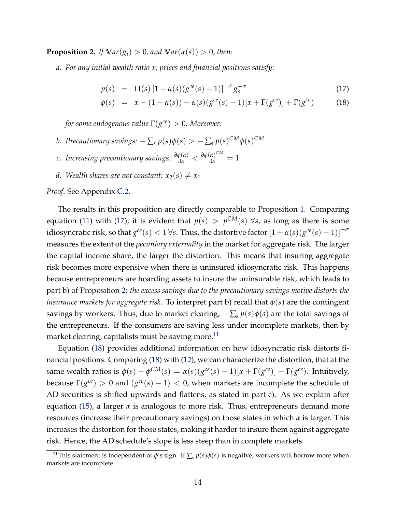<span id="page-15-1"></span>**Proposition 2.** *If*  $\forall ar(g_i) > 0$ *, and*  $\forall ar(\alpha(s)) > 0$ *, then:* 

*a. For any initial wealth ratio x, prices and financial positions satisfy:*

<span id="page-15-0"></span>
$$
p(s) = \Pi(s) \left[ 1 + \alpha(s) (g^{ce}(s) - 1) \right]^{-\sigma} g_s^{-\sigma}
$$
 (17)

$$
\phi(s) = x - (1 - \alpha(s)) + \alpha(s)(g^{ce}(s) - 1)[x + \Gamma(g^{ce})] + \Gamma(g^{ce}) \tag{18}
$$

*for some endogenous value* Γ(*g ce*) > 0*. Moreover:*

- *b. Precautionary savings:*  $-\sum_{s} p(s) \phi(s) > -\sum_{s} p(s)^{CM} \phi(s)^{CM}$
- *c. Increasing precautionary savings:*  $\frac{\partial \phi(\alpha)}{\partial \alpha} < \frac{\partial \phi(\alpha)^{CM}}{\partial \alpha} = 1$
- *d.* Wealth shares are not constant:  $x_2(s) \neq x_1$

*Proof*. See Appendix [C.2.](#page-48-0)

The results in this proposition are directly comparable to Proposition [1.](#page-12-0) Comparing equation [\(11\)](#page-12-1) with [\(17\)](#page-15-0), it is evident that  $p(s) > p^{CM}(s)$   $\forall s$ , as long as there is some idiosyncratic risk, so that  $g^{ce}(s) < 1$   $\forall s$ . Thus, the distortive factor  $[1+\alpha(s)(g^{ce}(s)-1)]^{-\sigma}$ measures the extent of the *pecuniary externality* in the market for aggregate risk. The larger the capital income share, the larger the distortion. This means that insuring aggregate risk becomes more expensive when there is uninsured idiosyncratic risk. This happens because entrepreneurs are hoarding assets to insure the uninsurable risk, which leads to part b) of Proposition [2:](#page-15-1) *the excess savings due to the precautionary savings motive distorts the insurance markets for aggregate risk.* To interpret part b) recall that *φ*(*s*) are the contingent savings by workers. Thus, due to market clearing,  $-\sum_s p(s)\phi(s)$  are the total savings of the entrepreneurs. If the consumers are saving less under incomplete markets, then by market clearing, capitalists must be saving more.<sup>[11](#page-15-2)</sup>

Equation [\(18\)](#page-15-0) provides additional information on how idiosyncratic risk distorts financial positions. Comparing [\(18\)](#page-15-0) with [\(12\)](#page-12-1), we can characterize the distortion, that at the same wealth ratios is  $\phi(s) - \phi^{CM}(s) = \alpha(s)(g^{ce}(s) - 1)[x + \Gamma(g^{ce})] + \Gamma(g^{ce})$ . Intuitively, because  $\Gamma(g^{ce}) > 0$  and  $(g^{ce}(s) - 1) < 0$ , when markets are incomplete the schedule of AD securities is shifted upwards and flattens, as stated in part c). As we explain after equation [\(15\)](#page-14-0), a larger *α* is analogous to more risk. Thus, entrepreneurs demand more resources (increase their precautionary savings) on those states in which *α* is larger. This increases the distortion for those states, making it harder to insure them against aggregate risk. Hence, the AD schedule's slope is less steep than in complete markets.

<span id="page-15-2"></span><sup>&</sup>lt;sup>11</sup>This statement is independent of  $\phi$ 's sign. If  $\sum_s p(s)\phi(s)$  is negative, workers will borrow more when markets are incomplete.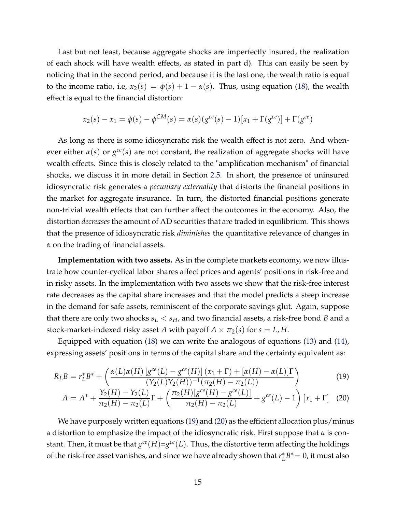Last but not least, because aggregate shocks are imperfectly insured, the realization of each shock will have wealth effects, as stated in part d). This can easily be seen by noticing that in the second period, and because it is the last one, the wealth ratio is equal to the income ratio, i.e,  $x_2(s) = \phi(s) + 1 - \alpha(s)$ . Thus, using equation [\(18\)](#page-15-0), the wealth effect is equal to the financial distortion:

$$
x_2(s) - x_1 = \phi(s) - \phi^{CM}(s) = \alpha(s)(g^{ce}(s) - 1)[x_1 + \Gamma(g^{ce})] + \Gamma(g^{ce})
$$

As long as there is some idiosyncratic risk the wealth effect is not zero. And whenever either  $\alpha(s)$  or  $g^{ce}(s)$  are not constant, the realization of aggregate shocks will have wealth effects. Since this is closely related to the "amplification mechanism" of financial shocks, we discuss it in more detail in Section [2.5.](#page-17-0) In short, the presence of uninsured idiosyncratic risk generates a *pecuniary externality* that distorts the financial positions in the market for aggregate insurance. In turn, the distorted financial positions generate non-trivial wealth effects that can further affect the outcomes in the economy. Also, the distortion *decreases* the amount of AD securities that are traded in equilibrium. This shows that the presence of idiosyncratic risk *diminishes* the quantitative relevance of changes in *α* on the trading of financial assets.

**Implementation with two assets.** As in the complete markets economy, we now illustrate how counter-cyclical labor shares affect prices and agents' positions in risk-free and in risky assets. In the implementation with two assets we show that the risk-free interest rate decreases as the capital share increases and that the model predicts a steep increase in the demand for safe assets, reminiscent of the corporate savings glut. Again, suppose that there are only two shocks  $s_L < s_H$ , and two financial assets, a risk-free bond *B* and a stock-market-indexed risky asset *A* with payoff  $A \times \pi_2(s)$  for  $s = L, H$ .

Equipped with equation [\(18\)](#page-15-0) we can write the analogous of equations [\(13\)](#page-13-0) and [\(14\)](#page-13-1), expressing assets' positions in terms of the capital share and the certainty equivalent as:

$$
R_L B = r_L^* B^* + \left(\frac{\alpha(L)\alpha(H) \left[g^{ce}(L) - g^{ce}(H)\right](x_1 + \Gamma) + [\alpha(H) - \alpha(L)]\Gamma}{(Y_2(L)Y_2(H))^{-1}(\pi_2(H) - \pi_2(L))}\right)
$$
(19)  

$$
A = A^* + \frac{Y_2(H) - Y_2(L)}{\pi_2(H) - \pi_2(L)}\Gamma + \left(\frac{\pi_2(H) \left[g^{ce}(H) - g^{ce}(L)\right]}{\pi_2(H) - \pi_2(L)} + g^{ce}(L) - 1\right)[x_1 + \Gamma] \quad (20)
$$

<span id="page-16-1"></span><span id="page-16-0"></span> $\pi_2(H) - \pi_2(L)$ 

 $\pi_2(H) - \pi_2(L)$ 

We have purposely written equations [\(19\)](#page-16-0) and [\(20\)](#page-16-1) as the efficient allocation plus/minus a distortion to emphasize the impact of the idiosyncratic risk. First suppose that *α* is constant. Then, it must be that  $g^{ce}(H)=g^{ce}(L)$ . Thus, the distortive term affecting the holdings of the risk-free asset vanishes, and since we have already shown that *r*<sup>\*</sup><sub>*I*.</sub>  $L^* B^* = 0$ , it must also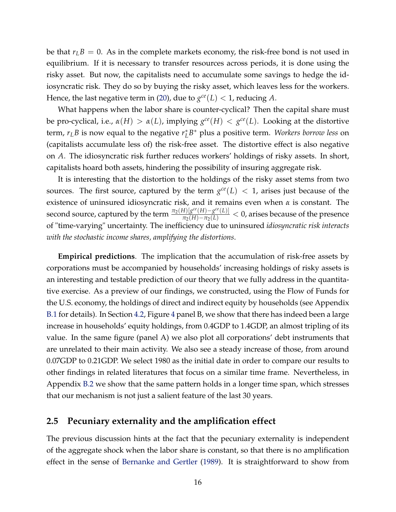be that  $r_L B = 0$ . As in the complete markets economy, the risk-free bond is not used in equilibrium. If it is necessary to transfer resources across periods, it is done using the risky asset. But now, the capitalists need to accumulate some savings to hedge the idiosyncratic risk. They do so by buying the risky asset, which leaves less for the workers. Hence, the last negative term in [\(20\)](#page-16-1), due to  $g^{ce}(L) < 1$ , reducing A.

What happens when the labor share is counter-cyclical? Then the capital share must be pro-cyclical, i.e.,  $\alpha(H) > \alpha(L)$ , implying  $g^{ce}(H) < g^{ce}(L)$ . Looking at the distortive term,  $r_L B$  is now equal to the negative  $r_L^*$ *L B* <sup>∗</sup> plus a positive term. *Workers borrow less* on (capitalists accumulate less of) the risk-free asset. The distortive effect is also negative on *A*. The idiosyncratic risk further reduces workers' holdings of risky assets. In short, capitalists hoard both assets, hindering the possibility of insuring aggregate risk.

It is interesting that the distortion to the holdings of the risky asset stems from two sources. The first source, captured by the term  $g^{ce}(L) < 1$ , arises just because of the existence of uninsured idiosyncratic risk, and it remains even when *α* is constant. The second source, captured by the term  $\frac{\pi_2(H)[g^{ce}(H)-g^{ce}(L)]}{\pi_2(H)-\pi_2(L)} < 0$ , arises because of the presence of "time-varying" uncertainty. The inefficiency due to uninsured *idiosyncratic risk interacts with the stochastic income shares, amplifying the distortions*.

**Empirical predictions**. The implication that the accumulation of risk-free assets by corporations must be accompanied by households' increasing holdings of risky assets is an interesting and testable prediction of our theory that we fully address in the quantitative exercise. As a preview of our findings, we constructed, using the Flow of Funds for the U.S. economy, the holdings of direct and indirect equity by households (see Appendix [B.1](#page-45-0) for details). In Section [4.2,](#page-33-0) Figure [4](#page-36-0) panel B, we show that there has indeed been a large increase in households' equity holdings, from 0.4GDP to 1.4GDP, an almost tripling of its value. In the same figure (panel A) we also plot all corporations' debt instruments that are unrelated to their main activity. We also see a steady increase of those, from around 0.07GDP to 0.21GDP. We select 1980 as the initial date in order to compare our results to other findings in related literatures that focus on a similar time frame. Nevertheless, in Appendix [B.2](#page-46-0) we show that the same pattern holds in a longer time span, which stresses that our mechanism is not just a salient feature of the last 30 years.

#### <span id="page-17-0"></span>**2.5 Pecuniary externality and the amplification effect**

The previous discussion hints at the fact that the pecuniary externality is independent of the aggregate shock when the labor share is constant, so that there is no amplification effect in the sense of [Bernanke and Gertler](#page-40-1) [\(1989\)](#page-40-1). It is straightforward to show from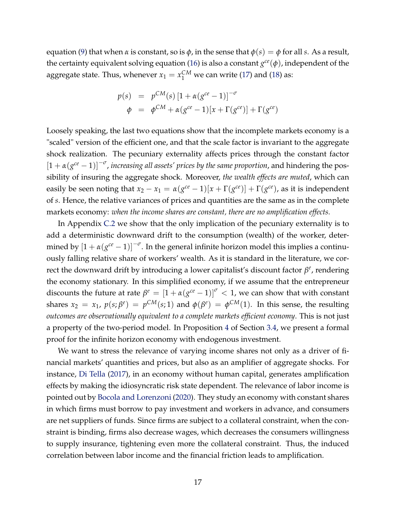equation [\(9\)](#page-11-1) that when  $\alpha$  is constant, so is  $\phi$ , in the sense that  $\phi(s) = \phi$  for all *s*. As a result, the certainty equivalent solving equation [\(16\)](#page-14-2) is also a constant *g ce*(*φ*), independent of the aggregate state. Thus, whenever  $x_1 = x_1^{CM}$  we can write [\(17\)](#page-15-0) and [\(18\)](#page-15-0) as:

$$
p(s) = p^{CM}(s) [1 + \alpha (g^{ce} - 1)]^{-\sigma}
$$
  
\n
$$
\phi = \phi^{CM} + \alpha (g^{ce} - 1) [x + \Gamma (g^{ce})] + \Gamma (g^{ce})
$$

Loosely speaking, the last two equations show that the incomplete markets economy is a "scaled" version of the efficient one, and that the scale factor is invariant to the aggregate shock realization. The pecuniary externality affects prices through the constant factor  $[1 + \alpha(g^{ce} - 1)]^{-\sigma}$ , *increasing all assets' prices by the same proportion*, and hindering the possibility of insuring the aggregate shock. Moreover, *the wealth effects are muted*, which can easily be seen noting that  $x_2 - x_1 = \alpha (g^{ce} - 1)[x + \Gamma(g^{ce})] + \Gamma(g^{ce})$ , as it is independent of *s*. Hence, the relative variances of prices and quantities are the same as in the complete markets economy: *when the income shares are constant, there are no amplification effects.*

In Appendix [C.2](#page-48-0) we show that the only implication of the pecuniary externality is to add a deterministic downward drift to the consumption (wealth) of the worker, determined by  $\left[1+\alpha(g^{ce}-1)\right]^{-\sigma}$ . In the general infinite horizon model this implies a continuously falling relative share of workers' wealth. As it is standard in the literature, we correct the downward drift by introducing a lower capitalist's discount factor  $β<sup>e</sup>$ , rendering the economy stationary. In this simplified economy, if we assume that the entrepreneur discounts the future at rate  $\beta^e = \left[1 + \alpha(g^{ce} - 1)\right]^\sigma < 1$ , we can show that with constant shares  $x_2 = x_1$ ,  $p(s; \beta^e) = p^{CM}(s; 1)$  and  $\phi(\beta^e) = \phi^{CM}(1)$ . In this sense, the resulting *outcomes are observationally equivalent to a complete markets efficient economy*. This is not just a property of the two-period model. In Proposition [4](#page-28-0) of Section [3.4,](#page-26-1) we present a formal proof for the infinite horizon economy with endogenous investment.

We want to stress the relevance of varying income shares not only as a driver of financial markets' quantities and prices, but also as an amplifier of aggregate shocks. For instance, [Di Tella](#page-42-1) [\(2017\)](#page-42-1), in an economy without human capital, generates amplification effects by making the idiosyncratic risk state dependent. The relevance of labor income is pointed out by [Bocola and Lorenzoni](#page-41-8) [\(2020\)](#page-41-8). They study an economy with constant shares in which firms must borrow to pay investment and workers in advance, and consumers are net suppliers of funds. Since firms are subject to a collateral constraint, when the constraint is binding, firms also decrease wages, which decreases the consumers willingness to supply insurance, tightening even more the collateral constraint. Thus, the induced correlation between labor income and the financial friction leads to amplification.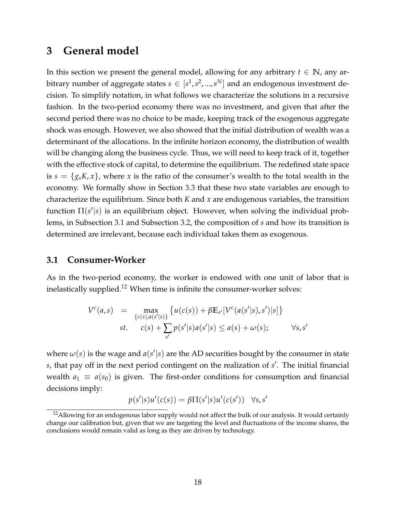### <span id="page-19-0"></span>**3 General model**

In this section we present the general model, allowing for any arbitrary  $t \in \mathbb{N}$ , any arbitrary number of aggregate states  $s \in [s^1, s^2, ..., s^N]$  and an endogenous investment decision. To simplify notation, in what follows we characterize the solutions in a recursive fashion. In the two-period economy there was no investment, and given that after the second period there was no choice to be made, keeping track of the exogenous aggregate shock was enough. However, we also showed that the initial distribution of wealth was a determinant of the allocations. In the infinite horizon economy, the distribution of wealth will be changing along the business cycle. Thus, we will need to keep track of it, together with the effective stock of capital, to determine the equilibrium. The redefined state space is  $s = \{g_s K, x\}$ , where *x* is the ratio of the consumer's wealth to the total wealth in the economy. We formally show in Section [3.3](#page-24-0) that these two state variables are enough to characterize the equilibrium. Since both *K* and *x* are endogenous variables, the transition function Π(s'|s) is an equilibrium object. However, when solving the individual problems, in Subsection [3.1](#page-19-1) and Subsection [3.2,](#page-20-0) the composition of *s* and how its transition is determined are irrelevant, because each individual takes them as exogenous.

#### <span id="page-19-1"></span>**3.1 Consumer-Worker**

As in the two-period economy, the worker is endowed with one unit of labor that is inelastically supplied.<sup>[12](#page-19-2)</sup> When time is infinite the consumer-worker solves:

$$
V^{c}(a,s) = \max_{\{c(s),a(s'|s)\}} \{u(c(s)) + \beta \mathbb{E}_{s'}[V^{c}(a(s'|s),s')|s]\}
$$
  
st.  $c(s) + \sum_{s'} p(s'|s)a(s'|s) \le a(s) + \omega(s); \qquad \forall s,s'$ 

where  $\omega(s)$  is the wage and  $a(s'|s)$  are the AD securities bought by the consumer in state s, that pay off in the next period contingent on the realization of s'. The initial financial wealth  $a_1 \equiv a(s_0)$  is given. The first-order conditions for consumption and financial decisions imply:

$$
p(s'|s)u'(c(s)) = \beta \Pi(s'|s)u'(c(s')) \quad \forall s, s'
$$

<span id="page-19-2"></span> $12$ Allowing for an endogenous labor supply would not affect the bulk of our analysis. It would certainly change our calibration but, given that we are targeting the level and fluctuations of the income shares, the conclusions would remain valid as long as they are driven by technology.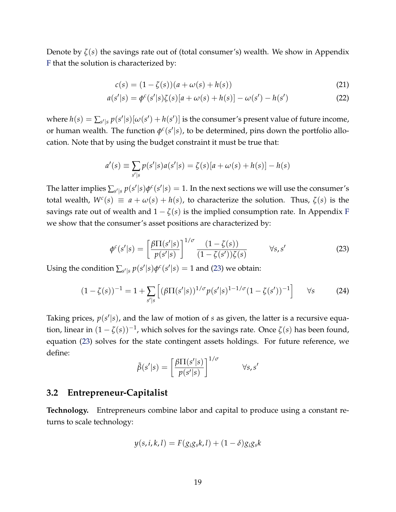Denote by *ζ*(*s*) the savings rate out of (total consumer's) wealth. We show in Appendix [F](#page--1-1) that the solution is characterized by:

<span id="page-20-4"></span><span id="page-20-3"></span>
$$
c(s) = (1 - \zeta(s))(a + \omega(s) + h(s))
$$
\n(21)

$$
a(s'|s) = \phi^{c}(s'|s)\zeta(s)[a+\omega(s)+h(s)] - \omega(s') - h(s')
$$
 (22)

where  $h(s) = \sum_{s'|s} p(s'|s)[\omega(s') + h(s')]$  is the consumer's present value of future income, or human wealth. The function  $\phi^c(s'|s)$ , to be determined, pins down the portfolio allocation. Note that by using the budget constraint it must be true that:

$$
a'(s) \equiv \sum_{s'|s} p(s'|s) a(s'|s) = \zeta(s)[a + \omega(s) + h(s)] - h(s)
$$

The latter implies  $\sum_{s'|s} p(s'|s) \phi^c(s'|s) = 1$ . In the next sections we will use the consumer's total wealth,  $W^c(s) \equiv a + \omega(s) + h(s)$ , to characterize the solution. Thus,  $\zeta(s)$  is the savings rate out of wealth and  $1 - \zeta(s)$  is the implied consumption rate. In Appendix [F](#page--1-1) we show that the consumer's asset positions are characterized by:

<span id="page-20-1"></span>
$$
\phi^c(s'|s) = \left[\frac{\beta \Pi(s'|s)}{p(s'|s)}\right]^{1/\sigma} \frac{(1-\zeta(s))}{(1-\zeta(s'))\zeta(s)} \qquad \forall s, s'
$$
 (23)

Using the condition  $\sum_{s'|s} p(s'|s) \phi^c(s'|s) = 1$  and [\(23\)](#page-20-1) we obtain:

$$
(1 - \zeta(s))^{-1} = 1 + \sum_{s'|s} \left[ (\beta \Pi(s'|s))^{1/\sigma} p(s'|s)^{1-1/\sigma} (1 - \zeta(s'))^{-1} \right] \quad \forall s \tag{24}
$$

Taking prices,  $p(s'|s)$ , and the law of motion of  $s$  as given, the latter is a recursive equation, linear in (1 − *ζ*(*s*))−<sup>1</sup> , which solves for the savings rate. Once *ζ*(*s*) has been found, equation [\(23\)](#page-20-1) solves for the state contingent assets holdings. For future reference, we define:

<span id="page-20-2"></span>
$$
\tilde{\beta}(s'|s) = \left[\frac{\beta \Pi(s'|s)}{p(s'|s)}\right]^{1/\sigma} \qquad \forall s, s'
$$

#### <span id="page-20-0"></span>**3.2 Entrepreneur-Capitalist**

**Technology.** Entrepreneurs combine labor and capital to produce using a constant returns to scale technology:

$$
y(s, i, k, l) = F(g_i g_s k, l) + (1 - \delta) g_i g_s k
$$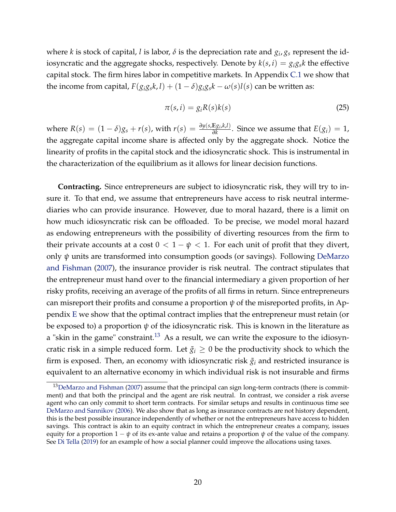where *k* is stock of capital, *l* is labor,  $\delta$  is the depreciation rate and  $g_i$ ,  $g_s$  represent the idiosyncratic and the aggregate shocks, respectively. Denote by  $k(s, i) = g_i g_s k$  the effective capital stock. The firm hires labor in competitive markets. In Appendix [C.1](#page-48-1) we show that the income from capital,  $F(g_i g_s k, l) + (1 - \delta) g_i g_s k - \omega(s) l(s)$  can be written as:

$$
\pi(s,i) = g_i R(s) k(s) \tag{25}
$$

where  $R(s) = (1 - \delta)g_s + r(s)$ , with  $r(s) = \frac{\partial y(s, \mathbb{E}g_i, k, l)}{\partial k}$  $\frac{\text{ES}(i, K, L)}{\partial k}$ . Since we assume that  $E(g_i) = 1$ , the aggregate capital income share is affected only by the aggregate shock. Notice the linearity of profits in the capital stock and the idiosyncratic shock. This is instrumental in the characterization of the equilibrium as it allows for linear decision functions.

**Contracting.** Since entrepreneurs are subject to idiosyncratic risk, they will try to insure it. To that end, we assume that entrepreneurs have access to risk neutral intermediaries who can provide insurance. However, due to moral hazard, there is a limit on how much idiosyncratic risk can be offloaded. To be precise, we model moral hazard as endowing entrepreneurs with the possibility of diverting resources from the firm to their private accounts at a cost  $0 < 1 - \psi < 1$ . For each unit of profit that they divert, only *ψ* units are transformed into consumption goods (or savings). Following [DeMarzo](#page-41-3) [and Fishman](#page-41-3) [\(2007\)](#page-41-3), the insurance provider is risk neutral. The contract stipulates that the entrepreneur must hand over to the financial intermediary a given proportion of her risky profits, receiving an average of the profits of all firms in return. Since entrepreneurs can misreport their profits and consume a proportion *ψ* of the misreported profits, in Appendix [E](#page--1-0) we show that the optimal contract implies that the entrepreneur must retain (or be exposed to) a proportion *ψ* of the idiosyncratic risk. This is known in the literature as a "skin in the game" constraint.<sup>[13](#page-21-0)</sup> As a result, we can write the exposure to the idiosyncratic risk in a simple reduced form. Let  $\tilde{g}_i \geq 0$  be the productivity shock to which the firm is exposed. Then, an economy with idiosyncratic risk  $\tilde{g}_i$  and restricted insurance is equivalent to an alternative economy in which individual risk is not insurable and firms

<span id="page-21-0"></span><sup>&</sup>lt;sup>13</sup>[DeMarzo and Fishman](#page-41-3) [\(2007\)](#page-41-3) assume that the principal can sign long-term contracts (there is commitment) and that both the principal and the agent are risk neutral. In contrast, we consider a risk averse agent who can only commit to short term contracts. For similar setups and results in continuous time see [DeMarzo and Sannikov](#page-41-10) [\(2006\)](#page-41-10). We also show that as long as insurance contracts are not history dependent, this is the best possible insurance independently of whether or not the entrepreneurs have access to hidden savings. This contract is akin to an equity contract in which the entrepreneur creates a company, issues equity for a proportion  $1 - \psi$  of its ex-ante value and retains a proportion  $\psi$  of the value of the company. See [Di Tella](#page-42-9) [\(2019\)](#page-42-9) for an example of how a social planner could improve the allocations using taxes.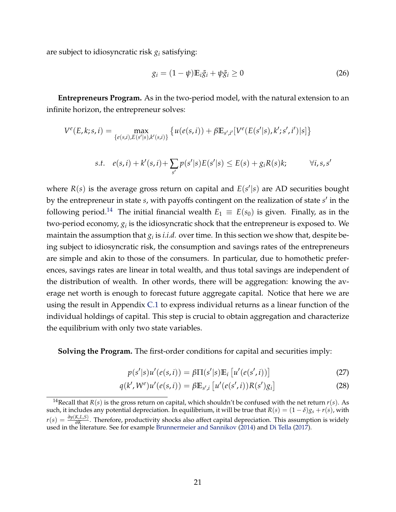are subject to idiosyncratic risk  $g_i$  satisfying:

$$
g_i = (1 - \psi) \mathbb{E}_i \tilde{g}_i + \psi \tilde{g}_i \ge 0 \tag{26}
$$

**Entrepreneurs Program.** As in the two-period model, with the natural extension to an infinite horizon, the entrepreneur solves:

$$
V^{e}(E,k;s,i) = \max_{\{e(s,i), E(s'|s), k'(s,i)\}} \{ u(e(s,i)) + \beta \mathbb{E}_{s',i'}[V^{e}(E(s'|s), k'; s', i')|s] \}
$$
  
s.t.  $e(s,i) + k'(s,i) + \sum_{s'} p(s'|s) E(s'|s) \le E(s) + g_i R(s)k; \qquad \forall i, s, s'$ 

where  $R(s)$  is the average gross return on capital and  $E(s'|s)$  are AD securities bought by the entrepreneur in state *s*, with payoffs contingent on the realization of state *s'* in the following period.<sup>[14](#page-22-0)</sup> The initial financial wealth  $E_1 \equiv E(s_0)$  is given. Finally, as in the two-period economy,  $g_i$  is the idiosyncratic shock that the entrepreneur is exposed to. We maintain the assumption that  $g_i$  is *i.i.d.* over time. In this section we show that, despite being subject to idiosyncratic risk, the consumption and savings rates of the entrepreneurs are simple and akin to those of the consumers. In particular, due to homothetic preferences, savings rates are linear in total wealth, and thus total savings are independent of the distribution of wealth. In other words, there will be aggregation: knowing the average net worth is enough to forecast future aggregate capital. Notice that here we are using the result in Appendix [C.1](#page-48-1) to express individual returns as a linear function of the individual holdings of capital. This step is crucial to obtain aggregation and characterize the equilibrium with only two state variables.

**Solving the Program.** The first-order conditions for capital and securities imply:

<span id="page-22-2"></span><span id="page-22-1"></span>
$$
p(s'|s)u'(e(s,i)) = \beta \Pi(s'|s)\mathbb{E}_i\left[u'(e(s',i))\right]
$$
\n(27)

$$
q(k', W^e)u'(e(s, i)) = \beta \mathbb{E}_{s', i}[u'(e(s', i))R(s')g_i]
$$
\n(28)

<span id="page-22-0"></span><sup>14</sup>Recall that  $R(s)$  is the gross return on capital, which shouldn't be confused with the net return  $r(s)$ . As such, it includes any potential depreciation. In equilibrium, it will be true that  $R(s) = (1 - \delta)g_s + r(s)$ , with *r*(*s*) =  $\frac{\partial y(K,L,S)}{\partial K}$ . Therefore, productivity shocks also affect capital depreciation. This assumption is widely  *∴ Therefore, productivity shocks also ancet capital depredation. This assumptioned in the literature. See for example [Brunnermeier and Sannikov](#page-41-7) [\(2014\)](#page-41-7) and [Di Tella](#page-42-1) [\(2017\)](#page-42-1).*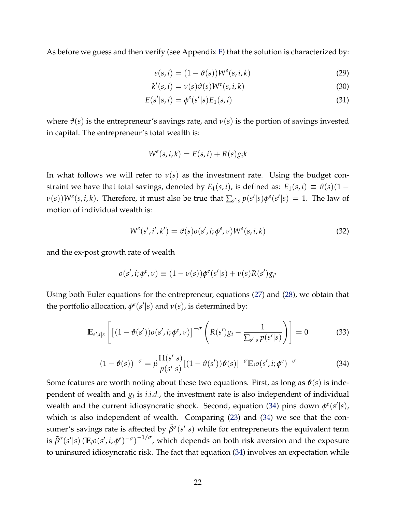As before we guess and then verify (see Appendix [F\)](#page--1-1) that the solution is characterized by:

<span id="page-23-3"></span><span id="page-23-2"></span><span id="page-23-1"></span>
$$
e(s,i) = (1 - \vartheta(s))W^{e}(s,i,k)
$$
\n(29)

$$
k'(s,i) = \nu(s)\vartheta(s)W^e(s,i,k)
$$
\n(30)

$$
E(s'|s,i) = \phi^{e}(s'|s)E_1(s,i)
$$
\n(31)

where  $\vartheta(s)$  is the entrepreneur's savings rate, and  $\nu(s)$  is the portion of savings invested in capital. The entrepreneur's total wealth is:

$$
W^e(s, i, k) = E(s, i) + R(s)g_i k
$$

In what follows we will refer to  $v(s)$  as the investment rate. Using the budget constraint we have that total savings, denoted by  $E_1(s, i)$ , is defined as:  $E_1(s, i) \equiv \vartheta(s)(1 - i)$  $\nu(s)$ )*W<sup>e</sup>*(*s, i, k*). Therefore, it must also be true that  $\sum_{s'|s} p(s'|s) \phi^e(s'|s) = 1$ . The law of motion of individual wealth is:

$$
W^{e}(s', i', k') = \vartheta(s)\varrho(s', i; \phi^{e}, \nu)W^{e}(s, i, k)
$$
\n(32)

and the ex-post growth rate of wealth

$$
o(s', i; \phi^e, v) \equiv (1 - v(s))\phi^e(s'|s) + v(s)R(s')g_{i'}
$$

Using both Euler equations for the entrepreneur, equations [\(27\)](#page-22-1) and [\(28\)](#page-22-2), we obtain that the portfolio allocation,  $\phi^e(s'|s)$  and  $v(s)$ , is determined by:

<span id="page-23-4"></span>
$$
\mathbb{E}_{s',i|s}\left[\left[(1-\vartheta(s'))o(s',i;\phi^e,\nu)\right]^{-\sigma}\left(R(s')g_i-\frac{1}{\sum_{s'|s}\rho(s'|s)}\right)\right]=0\tag{33}
$$

<span id="page-23-0"></span>
$$
(1 - \vartheta(s))^{-\sigma} = \beta \frac{\Pi(s'|s)}{p(s'|s)} [(1 - \vartheta(s'))\vartheta(s)]^{-\sigma} \mathbb{E}_i o(s', i; \phi^e)^{-\sigma}
$$
(34)

Some features are worth noting about these two equations. First, as long as  $\vartheta(s)$  is independent of wealth and *g<sup>i</sup>* is *i.i.d.*, the investment rate is also independent of individual *wealth and the current idiosyncratic shock. Second, equation [\(34\)](#page-23-0) pins down*  $φ^e(s'|s)$ *,* which is also independent of wealth. Comparing [\(23\)](#page-20-1) and [\(34\)](#page-23-0) we see that the consumer's savings rate is affected by  $\tilde{\beta}^{\sigma}(s'|s)$  while for entrepreneurs the equivalent term is  $\tilde{\beta}^{\sigma}(s'|s)\left(\mathbb{E}_{i}o(s',i;\phi^e)^{-\sigma}\right)^{-1/\sigma}$ , which depends on both risk aversion and the exposure to uninsured idiosyncratic risk. The fact that equation [\(34\)](#page-23-0) involves an expectation while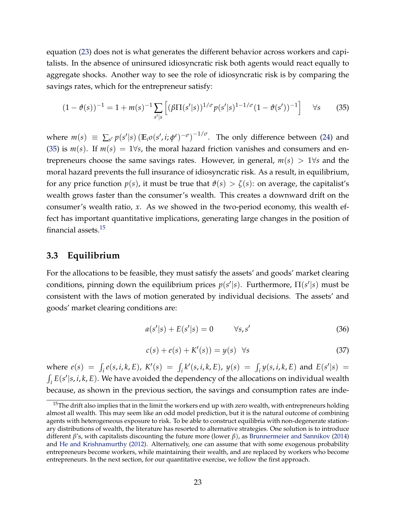equation [\(23\)](#page-20-1) does not is what generates the different behavior across workers and capitalists. In the absence of uninsured idiosyncratic risk both agents would react equally to aggregate shocks. Another way to see the role of idiosyncratic risk is by comparing the savings rates, which for the entrepreneur satisfy:

<span id="page-24-1"></span>
$$
(1 - \vartheta(s))^{-1} = 1 + m(s)^{-1} \sum_{s'|s} \left[ (\beta \Pi(s'|s))^{1/\sigma} p(s'|s)^{1-1/\sigma} (1 - \vartheta(s'))^{-1} \right] \quad \forall s \tag{35}
$$

where  $m(s) \equiv \sum_{s'} p(s'|s) \left( \mathbb{E}_i o(s', i; \phi^e)^{-\sigma} \right)^{-1/\sigma}$ . The only difference between [\(24\)](#page-20-2) and [\(35\)](#page-24-1) is  $m(s)$ . If  $m(s) = 1 \forall s$ , the moral hazard friction vanishes and consumers and entrepreneurs choose the same savings rates. However, in general,  $m(s) > 1 \forall s$  and the moral hazard prevents the full insurance of idiosyncratic risk. As a result, in equilibrium, for any price function  $p(s)$ , it must be true that  $\vartheta(s) > \zeta(s)$ : on average, the capitalist's wealth grows faster than the consumer's wealth. This creates a downward drift on the consumer's wealth ratio, *x*. As we showed in the two-period economy, this wealth effect has important quantitative implications, generating large changes in the position of financial assets.[15](#page-24-2)

#### <span id="page-24-0"></span>**3.3 Equilibrium**

For the allocations to be feasible, they must satisfy the assets' and goods' market clearing conditions, pinning down the equilibrium prices  $p(s'|s)$ . Furthermore,  $\Pi(s'|s)$  must be consistent with the laws of motion generated by individual decisions. The assets' and goods' market clearing conditions are:

<span id="page-24-3"></span>
$$
a(s'|s) + E(s'|s) = 0 \qquad \forall s, s' \tag{36}
$$

<span id="page-24-4"></span>
$$
c(s) + e(s) + K'(s) = y(s) \quad \forall s \tag{37}
$$

where  $e(s) = \int_i e(s, i, k, E)$ ,  $K'(s) = \int_i k'(s, i, k, E)$ ,  $y(s) = \int_i y(s, i, k, E)$  and  $E(s'|s) =$  $\int_i E(s'|s, i, k, E)$ . We have avoided the dependency of the allocations on individual wealth because, as shown in the previous section, the savings and consumption rates are inde-

<span id="page-24-2"></span><sup>&</sup>lt;sup>15</sup>The drift also implies that in the limit the workers end up with zero wealth, with entrepreneurs holding almost all wealth. This may seem like an odd model prediction, but it is the natural outcome of combining agents with heterogeneous exposure to risk. To be able to construct equilibria with non-degenerate stationary distributions of wealth, the literature has resorted to alternative strategies. One solution is to introduce different *β*'s, with capitalists discounting the future more (lower *β*), as [Brunnermeier and Sannikov](#page-41-7) [\(2014\)](#page-41-7) and [He and Krishnamurthy](#page-42-6) [\(2012\)](#page-42-6). Alternatively, one can assume that with some exogenous probability entrepreneurs become workers, while maintaining their wealth, and are replaced by workers who become entrepreneurs. In the next section, for our quantitative exercise, we follow the first approach.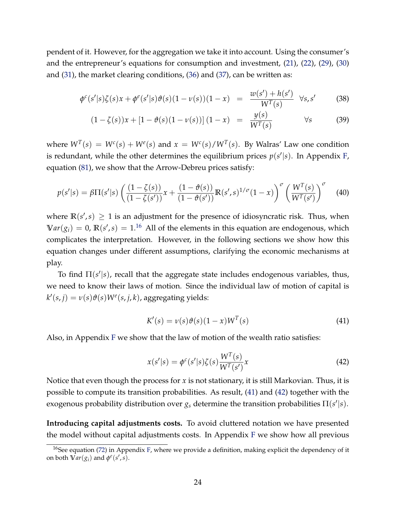pendent of it. However, for the aggregation we take it into account. Using the consumer's and the entrepreneur's equations for consumption and investment, [\(21\)](#page-20-3), [\(22\)](#page-20-4), [\(29\)](#page-23-1), [\(30\)](#page-23-2) and [\(31\)](#page-23-3), the market clearing conditions, [\(36\)](#page-24-3) and [\(37\)](#page-24-4), can be written as:

<span id="page-25-4"></span>
$$
\phi^{c}(s'|s)\zeta(s)x + \phi^{e}(s'|s)\vartheta(s)(1-\nu(s))(1-x) = \frac{w(s') + h(s')}{W^{T}(s)} \quad \forall s, s' \tag{38}
$$

$$
(1 - \zeta(s))x + [1 - \vartheta(s)(1 - \nu(s))] (1 - x) = \frac{y(s)}{W^{T}(s)}
$$
  $\forall s$  (39)

where  $W^T(s) = W^c(s) + W^e(s)$  and  $x = W^c(s)/W^T(s)$ . By Walras' Law one condition is redundant, while the other determines the equilibrium prices  $p(s'|s)$ . In Appendix [F,](#page--1-1) equation [\(81\)](#page--1-2), we show that the Arrow-Debreu prices satisfy:

$$
p(s'|s) = \beta \Pi(s'|s) \left( \frac{(1-\zeta(s))}{(1-\zeta(s'))} x + \frac{(1-\vartheta(s))}{(1-\vartheta(s'))} \mathbb{R}(s',s)^{1/\sigma} (1-x) \right)^{\sigma} \left( \frac{W^{T}(s)}{W^{T}(s')} \right)^{\sigma}
$$
(40)

where  $\mathbb{R}(s',s) \geq 1$  is an adjustment for the presence of idiosyncratic risk. Thus, when  $Var(g_i) = 0$ ,  $\mathbb{R}(s', s) = 1$ .<sup>[16](#page-25-0)</sup> All of the elements in this equation are endogenous, which complicates the interpretation. However, in the following sections we show how this equation changes under different assumptions, clarifying the economic mechanisms at play.

To find  $\Pi(s'|s)$ , recall that the aggregate state includes endogenous variables, thus, we need to know their laws of motion. Since the individual law of motion of capital is  $k'(s, j) = \nu(s) \vartheta(s) W^e(s, j, k)$ , aggregating yields:

<span id="page-25-3"></span><span id="page-25-1"></span>
$$
K'(s) = \nu(s)\vartheta(s)(1-x)W^{T}(s)
$$
\n(41)

Also, in Appendix [F](#page--1-1) we show that the law of motion of the wealth ratio satisfies:

<span id="page-25-2"></span>
$$
x(s'|s) = \phi^c(s'|s)\zeta(s)\frac{W^T(s)}{W^T(s')}x\tag{42}
$$

Notice that even though the process for *x* is not stationary, it is still Markovian. Thus, it is possible to compute its transition probabilities. As result, [\(41\)](#page-25-1) and [\(42\)](#page-25-2) together with the exogenous probability distribution over  $g_s$  determine the transition probabilities  $\Pi(s'|s)$ .

**Introducing capital adjustments costs.** To avoid cluttered notation we have presented the model without capital adjustments costs. In Appendix [F](#page--1-1) we show how all previous

<span id="page-25-0"></span><sup>&</sup>lt;sup>16</sup>See equation [\(72\)](#page--1-3) in Appendix [F,](#page--1-1) where we provide a definition, making explicit the dependency of it on both  $\hat{\text{Var}}(g_i)$  and  $\phi^e(s', s)$ .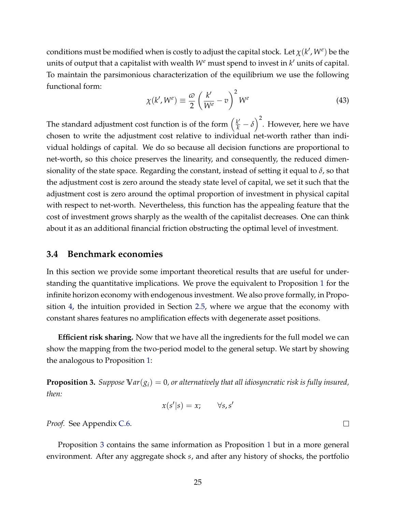conditions must be modified when is costly to adjust the capital stock. Let  $\chi(k',W^e)$  be the units of output that a capitalist with wealth  $W<sup>e</sup>$  must spend to invest in  $k'$  units of capital. To maintain the parsimonious characterization of the equilibrium we use the following functional form:

$$
\chi(k', W^e) \equiv \frac{\omega}{2} \left( \frac{k'}{W^e} - v \right)^2 W^e \tag{43}
$$

The standard adjustment cost function is of the form  $(\frac{k'}{k} - \delta)^2$ . However, here we have chosen to write the adjustment cost relative to individual net-worth rather than individual holdings of capital. We do so because all decision functions are proportional to net-worth, so this choice preserves the linearity, and consequently, the reduced dimensionality of the state space. Regarding the constant, instead of setting it equal to *δ*, so that the adjustment cost is zero around the steady state level of capital, we set it such that the adjustment cost is zero around the optimal proportion of investment in physical capital with respect to net-worth. Nevertheless, this function has the appealing feature that the cost of investment grows sharply as the wealth of the capitalist decreases. One can think about it as an additional financial friction obstructing the optimal level of investment.

#### <span id="page-26-1"></span>**3.4 Benchmark economies**

In this section we provide some important theoretical results that are useful for understanding the quantitative implications. We prove the equivalent to Proposition [1](#page-12-0) for the infinite horizon economy with endogenous investment. We also prove formally, in Proposition [4,](#page-28-0) the intuition provided in Section [2.5,](#page-17-0) where we argue that the economy with constant shares features no amplification effects with degenerate asset positions.

**Efficient risk sharing.** Now that we have all the ingredients for the full model we can show the mapping from the two-period model to the general setup. We start by showing the analogous to Proposition [1:](#page-12-0)

<span id="page-26-0"></span>**Proposition 3.** *Suppose*  $Var(g_i) = 0$ , *or alternatively that all idiosyncratic risk is fully insured, then:*

$$
x(s'|s) = x; \qquad \forall s, s'
$$

*Proof.* See Appendix [C.6.](#page-55-0)

Proposition [3](#page-26-0) contains the same information as Proposition [1](#page-12-0) but in a more general environment. After any aggregate shock *s*, and after any history of shocks, the portfolio

 $\Box$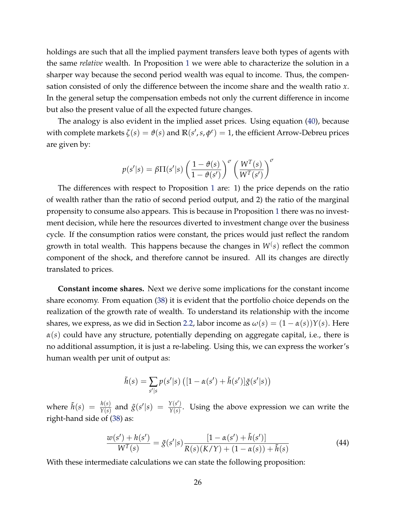holdings are such that all the implied payment transfers leave both types of agents with the same *relative* wealth. In Proposition [1](#page-12-0) we were able to characterize the solution in a sharper way because the second period wealth was equal to income. Thus, the compensation consisted of only the difference between the income share and the wealth ratio *x*. In the general setup the compensation embeds not only the current difference in income but also the present value of all the expected future changes.

The analogy is also evident in the implied asset prices. Using equation [\(40\)](#page-25-3), because with complete markets  $\zeta(s) = \vartheta(s)$  and  $\mathbb{R}(s', s, \phi^e) = 1$ , the efficient Arrow-Debreu prices are given by:

$$
p(s'|s) = \beta \Pi(s'|s) \left(\frac{1-\vartheta(s)}{1-\vartheta(s')}\right)^{\sigma} \left(\frac{W^{T}(s)}{W^{T}(s')}\right)^{\sigma}
$$

The differences with respect to Proposition [1](#page-12-0) are: 1) the price depends on the ratio of wealth rather than the ratio of second period output, and 2) the ratio of the marginal propensity to consume also appears. This is because in Proposition [1](#page-12-0) there was no investment decision, while here the resources diverted to investment change over the business cycle. If the consumption ratios were constant, the prices would just reflect the random growth in total wealth. This happens because the changes in *W*( *s*) reflect the common component of the shock, and therefore cannot be insured. All its changes are directly translated to prices.

**Constant income shares.** Next we derive some implications for the constant income share economy. From equation [\(38\)](#page-25-4) it is evident that the portfolio choice depends on the realization of the growth rate of wealth. To understand its relationship with the income shares, we express, as we did in Section [2.2,](#page-10-4) labor income as  $\omega(s) = (1 - \alpha(s))Y(s)$ . Here *α*(*s*) could have any structure, potentially depending on aggregate capital, i.e., there is no additional assumption, it is just a re-labeling. Using this, we can express the worker's human wealth per unit of output as:

$$
\tilde{h}(s) = \sum_{s'|s} p(s'|s) \left( [1 - \alpha(s') + \tilde{h}(s')] \tilde{g}(s'|s) \right)
$$

where  $\tilde{h}(s) = \frac{h(s)}{Y(s)}$  and  $\tilde{g}(s'|s) = \frac{Y(s')}{Y(s)}$  $\frac{Y(s)}{Y(s)}$ . Using the above expression we can write the right-hand side of [\(38\)](#page-25-4) as:

<span id="page-27-0"></span>
$$
\frac{w(s') + h(s')}{W^{T}(s)} = \tilde{g}(s'|s) \frac{[1 - \alpha(s') + \tilde{h}(s')]}{R(s)(K/Y) + (1 - \alpha(s)) + \tilde{h}(s)}
$$
(44)

With these intermediate calculations we can state the following proposition: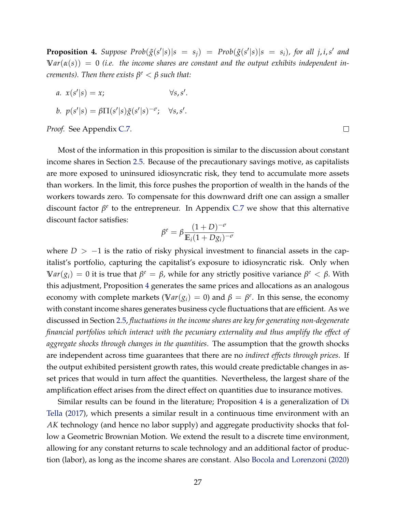<span id="page-28-0"></span>**Proposition 4.** Suppose Prob $(\tilde{g}(s'|s)|s = s_j)$  = Prob $(\tilde{g}(s'|s)|s = s_i)$ , for all j, i, s' and  $Var(\alpha(s)) = 0$  (*i.e.* the income shares are constant and the output exhibits independent in*crements). Then there exists β <sup>e</sup>* < *β such that:*

*a*.  $x(s'|s) = x;$   $\forall s, s$  $\cdot$ 

$$
b. \ \ p(s'|s) = \beta \Pi(s'|s) \tilde{g}(s'|s)^{-\sigma}; \quad \forall s, s'.
$$

*Proof.* See Appendix [C.7.](#page-56-0)

Most of the information in this proposition is similar to the discussion about constant income shares in Section [2.5.](#page-17-0) Because of the precautionary savings motive, as capitalists are more exposed to uninsured idiosyncratic risk, they tend to accumulate more assets than workers. In the limit, this force pushes the proportion of wealth in the hands of the workers towards zero. To compensate for this downward drift one can assign a smaller discount factor *β<sup>e</sup>* to the entrepreneur. In Appendix [C.7](#page-56-0) we show that this alternative discount factor satisfies:

$$
\beta^{e} = \beta \frac{(1+D)^{-\sigma}}{\mathbb{E}_{i}(1+Dg_{i})^{-\sigma}}
$$

where  $D > -1$  is the ratio of risky physical investment to financial assets in the capitalist's portfolio, capturing the capitalist's exposure to idiosyncratic risk. Only when **V** $ar(g_i) = 0$  it is true that  $β<sup>e</sup> = β$ , while for any strictly positive variance  $β<sup>e</sup> < β$ . With this adjustment, Proposition [4](#page-28-0) generates the same prices and allocations as an analogous economy with complete markets ( $Var(g_i) = 0$ ) and  $\beta = \beta^e$ . In this sense, the economy with constant income shares generates business cycle fluctuations that are efficient. As we discussed in Section [2.5,](#page-17-0) *fluctuations in the income shares are key for generating non-degenerate financial portfolios which interact with the pecuniary externality and thus amplify the effect of aggregate shocks through changes in the quantities*. The assumption that the growth shocks are independent across time guarantees that there are no *indirect effects through prices*. If the output exhibited persistent growth rates, this would create predictable changes in asset prices that would in turn affect the quantities. Nevertheless, the largest share of the amplification effect arises from the direct effect on quantities due to insurance motives.

Similar results can be found in the literature; Proposition [4](#page-28-0) is a generalization of [Di](#page-42-1) [Tella](#page-42-1) [\(2017\)](#page-42-1), which presents a similar result in a continuous time environment with an *AK* technology (and hence no labor supply) and aggregate productivity shocks that follow a Geometric Brownian Motion. We extend the result to a discrete time environment, allowing for any constant returns to scale technology and an additional factor of production (labor), as long as the income shares are constant. Also [Bocola and Lorenzoni](#page-41-8) [\(2020\)](#page-41-8)

 $\Box$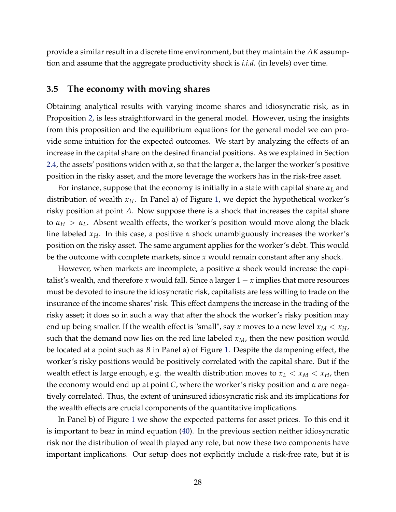provide a similar result in a discrete time environment, but they maintain the *AK* assumption and assume that the aggregate productivity shock is *i.i.d.* (in levels) over time.

#### <span id="page-29-0"></span>**3.5 The economy with moving shares**

Obtaining analytical results with varying income shares and idiosyncratic risk, as in Proposition [2,](#page-15-1) is less straightforward in the general model. However, using the insights from this proposition and the equilibrium equations for the general model we can provide some intuition for the expected outcomes. We start by analyzing the effects of an increase in the capital share on the desired financial positions. As we explained in Section [2.4,](#page-13-2) the assets' positions widen with *α*, so that the larger *α*, the larger the worker's positive position in the risky asset, and the more leverage the workers has in the risk-free asset.

For instance, suppose that the economy is initially in a state with capital share *α<sup>L</sup>* and distribution of wealth  $x_H$ . In Panel a) of Figure [1,](#page-30-0) we depict the hypothetical worker's risky position at point *A*. Now suppose there is a shock that increases the capital share to  $\alpha_H > \alpha_L$ . Absent wealth effects, the worker's position would move along the black line labeled  $x_H$ . In this case, a positive  $\alpha$  shock unambiguously increases the worker's position on the risky asset. The same argument applies for the worker's debt. This would be the outcome with complete markets, since *x* would remain constant after any shock.

However, when markets are incomplete, a positive *α* shock would increase the capitalist's wealth, and therefore *x* would fall. Since a larger  $1 - x$  implies that more resources must be devoted to insure the idiosyncratic risk, capitalists are less willing to trade on the insurance of the income shares' risk. This effect dampens the increase in the trading of the risky asset; it does so in such a way that after the shock the worker's risky position may end up being smaller. If the wealth effect is "small", say *x* moves to a new level  $x_M < x_H$ , such that the demand now lies on the red line labeled  $x_M$ , then the new position would be located at a point such as *B* in Panel a) of Figure [1.](#page-30-0) Despite the dampening effect, the worker's risky positions would be positively correlated with the capital share. But if the wealth effect is large enough, e.g. the wealth distribution moves to  $x_L < x_M < x_H$ , then the economy would end up at point *C*, where the worker's risky position and *α* are negatively correlated. Thus, the extent of uninsured idiosyncratic risk and its implications for the wealth effects are crucial components of the quantitative implications.

In Panel b) of Figure [1](#page-30-0) we show the expected patterns for asset prices. To this end it is important to bear in mind equation [\(40\)](#page-25-3). In the previous section neither idiosyncratic risk nor the distribution of wealth played any role, but now these two components have important implications. Our setup does not explicitly include a risk-free rate, but it is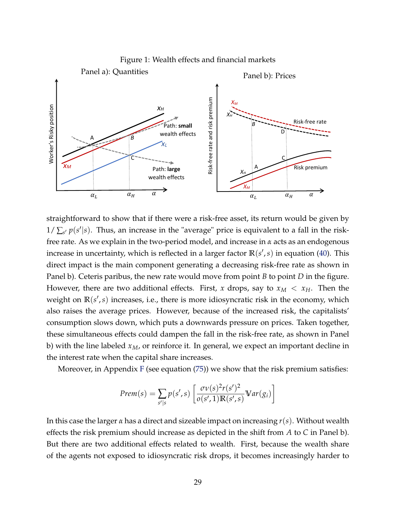<span id="page-30-0"></span>

straightforward to show that if there were a risk-free asset, its return would be given by  $1/\sum_{s'} p(s'|s)$ . Thus, an increase in the "average" price is equivalent to a fall in the riskfree rate. As we explain in the two-period model, and increase in *α* acts as an endogenous increase in uncertainty, which is reflected in a larger factor  $\mathbb{R}(s',s)$  in equation [\(40\)](#page-25-3). This direct impact is the main component generating a decreasing risk-free rate as shown in Panel b). Ceteris paribus, the new rate would move from point *B* to point *D* in the figure. However, there are two additional effects. First, *x* drops, say to  $x_M < x_H$ . Then the weight on  $\mathbb{R}(s',s)$  increases, i.e., there is more idiosyncratic risk in the economy, which also raises the average prices. However, because of the increased risk, the capitalists' consumption slows down, which puts a downwards pressure on prices. Taken together, these simultaneous effects could dampen the fall in the risk-free rate, as shown in Panel b) with the line labeled *xM*, or reinforce it. In general, we expect an important decline in the interest rate when the capital share increases.

Moreover, in Appendix  $F$  (see equation  $(75)$ ) we show that the risk premium satisfies:

$$
Prem(s) = \sum_{s'|s} p(s', s) \left[ \frac{\sigma v(s)^2 r(s')^2}{o(s', 1) \mathbb{R}(s', s)} \mathbb{V}ar(g_i) \right]
$$

In this case the larger *α* has a direct and sizeable impact on increasing *r*(*s*). Without wealth effects the risk premium should increase as depicted in the shift from *A* to *C* in Panel b). But there are two additional effects related to wealth. First, because the wealth share of the agents not exposed to idiosyncratic risk drops, it becomes increasingly harder to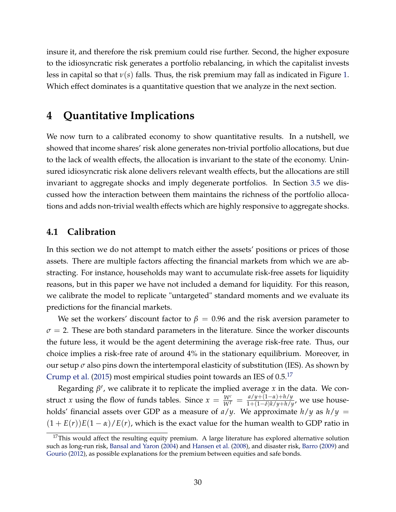insure it, and therefore the risk premium could rise further. Second, the higher exposure to the idiosyncratic risk generates a portfolio rebalancing, in which the capitalist invests less in capital so that *ν*(*s*) falls. Thus, the risk premium may fall as indicated in Figure [1.](#page-30-0) Which effect dominates is a quantitative question that we analyze in the next section.

## <span id="page-31-0"></span>**4 Quantitative Implications**

We now turn to a calibrated economy to show quantitative results. In a nutshell, we showed that income shares' risk alone generates non-trivial portfolio allocations, but due to the lack of wealth effects, the allocation is invariant to the state of the economy. Uninsured idiosyncratic risk alone delivers relevant wealth effects, but the allocations are still invariant to aggregate shocks and imply degenerate portfolios. In Section [3.5](#page-29-0) we discussed how the interaction between them maintains the richness of the portfolio allocations and adds non-trivial wealth effects which are highly responsive to aggregate shocks.

#### **4.1 Calibration**

In this section we do not attempt to match either the assets' positions or prices of those assets. There are multiple factors affecting the financial markets from which we are abstracting. For instance, households may want to accumulate risk-free assets for liquidity reasons, but in this paper we have not included a demand for liquidity. For this reason, we calibrate the model to replicate "untargeted" standard moments and we evaluate its predictions for the financial markets.

We set the workers' discount factor to  $\beta = 0.96$  and the risk aversion parameter to  $\sigma = 2$ . These are both standard parameters in the literature. Since the worker discounts the future less, it would be the agent determining the average risk-free rate. Thus, our choice implies a risk-free rate of around 4% in the stationary equilibrium. Moreover, in our setup *σ* also pins down the intertemporal elasticity of substitution (IES). As shown by [Crump et al.](#page-41-11) [\(2015\)](#page-41-11) most empirical studies point towards an IES of  $0.5$ <sup>[17](#page-31-1)</sup>

Regarding  $β<sup>e</sup>$ , we calibrate it to replicate the implied average *x* in the data. We construct *x* using the flow of funds tables. Since  $x = \frac{W^c}{W^T} = \frac{a/y + (1 - \alpha) + h/y}{1 + (1 - \delta)k/y + h/y}$  $\frac{u/y + (1 - u) + h/y}{1 + (1 - \delta)k/y + h/y}$ , we use households' financial assets over GDP as a measure of  $a/y$ . We approximate  $h/y$  as  $h/y =$  $(1 + E(r))E(1 - \alpha)/E(r)$ , which is the exact value for the human wealth to GDP ratio in

<span id="page-31-1"></span> $17$ This would affect the resulting equity premium. A large literature has explored alternative solution such as long-run risk, [Bansal and Yaron](#page-40-4) [\(2004\)](#page-40-4) and [Hansen et al.](#page-42-10) [\(2008\)](#page-42-10), and disaster risk, [Barro](#page-40-5) [\(2009\)](#page-40-5) and [Gourio](#page-42-11) [\(2012\)](#page-42-11), as possible explanations for the premium between equities and safe bonds.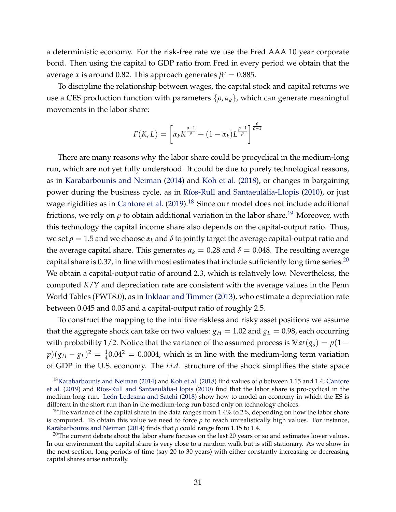a deterministic economy. For the risk-free rate we use the Fred AAA 10 year corporate bond. Then using the capital to GDP ratio from Fred in every period we obtain that the average *x* is around 0.82. This approach generates  $\beta^e = 0.885$ .

To discipline the relationship between wages, the capital stock and capital returns we use a CES production function with parameters  $\{\rho, \alpha_k\}$ , which can generate meaningful movements in the labor share:

$$
F(K,L) = \left[\alpha_k K^{\frac{\rho-1}{\rho}} + (1-\alpha_k)L^{\frac{\rho-1}{\rho}}\right]^{\frac{\rho}{\rho-1}}
$$

There are many reasons why the labor share could be procyclical in the medium-long run, which are not yet fully understood. It could be due to purely technological reasons, as in [Karabarbounis and Neiman](#page-43-0) [\(2014\)](#page-43-0) and [Koh et al.](#page-43-3) [\(2018\)](#page-43-3), or changes in bargaining power during the business cycle, as in [Ríos-Rull and Santaeulàlia-Llopis](#page-44-1) [\(2010\)](#page-44-1), or just wage rigidities as in [Cantore et al.](#page-41-0) [\(2019\)](#page-41-0).<sup>[18](#page-32-0)</sup> Since our model does not include additional frictions, we rely on  $\rho$  to obtain additional variation in the labor share.<sup>[19](#page-32-1)</sup> Moreover, with this technology the capital income share also depends on the capital-output ratio. Thus, we set  $\rho = 1.5$  and we choose  $\alpha_k$  and  $\delta$  to jointly target the average capital-output ratio and the average capital share. This generates  $\alpha_k = 0.28$  and  $\delta = 0.048$ . The resulting average capital share is 0.37, in line with most estimates that include sufficiently long time series.<sup>[20](#page-32-2)</sup> We obtain a capital-output ratio of around 2.3, which is relatively low. Nevertheless, the computed *K*/*Y* and depreciation rate are consistent with the average values in the Penn World Tables (PWT8.0), as in [Inklaar and Timmer](#page-43-9) [\(2013\)](#page-43-9), who estimate a depreciation rate between 0.045 and 0.05 and a capital-output ratio of roughly 2.5.

To construct the mapping to the intuitive riskless and risky asset positions we assume that the aggregate shock can take on two values:  $g_H = 1.02$  and  $g_L = 0.98$ , each occurring with probability 1/2. Notice that the variance of the assumed process is  $Var(g_s) = p(1$  $p)(g_H - g_L)^2 = \frac{1}{4}0.04^2 = 0.0004$ , which is in line with the medium-long term variation of GDP in the U.S. economy. The *i.i.d.* structure of the shock simplifies the state space

<span id="page-32-0"></span><sup>18</sup>[Karabarbounis and Neiman](#page-43-0) [\(2014\)](#page-43-0) and [Koh et al.](#page-43-3) [\(2018\)](#page-43-3) find values of *ρ* between 1.15 and 1.4; [Cantore](#page-41-0) [et al.](#page-41-0) [\(2019\)](#page-41-0) and [Ríos-Rull and Santaeulàlia-Llopis](#page-44-1) [\(2010\)](#page-44-1) find that the labor share is pro-cyclical in the medium-long run. [León-Ledesma and Satchi](#page-43-1) [\(2018\)](#page-43-1) show how to model an economy in which the ES is different in the short run than in the medium-long run based only on technology choices.

<span id="page-32-1"></span><sup>&</sup>lt;sup>19</sup>The variance of the capital share in the data ranges from 1.4% to 2%, depending on how the labor share is computed. To obtain this value we need to force  $\rho$  to reach unrealistically high values. For instance, [Karabarbounis and Neiman](#page-43-0) [\(2014\)](#page-43-0) finds that *ρ* could range from 1.15 to 1.4.

<span id="page-32-2"></span> $^{20}$ The current debate about the labor share focuses on the last 20 years or so and estimates lower values. In our environment the capital share is very close to a random walk but is still stationary. As we show in the next section, long periods of time (say 20 to 30 years) with either constantly increasing or decreasing capital shares arise naturally.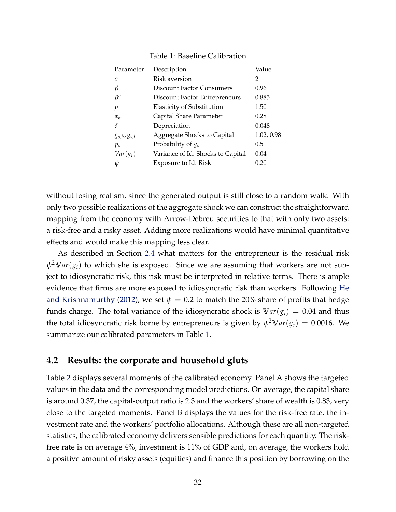| Parameter             | Description                       | Value      |
|-----------------------|-----------------------------------|------------|
| $\sigma$              | Risk aversion                     | 2          |
| β                     | <b>Discount Factor Consumers</b>  | 0.96       |
| В <sup>е</sup>        | Discount Factor Entrepreneurs     | 0.885      |
| $\varrho$             | <b>Elasticity of Substitution</b> | 1.50       |
| $\alpha_k$            | Capital Share Parameter           | 0.28       |
| δ                     | Depreciation                      | 0.048      |
| $g_{s,h}$ , $g_{s,l}$ | Aggregate Shocks to Capital       | 1.02, 0.98 |
| $p_s$                 | Probability of $g_s$              | 0.5        |
| $Var(g_i)$            | Variance of Id. Shocks to Capital | 0.04       |
| ψ                     | Exposure to Id. Risk              | 0.20       |

<span id="page-33-1"></span>Table 1: Baseline Calibration

without losing realism, since the generated output is still close to a random walk. With only two possible realizations of the aggregate shock we can construct the straightforward mapping from the economy with Arrow-Debreu securities to that with only two assets: a risk-free and a risky asset. Adding more realizations would have minimal quantitative effects and would make this mapping less clear.

As described in Section [2.4](#page-13-2) what matters for the entrepreneur is the residual risk *ψ* <sup>2</sup>**V***ar*(*gi*) to which she is exposed. Since we are assuming that workers are not subject to idiosyncratic risk, this risk must be interpreted in relative terms. There is ample evidence that firms are more exposed to idiosyncratic risk than workers. Following [He](#page-42-6) [and Krishnamurthy](#page-42-6) [\(2012\)](#page-42-6), we set  $\psi = 0.2$  to match the 20% share of profits that hedge funds charge. The total variance of the idiosyncratic shock is  $Var(g_i) = 0.04$  and thus the total idiosyncratic risk borne by entrepreneurs is given by  $\psi^2 \nabla a r(g_i) = 0.0016$ . We summarize our calibrated parameters in Table [1.](#page-33-1)

#### <span id="page-33-0"></span>**4.2 Results: the corporate and household gluts**

Table [2](#page-34-0) displays several moments of the calibrated economy. Panel A shows the targeted values in the data and the corresponding model predictions. On average, the capital share is around 0.37, the capital-output ratio is 2.3 and the workers' share of wealth is 0.83, very close to the targeted moments. Panel B displays the values for the risk-free rate, the investment rate and the workers' portfolio allocations. Although these are all non-targeted statistics, the calibrated economy delivers sensible predictions for each quantity. The riskfree rate is on average 4%, investment is 11% of GDP and, on average, the workers hold a positive amount of risky assets (equities) and finance this position by borrowing on the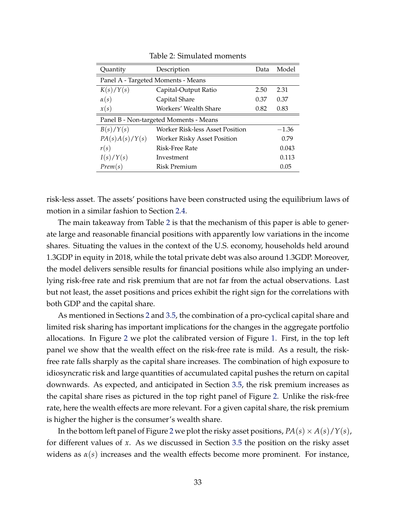| Quantity                               | Description                            | Data | Model   |  |  |
|----------------------------------------|----------------------------------------|------|---------|--|--|
| Panel A - Targeted Moments - Means     |                                        |      |         |  |  |
| K(s)/Y(s)                              | Capital-Output Ratio                   | 2.50 | 2.31    |  |  |
| $\alpha(s)$                            | Capital Share                          | 0.37 | 0.37    |  |  |
| x(s)                                   | Workers' Wealth Share                  | 0.82 | 0.83    |  |  |
| Panel B - Non-targeted Moments - Means |                                        |      |         |  |  |
| B(s)/Y(s)                              | <b>Worker Risk-less Asset Position</b> |      | $-1.36$ |  |  |
| PA(s)A(s)/Y(s)                         | Worker Risky Asset Position            |      | 0.79    |  |  |
| r(s)                                   | Risk-Free Rate                         |      | 0.043   |  |  |
| I(s)/Y(s)                              | Investment                             |      | 0.113   |  |  |
| Prem(s)                                | Risk Premium                           |      | 0.05    |  |  |

<span id="page-34-0"></span>Table 2: Simulated moments

risk-less asset. The assets' positions have been constructed using the equilibrium laws of motion in a similar fashion to Section [2.4.](#page-13-2)

The main takeaway from Table [2](#page-34-0) is that the mechanism of this paper is able to generate large and reasonable financial positions with apparently low variations in the income shares. Situating the values in the context of the U.S. economy, households held around 1.3GDP in equity in 2018, while the total private debt was also around 1.3GDP. Moreover, the model delivers sensible results for financial positions while also implying an underlying risk-free rate and risk premium that are not far from the actual observations. Last but not least, the asset positions and prices exhibit the right sign for the correlations with both GDP and the capital share.

As mentioned in Sections [2](#page-8-0) and [3.5,](#page-29-0) the combination of a pro-cyclical capital share and limited risk sharing has important implications for the changes in the aggregate portfolio allocations. In Figure [2](#page-35-0) we plot the calibrated version of Figure [1.](#page-30-0) First, in the top left panel we show that the wealth effect on the risk-free rate is mild. As a result, the riskfree rate falls sharply as the capital share increases. The combination of high exposure to idiosyncratic risk and large quantities of accumulated capital pushes the return on capital downwards. As expected, and anticipated in Section [3.5,](#page-29-0) the risk premium increases as the capital share rises as pictured in the top right panel of Figure [2.](#page-35-0) Unlike the risk-free rate, here the wealth effects are more relevant. For a given capital share, the risk premium is higher the higher is the consumer's wealth share.

In the bottom left panel of Figure [2](#page-35-0) we plot the risky asset positions,  $PA(s) \times A(s)/Y(s)$ , for different values of *x*. As we discussed in Section [3.5](#page-29-0) the position on the risky asset widens as  $\alpha(s)$  increases and the wealth effects become more prominent. For instance,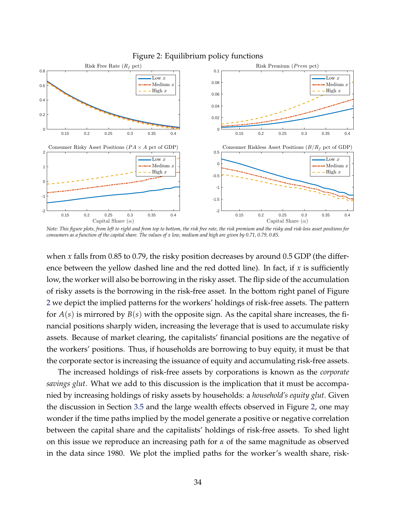

#### <span id="page-35-0"></span>Figure 2: Equilibrium policy functions

*Note: This figure plots, from left to right and from top to bottom, the risk free rate, the risk premium and the risky and risk-less asset positions for consumers as a function of the capital share. The values of x low, medium and high are given by 0.71, 0.79, 0.85.*

when *x* falls from 0.85 to 0.79, the risky position decreases by around 0.5 GDP (the difference between the yellow dashed line and the red dotted line). In fact, if *x* is sufficiently low, the worker will also be borrowing in the risky asset. The flip side of the accumulation of risky assets is the borrowing in the risk-free asset. In the bottom right panel of Figure [2](#page-35-0) we depict the implied patterns for the workers' holdings of risk-free assets. The pattern for  $A(s)$  is mirrored by  $B(s)$  with the opposite sign. As the capital share increases, the financial positions sharply widen, increasing the leverage that is used to accumulate risky assets. Because of market clearing, the capitalists' financial positions are the negative of the workers' positions. Thus, if households are borrowing to buy equity, it must be that the corporate sector is increasing the issuance of equity and accumulating risk-free assets.

The increased holdings of risk-free assets by corporations is known as the *corporate savings glut*. What we add to this discussion is the implication that it must be accompanied by increasing holdings of risky assets by households: a *household's equity glut*. Given the discussion in Section [3.5](#page-29-0) and the large wealth effects observed in Figure [2,](#page-35-0) one may wonder if the time paths implied by the model generate a positive or negative correlation between the capital share and the capitalists' holdings of risk-free assets. To shed light on this issue we reproduce an increasing path for *α* of the same magnitude as observed in the data since 1980. We plot the implied paths for the worker's wealth share, risk-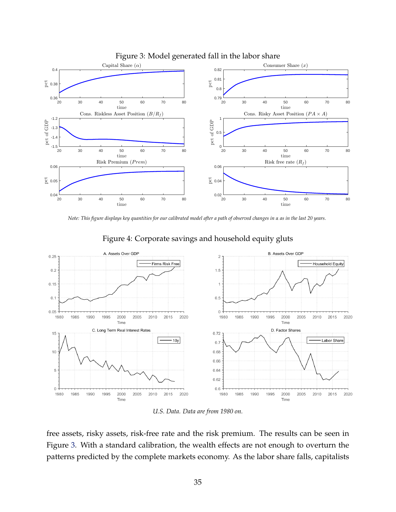

#### <span id="page-36-1"></span>Figure 3: Model generated fall in the labor share

*Note: This figure displays key quantities for our calibrated model after a path of observed changes in α as in the last 20 years.*



#### <span id="page-36-0"></span>Figure 4: Corporate savings and household equity gluts

*U.S. Data. Data are from 1980 on.*

free assets, risky assets, risk-free rate and the risk premium. The results can be seen in Figure [3.](#page-36-1) With a standard calibration, the wealth effects are not enough to overturn the patterns predicted by the complete markets economy. As the labor share falls, capitalists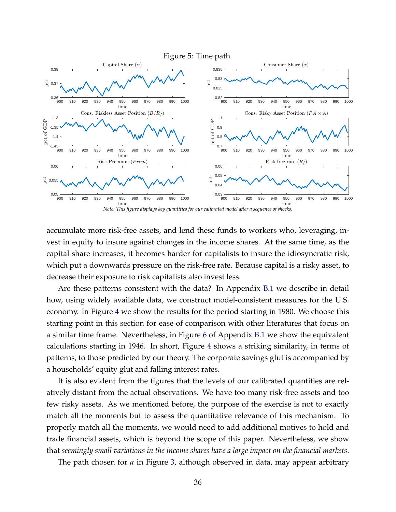<span id="page-37-0"></span>

accumulate more risk-free assets, and lend these funds to workers who, leveraging, invest in equity to insure against changes in the income shares. At the same time, as the capital share increases, it becomes harder for capitalists to insure the idiosyncratic risk, which put a downwards pressure on the risk-free rate. Because capital is a risky asset, to decrease their exposure to risk capitalists also invest less.

Are these patterns consistent with the data? In Appendix [B.1](#page-45-0) we describe in detail how, using widely available data, we construct model-consistent measures for the U.S. economy. In Figure [4](#page-36-0) we show the results for the period starting in 1980. We choose this starting point in this section for ease of comparison with other literatures that focus on a similar time frame. Nevertheless, in Figure [6](#page-47-0) of Appendix [B.1](#page-45-0) we show the equivalent calculations starting in 1946. In short, Figure [4](#page-36-0) shows a striking similarity, in terms of patterns, to those predicted by our theory. The corporate savings glut is accompanied by a households' equity glut and falling interest rates.

It is also evident from the figures that the levels of our calibrated quantities are relatively distant from the actual observations. We have too many risk-free assets and too few risky assets. As we mentioned before, the purpose of the exercise is not to exactly match all the moments but to assess the quantitative relevance of this mechanism. To properly match all the moments, we would need to add additional motives to hold and trade financial assets, which is beyond the scope of this paper. Nevertheless, we show that *seemingly small variations in the income shares have a large impact on the financial markets*.

The path chosen for *α* in Figure [3,](#page-36-1) although observed in data, may appear arbitrary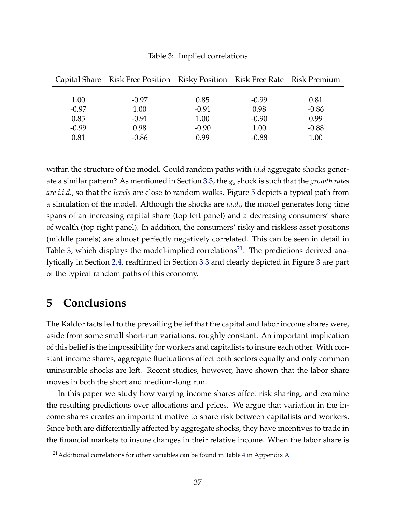|         | Capital Share Risk Free Position Risky Position Risk Free Rate Risk Premium |         |         |         |
|---------|-----------------------------------------------------------------------------|---------|---------|---------|
| 1.00    | $-0.97$                                                                     | 0.85    | $-0.99$ | 0.81    |
| $-0.97$ | 1.00                                                                        | $-0.91$ | 0.98    | $-0.86$ |
| 0.85    | $-0.91$                                                                     | 1.00    | $-0.90$ | 0.99    |
| $-0.99$ | 0.98                                                                        | $-0.90$ | 1.00    | $-0.88$ |
| 0.81    | $-0.86$                                                                     | 0.99    | $-0.88$ | 1.00    |

<span id="page-38-0"></span>Table 3: Implied correlations

within the structure of the model. Could random paths with *i.i.d* aggregate shocks generate a similar pattern? As mentioned in Section [3.3,](#page-24-0) the *g<sup>s</sup>* shock is such that the *growth rates are i.i.d.*, so that the *levels* are close to random walks. Figure [5](#page-37-0) depicts a typical path from a simulation of the model. Although the shocks are *i.i.d.*, the model generates long time spans of an increasing capital share (top left panel) and a decreasing consumers' share of wealth (top right panel). In addition, the consumers' risky and riskless asset positions (middle panels) are almost perfectly negatively correlated. This can be seen in detail in Table [3,](#page-38-0) which displays the model-implied correlations<sup>[21](#page-38-1)</sup>. The predictions derived analytically in Section [2.4,](#page-13-2) reaffirmed in Section [3.3](#page-24-0) and clearly depicted in Figure [3](#page-36-1) are part of the typical random paths of this economy.

## **5 Conclusions**

The Kaldor facts led to the prevailing belief that the capital and labor income shares were, aside from some small short-run variations, roughly constant. An important implication of this belief is the impossibility for workers and capitalists to insure each other. With constant income shares, aggregate fluctuations affect both sectors equally and only common uninsurable shocks are left. Recent studies, however, have shown that the labor share moves in both the short and medium-long run.

In this paper we study how varying income shares affect risk sharing, and examine the resulting predictions over allocations and prices. We argue that variation in the income shares creates an important motive to share risk between capitalists and workers. Since both are differentially affected by aggregate shocks, they have incentives to trade in the financial markets to insure changes in their relative income. When the labor share is

<span id="page-38-1"></span><sup>&</sup>lt;sup>21</sup> Additional correlations for other variables can be found in Table [4](#page-45-1) in [A](#page-45-2)ppendix A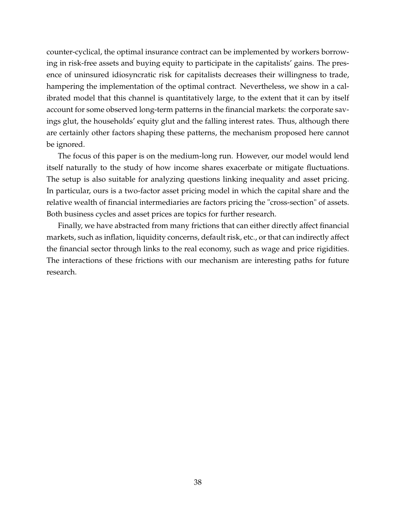counter-cyclical, the optimal insurance contract can be implemented by workers borrowing in risk-free assets and buying equity to participate in the capitalists' gains. The presence of uninsured idiosyncratic risk for capitalists decreases their willingness to trade, hampering the implementation of the optimal contract. Nevertheless, we show in a calibrated model that this channel is quantitatively large, to the extent that it can by itself account for some observed long-term patterns in the financial markets: the corporate savings glut, the households' equity glut and the falling interest rates. Thus, although there are certainly other factors shaping these patterns, the mechanism proposed here cannot be ignored.

The focus of this paper is on the medium-long run. However, our model would lend itself naturally to the study of how income shares exacerbate or mitigate fluctuations. The setup is also suitable for analyzing questions linking inequality and asset pricing. In particular, ours is a two-factor asset pricing model in which the capital share and the relative wealth of financial intermediaries are factors pricing the "cross-section" of assets. Both business cycles and asset prices are topics for further research.

Finally, we have abstracted from many frictions that can either directly affect financial markets, such as inflation, liquidity concerns, default risk, etc., or that can indirectly affect the financial sector through links to the real economy, such as wage and price rigidities. The interactions of these frictions with our mechanism are interesting paths for future research.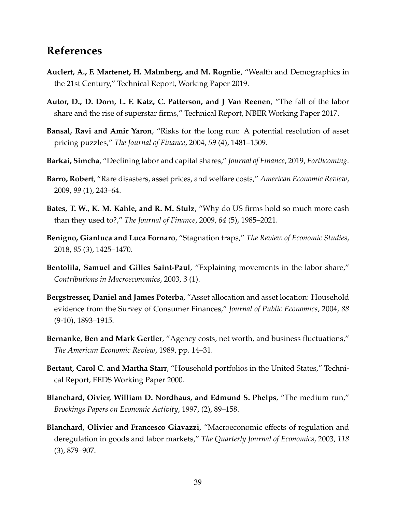## **References**

- <span id="page-40-2"></span>**Auclert, A., F. Martenet, H. Malmberg, and M. Rognlie**, "Wealth and Demographics in the 21st Century," Technical Report, Working Paper 2019.
- <span id="page-40-12"></span>**Autor, D., D. Dorn, L. F. Katz, C. Patterson, and J Van Reenen**, "The fall of the labor share and the rise of superstar firms," Technical Report, NBER Working Paper 2017.
- <span id="page-40-4"></span>**Bansal, Ravi and Amir Yaron**, "Risks for the long run: A potential resolution of asset pricing puzzles," *The Journal of Finance*, 2004, *59* (4), 1481–1509.
- <span id="page-40-0"></span>**Barkai, Simcha**, "Declining labor and capital shares," *Journal of Finance*, 2019, *Forthcoming.*
- <span id="page-40-5"></span>**Barro, Robert**, "Rare disasters, asset prices, and welfare costs," *American Economic Review*, 2009, *99* (1), 243–64.
- <span id="page-40-6"></span>**Bates, T. W., K. M. Kahle, and R. M. Stulz**, "Why do US firms hold so much more cash than they used to?," *The Journal of Finance*, 2009, *64* (5), 1985–2021.
- <span id="page-40-3"></span>**Benigno, Gianluca and Luca Fornaro**, "Stagnation traps," *The Review of Economic Studies*, 2018, *85* (3), 1425–1470.
- <span id="page-40-11"></span>**Bentolila, Samuel and Gilles Saint-Paul**, "Explaining movements in the labor share," *Contributions in Macroeconomics*, 2003, *3* (1).
- <span id="page-40-7"></span>**Bergstresser, Daniel and James Poterba**, "Asset allocation and asset location: Household evidence from the Survey of Consumer Finances," *Journal of Public Economics*, 2004, *88* (9-10), 1893–1915.
- <span id="page-40-1"></span>**Bernanke, Ben and Mark Gertler**, "Agency costs, net worth, and business fluctuations," *The American Economic Review*, 1989, pp. 14–31.
- <span id="page-40-8"></span>**Bertaut, Carol C. and Martha Starr**, "Household portfolios in the United States," Technical Report, FEDS Working Paper 2000.
- <span id="page-40-9"></span>**Blanchard, Oivier, William D. Nordhaus, and Edmund S. Phelps**, "The medium run," *Brookings Papers on Economic Activity*, 1997, (2), 89–158.
- <span id="page-40-10"></span>**Blanchard, Olivier and Francesco Giavazzi**, "Macroeconomic effects of regulation and deregulation in goods and labor markets," *The Quarterly Journal of Economics*, 2003, *118* (3), 879–907.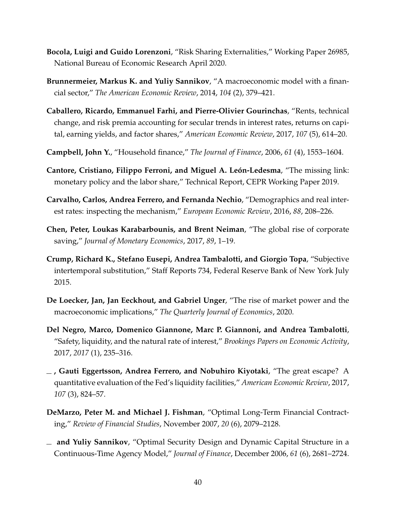- <span id="page-41-8"></span>**Bocola, Luigi and Guido Lorenzoni**, "Risk Sharing Externalities," Working Paper 26985, National Bureau of Economic Research April 2020.
- <span id="page-41-7"></span>**Brunnermeier, Markus K. and Yuliy Sannikov**, "A macroeconomic model with a financial sector," *The American Economic Review*, 2014, *104* (2), 379–421.
- <span id="page-41-5"></span>**Caballero, Ricardo, Emmanuel Farhi, and Pierre-Olivier Gourinchas**, "Rents, technical change, and risk premia accounting for secular trends in interest rates, returns on capital, earning yields, and factor shares," *American Economic Review*, 2017, *107* (5), 614–20.
- <span id="page-41-12"></span>**Campbell, John Y.**, "Household finance," *The Journal of Finance*, 2006, *61* (4), 1553–1604.
- <span id="page-41-0"></span>**Cantore, Cristiano, Filippo Ferroni, and Miguel A. León-Ledesma**, "The missing link: monetary policy and the labor share," Technical Report, CEPR Working Paper 2019.
- <span id="page-41-9"></span>**Carvalho, Carlos, Andrea Ferrero, and Fernanda Nechio**, "Demographics and real interest rates: inspecting the mechanism," *European Economic Review*, 2016, *88*, 208–226.
- <span id="page-41-6"></span>**Chen, Peter, Loukas Karabarbounis, and Brent Neiman**, "The global rise of corporate saving," *Journal of Monetary Economics*, 2017, *89*, 1–19.
- <span id="page-41-11"></span>**Crump, Richard K., Stefano Eusepi, Andrea Tambalotti, and Giorgio Topa**, "Subjective intertemporal substitution," Staff Reports 734, Federal Reserve Bank of New York July 2015.
- <span id="page-41-4"></span>**De Loecker, Jan, Jan Eeckhout, and Gabriel Unger**, "The rise of market power and the macroeconomic implications," *The Quarterly Journal of Economics*, 2020.
- <span id="page-41-2"></span>**Del Negro, Marco, Domenico Giannone, Marc P. Giannoni, and Andrea Tambalotti**, "Safety, liquidity, and the natural rate of interest," *Brookings Papers on Economic Activity*, 2017, *2017* (1), 235–316.
- <span id="page-41-1"></span>**, Gauti Eggertsson, Andrea Ferrero, and Nobuhiro Kiyotaki**, "The great escape? A quantitative evaluation of the Fed's liquidity facilities," *American Economic Review*, 2017, *107* (3), 824–57.
- <span id="page-41-3"></span>**DeMarzo, Peter M. and Michael J. Fishman**, "Optimal Long-Term Financial Contracting," *Review of Financial Studies*, November 2007, *20* (6), 2079–2128.
- <span id="page-41-10"></span>**and Yuliy Sannikov**, "Optimal Security Design and Dynamic Capital Structure in a Continuous-Time Agency Model," *Journal of Finance*, December 2006, *61* (6), 2681–2724.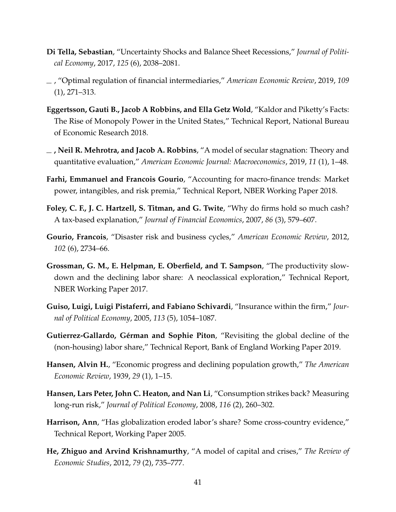- <span id="page-42-1"></span>**Di Tella, Sebastian**, "Uncertainty Shocks and Balance Sheet Recessions," *Journal of Political Economy*, 2017, *125* (6), 2038–2081.
- <span id="page-42-9"></span>, "Optimal regulation of financial intermediaries," *American Economic Review*, 2019, *109* (1), 271–313.
- <span id="page-42-3"></span>**Eggertsson, Gauti B., Jacob A Robbins, and Ella Getz Wold**, "Kaldor and Piketty's Facts: The Rise of Monopoly Power in the United States," Technical Report, National Bureau of Economic Research 2018.
- <span id="page-42-8"></span>**, Neil R. Mehrotra, and Jacob A. Robbins**, "A model of secular stagnation: Theory and quantitative evaluation," *American Economic Journal: Macroeconomics*, 2019, *11* (1), 1–48.
- <span id="page-42-2"></span>**Farhi, Emmanuel and Francois Gourio**, "Accounting for macro-finance trends: Market power, intangibles, and risk premia," Technical Report, NBER Working Paper 2018.
- <span id="page-42-12"></span>**Foley, C. F., J. C. Hartzell, S. Titman, and G. Twite**, "Why do firms hold so much cash? A tax-based explanation," *Journal of Financial Economics*, 2007, *86* (3), 579–607.
- <span id="page-42-11"></span>**Gourio, Francois**, "Disaster risk and business cycles," *American Economic Review*, 2012, *102* (6), 2734–66.
- <span id="page-42-5"></span>**Grossman, G. M., E. Helpman, E. Oberfield, and T. Sampson**, "The productivity slowdown and the declining labor share: A neoclassical exploration," Technical Report, NBER Working Paper 2017.
- <span id="page-42-0"></span>**Guiso, Luigi, Luigi Pistaferri, and Fabiano Schivardi**, "Insurance within the firm," *Journal of Political Economy*, 2005, *113* (5), 1054–1087.
- <span id="page-42-4"></span>**Gutierrez-Gallardo, Gérman and Sophie Piton**, "Revisiting the global decline of the (non-housing) labor share," Technical Report, Bank of England Working Paper 2019.
- <span id="page-42-7"></span>**Hansen, Alvin H.**, "Economic progress and declining population growth," *The American Economic Review*, 1939, *29* (1), 1–15.
- <span id="page-42-10"></span>**Hansen, Lars Peter, John C. Heaton, and Nan Li**, "Consumption strikes back? Measuring long-run risk," *Journal of Political Economy*, 2008, *116* (2), 260–302.
- <span id="page-42-13"></span>**Harrison, Ann**, "Has globalization eroded labor's share? Some cross-country evidence," Technical Report, Working Paper 2005.
- <span id="page-42-6"></span>**He, Zhiguo and Arvind Krishnamurthy**, "A model of capital and crises," *The Review of Economic Studies*, 2012, *79* (2), 735–777.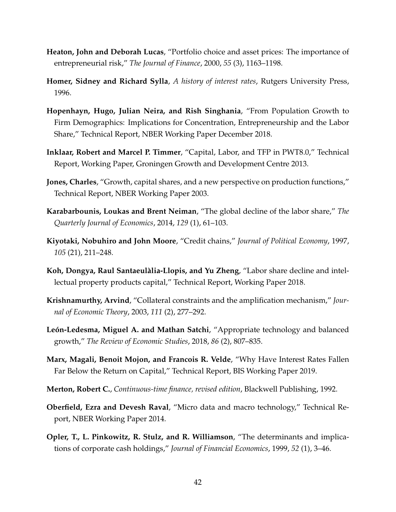- <span id="page-43-11"></span>**Heaton, John and Deborah Lucas**, "Portfolio choice and asset prices: The importance of entrepreneurial risk," *The Journal of Finance*, 2000, *55* (3), 1163–1198.
- <span id="page-43-13"></span>**Homer, Sidney and Richard Sylla**, *A history of interest rates*, Rutgers University Press, 1996.
- <span id="page-43-2"></span>**Hopenhayn, Hugo, Julian Neira, and Rish Singhania**, "From Population Growth to Firm Demographics: Implications for Concentration, Entrepreneurship and the Labor Share," Technical Report, NBER Working Paper December 2018.
- <span id="page-43-9"></span>**Inklaar, Robert and Marcel P. Timmer**, "Capital, Labor, and TFP in PWT8.0," Technical Report, Working Paper, Groningen Growth and Development Centre 2013.
- <span id="page-43-12"></span>**Jones, Charles**, "Growth, capital shares, and a new perspective on production functions," Technical Report, NBER Working Paper 2003.
- <span id="page-43-0"></span>**Karabarbounis, Loukas and Brent Neiman**, "The global decline of the labor share," *The Quarterly Journal of Economics*, 2014, *129* (1), 61–103.
- <span id="page-43-5"></span>**Kiyotaki, Nobuhiro and John Moore**, "Credit chains," *Journal of Political Economy*, 1997, *105* (21), 211–248.
- <span id="page-43-3"></span>**Koh, Dongya, Raul Santaeulàlia-Llopis, and Yu Zheng**, "Labor share decline and intellectual property products capital," Technical Report, Working Paper 2018.
- <span id="page-43-6"></span>**Krishnamurthy, Arvind**, "Collateral constraints and the amplification mechanism," *Journal of Economic Theory*, 2003, *111* (2), 277–292.
- <span id="page-43-1"></span>**León-Ledesma, Miguel A. and Mathan Satchi**, "Appropriate technology and balanced growth," *The Review of Economic Studies*, 2018, *86* (2), 807–835.
- <span id="page-43-7"></span>**Marx, Magali, Benoit Mojon, and Francois R. Velde**, "Why Have Interest Rates Fallen Far Below the Return on Capital," Technical Report, BIS Working Paper 2019.
- <span id="page-43-8"></span>**Merton, Robert C.**, *Continuous-time finance, revised edition*, Blackwell Publishing, 1992.
- <span id="page-43-4"></span>**Oberfield, Ezra and Devesh Raval**, "Micro data and macro technology," Technical Report, NBER Working Paper 2014.
- <span id="page-43-10"></span>**Opler, T., L. Pinkowitz, R. Stulz, and R. Williamson**, "The determinants and implications of corporate cash holdings," *Journal of Financial Economics*, 1999, *52* (1), 3–46.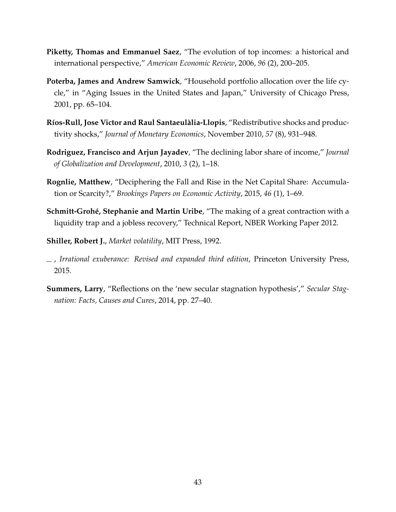- <span id="page-44-4"></span>**Piketty, Thomas and Emmanuel Saez**, "The evolution of top incomes: a historical and international perspective," *American Economic Review*, 2006, *96* (2), 200–205.
- <span id="page-44-7"></span>**Poterba, James and Andrew Samwick**, "Household portfolio allocation over the life cycle," in "Aging Issues in the United States and Japan," University of Chicago Press, 2001, pp. 65–104.
- <span id="page-44-1"></span>**Ríos-Rull, Jose Victor and Raul Santaeulàlia-Llopis**, "Redistributive shocks and productivity shocks," *Journal of Monetary Economics*, November 2010, *57* (8), 931–948.
- <span id="page-44-0"></span>**Rodriguez, Francisco and Arjun Jayadev**, "The declining labor share of income," *Journal of Globalization and Development*, 2010, *3* (2), 1–18.
- <span id="page-44-2"></span>**Rognlie, Matthew**, "Deciphering the Fall and Rise in the Net Capital Share: Accumulation or Scarcity?," *Brookings Papers on Economic Activity*, 2015, *46* (1), 1–69.
- <span id="page-44-3"></span>**Schmitt-Grohé, Stephanie and Martin Uribe**, "The making of a great contraction with a liquidity trap and a jobless recovery," Technical Report, NBER Working Paper 2012.
- <span id="page-44-5"></span>**Shiller, Robert J.**, *Market volatility*, MIT Press, 1992.
- <span id="page-44-6"></span>, *Irrational exuberance: Revised and expanded third edition*, Princeton University Press, 2015.
- <span id="page-44-8"></span>**Summers, Larry**, "Reflections on the 'new secular stagnation hypothesis'," *Secular Stagnation: Facts, Causes and Cures*, 2014, pp. 27–40.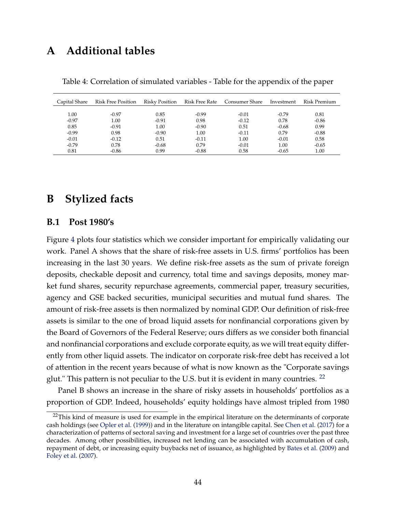# <span id="page-45-2"></span>**A Additional tables**

| Capital Share | Risk Free Position | Risky Position | Risk Free Rate | Consumer Share | Investment | Risk Premium |
|---------------|--------------------|----------------|----------------|----------------|------------|--------------|
|               |                    |                |                |                |            |              |
| 1.00          | $-0.97$            | 0.85           | $-0.99$        | $-0.01$        | $-0.79$    | 0.81         |
| $-0.97$       | 1.00               | $-0.91$        | 0.98           | $-0.12$        | 0.78       | $-0.86$      |
| 0.85          | $-0.91$            | 1.00           | $-0.90$        | 0.51           | $-0.68$    | 0.99         |
| $-0.99$       | 0.98               | $-0.90$        | 1.00           | $-0.11$        | 0.79       | $-0.88$      |
| $-0.01$       | $-0.12$            | 0.51           | $-0.11$        | 1.00           | $-0.01$    | 0.58         |
| $-0.79$       | 0.78               | $-0.68$        | 0.79           | $-0.01$        | 1.00       | $-0.65$      |
| 0.81          | $-0.86$            | 0.99           | $-0.88$        | 0.58           | $-0.65$    | 1.00         |

<span id="page-45-1"></span>Table 4: Correlation of simulated variables - Table for the appendix of the paper

## **B Stylized facts**

#### <span id="page-45-0"></span>**B.1 Post 1980's**

Figure [4](#page-36-0) plots four statistics which we consider important for empirically validating our work. Panel A shows that the share of risk-free assets in U.S. firms' portfolios has been increasing in the last 30 years. We define risk-free assets as the sum of private foreign deposits, checkable deposit and currency, total time and savings deposits, money market fund shares, security repurchase agreements, commercial paper, treasury securities, agency and GSE backed securities, municipal securities and mutual fund shares. The amount of risk-free assets is then normalized by nominal GDP. Our definition of risk-free assets is similar to the one of broad liquid assets for nonfinancial corporations given by the Board of Governors of the Federal Reserve; ours differs as we consider both financial and nonfinancial corporations and exclude corporate equity, as we will treat equity differently from other liquid assets. The indicator on corporate risk-free debt has received a lot of attention in the recent years because of what is now known as the "Corporate savings glut." This pattern is not peculiar to the U.S. but it is evident in many countries. <sup>[22](#page-45-3)</sup>

Panel B shows an increase in the share of risky assets in households' portfolios as a proportion of GDP. Indeed, households' equity holdings have almost tripled from 1980

<span id="page-45-3"></span> $22$ This kind of measure is used for example in the empirical literature on the determinants of corporate cash holdings (see [Opler et al.](#page-43-10) [\(1999\)](#page-43-10)) and in the literature on intangible capital. See [Chen et al.](#page-41-6) [\(2017\)](#page-41-6) for a characterization of patterns of sectoral saving and investment for a large set of countries over the past three decades. Among other possibilities, increased net lending can be associated with accumulation of cash, repayment of debt, or increasing equity buybacks net of issuance, as highlighted by [Bates et al.](#page-40-6) [\(2009\)](#page-40-6) and [Foley et al.](#page-42-12) [\(2007\)](#page-42-12).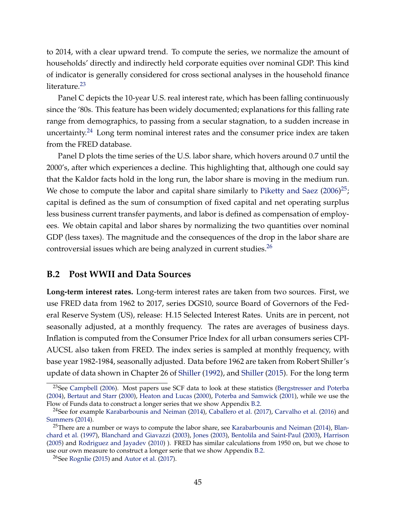to 2014, with a clear upward trend. To compute the series, we normalize the amount of households' directly and indirectly held corporate equities over nominal GDP. This kind of indicator is generally considered for cross sectional analyses in the household finance literature.<sup>[23](#page-46-1)</sup>

Panel C depicts the 10-year U.S. real interest rate, which has been falling continuously since the '80s. This feature has been widely documented; explanations for this falling rate range from demographics, to passing from a secular stagnation, to a sudden increase in uncertainty.<sup>[24](#page-46-2)</sup> Long term nominal interest rates and the consumer price index are taken from the FRED database.

Panel D plots the time series of the U.S. labor share, which hovers around 0.7 until the 2000's, after which experiences a decline. This highlighting that, although one could say that the Kaldor facts hold in the long run, the labor share is moving in the medium run. We chose to compute the labor and capital share similarly to [Piketty and Saez](#page-44-4)  $(2006)^{25}$  $(2006)^{25}$  $(2006)^{25}$  $(2006)^{25}$ ; capital is defined as the sum of consumption of fixed capital and net operating surplus less business current transfer payments, and labor is defined as compensation of employees. We obtain capital and labor shares by normalizing the two quantities over nominal GDP (less taxes). The magnitude and the consequences of the drop in the labor share are controversial issues which are being analyzed in current studies. $^{26}$  $^{26}$  $^{26}$ 

#### <span id="page-46-0"></span>**B.2 Post WWII and Data Sources**

**Long-term interest rates.** Long-term interest rates are taken from two sources. First, we use FRED data from 1962 to 2017, series DGS10, source Board of Governors of the Federal Reserve System (US), release: H.15 Selected Interest Rates. Units are in percent, not seasonally adjusted, at a monthly frequency. The rates are averages of business days. Inflation is computed from the Consumer Price Index for all urban consumers series CPI-AUCSL also taken from FRED. The index series is sampled at monthly frequency, with base year 1982-1984, seasonally adjusted. Data before 1962 are taken from Robert Shiller's update of data shown in Chapter 26 of [Shiller](#page-44-5) [\(1992\)](#page-44-5), and [Shiller](#page-44-6) [\(2015\)](#page-44-6). For the long term

<span id="page-46-1"></span><sup>&</sup>lt;sup>23</sup>See [Campbell](#page-41-12) [\(2006\)](#page-41-12). Most papers use SCF data to look at these statistics [\(Bergstresser and Poterba](#page-40-7) [\(2004\)](#page-40-7), [Bertaut and Starr](#page-40-8) [\(2000\)](#page-40-8), [Heaton and Lucas](#page-43-11) [\(2000\)](#page-43-11), [Poterba and Samwick](#page-44-7) [\(2001\)](#page-44-7), while we use the Flow of Funds data to construct a longer series that we show Appendix [B.2.](#page-46-0)

<span id="page-46-2"></span><sup>&</sup>lt;sup>24</sup>See for example [Karabarbounis and Neiman](#page-43-0) [\(2014\)](#page-43-0), [Caballero et al.](#page-41-5) [\(2017\)](#page-41-5), [Carvalho et al.](#page-41-9) [\(2016\)](#page-41-9) and [Summers](#page-44-8) [\(2014\)](#page-44-8).

<span id="page-46-3"></span><sup>&</sup>lt;sup>25</sup>There are a number or ways to compute the labor share, see [Karabarbounis and Neiman](#page-43-0) [\(2014\)](#page-43-0), [Blan](#page-40-9)[chard et al.](#page-40-9) [\(1997\)](#page-40-9), [Blanchard and Giavazzi](#page-40-10) [\(2003\)](#page-40-10), [Jones](#page-43-12) [\(2003\)](#page-43-12), [Bentolila and Saint-Paul](#page-40-11) [\(2003\)](#page-40-11), [Harrison](#page-42-13) [\(2005\)](#page-42-13) and [Rodriguez and Jayadev](#page-44-0) [\(2010\)](#page-44-0) ). FRED has similar calculations from 1950 on, but we chose to use our own measure to construct a longer serie that we show Appendix [B.2.](#page-46-0)

<span id="page-46-4"></span> $26$ See [Rognlie](#page-44-2) [\(2015\)](#page-44-2) and [Autor et al.](#page-40-12) [\(2017\)](#page-40-12).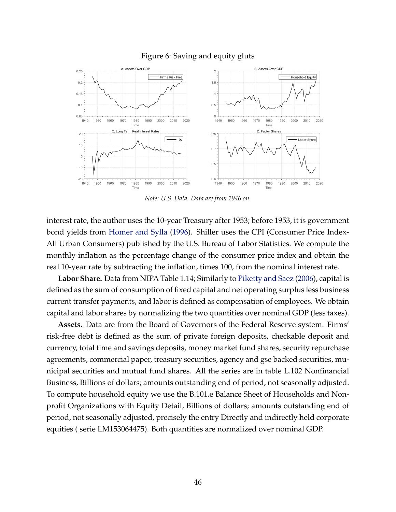

#### <span id="page-47-0"></span>Figure 6: Saving and equity gluts

*Note: U.S. Data. Data are from 1946 on.*

interest rate, the author uses the 10-year Treasury after 1953; before 1953, it is government bond yields from [Homer and Sylla](#page-43-13) [\(1996\)](#page-43-13). Shiller uses the CPI (Consumer Price Index-All Urban Consumers) published by the U.S. Bureau of Labor Statistics. We compute the monthly inflation as the percentage change of the consumer price index and obtain the real 10-year rate by subtracting the inflation, times 100, from the nominal interest rate.

**Labor Share.** Data from NIPA Table 1.14; Similarly to [Piketty and Saez](#page-44-4) [\(2006\)](#page-44-4), capital is defined as the sum of consumption of fixed capital and net operating surplus less business current transfer payments, and labor is defined as compensation of employees. We obtain capital and labor shares by normalizing the two quantities over nominal GDP (less taxes).

**Assets.** Data are from the Board of Governors of the Federal Reserve system. Firms' risk-free debt is defined as the sum of private foreign deposits, checkable deposit and currency, total time and savings deposits, money market fund shares, security repurchase agreements, commercial paper, treasury securities, agency and gse backed securities, municipal securities and mutual fund shares. All the series are in table L.102 Nonfinancial Business, Billions of dollars; amounts outstanding end of period, not seasonally adjusted. To compute household equity we use the B.101.e Balance Sheet of Households and Nonprofit Organizations with Equity Detail, Billions of dollars; amounts outstanding end of period, not seasonally adjusted, precisely the entry Directly and indirectly held corporate equities ( serie LM153064475). Both quantities are normalized over nominal GDP.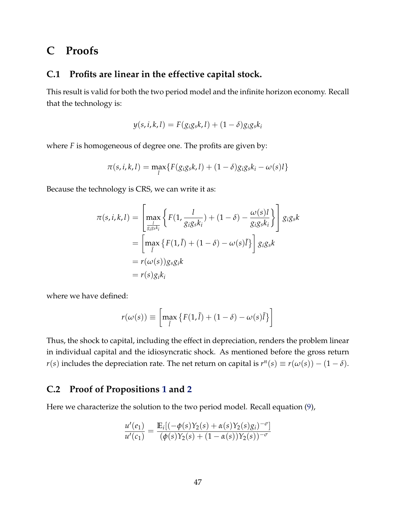## **C Proofs**

#### <span id="page-48-1"></span>**C.1 Profits are linear in the effective capital stock.**

This result is valid for both the two period model and the infinite horizon economy. Recall that the technology is:

$$
y(s, i, k, l) = F(g_i g_s k, l) + (1 - \delta) g_i g_s k_i
$$

where *F* is homogeneous of degree one. The profits are given by:

$$
\pi(s,i,k,l) = \max_l \{ F(g_i g_s k,l) + (1-\delta) g_i g_s k_i - \omega(s)l \}
$$

Because the technology is CRS, we can write it as:

$$
\pi(s, i, k, l) = \left[\max_{\frac{l}{g_i g_s k_i}} \left\{ F(1, \frac{l}{g_i g_s k_i}) + (1 - \delta) - \frac{\omega(s)l}{g_i g_s k_i} \right\} \right] g_i g_s k
$$
  
= 
$$
\left[\max_{\tilde{l}} \left\{ F(1, \tilde{l}) + (1 - \delta) - \omega(s) \tilde{l} \right\} \right] g_i g_s k
$$
  
= 
$$
r(\omega(s)) g_s g_i k
$$
  
= 
$$
r(s) g_i k_i
$$

where we have defined:

$$
r(\omega(s)) \equiv \left[ \max_{\tilde{l}} \left\{ F(1,\tilde{l}) + (1-\delta) - \omega(s)\tilde{l} \right\} \right]
$$

Thus, the shock to capital, including the effect in depreciation, renders the problem linear in individual capital and the idiosyncratic shock. As mentioned before the gross return *r*(*s*) includes the depreciation rate. The net return on capital is  $r^n(s) \equiv r(\omega(s)) - (1 - \delta)$ .

#### <span id="page-48-0"></span>**C.2 Proof of Propositions [1](#page-12-0) and [2](#page-15-1)**

Here we characterize the solution to the two period model. Recall equation [\(9\)](#page-11-1),

$$
\frac{u'(e_1)}{u'(c_1)} = \frac{\mathbb{E}_i[(-\phi(s)Y_2(s) + \alpha(s)Y_2(s)g_i)^{-\sigma}]}{(\phi(s)Y_2(s) + (1 - \alpha(s))Y_2(s))^{-\sigma}}
$$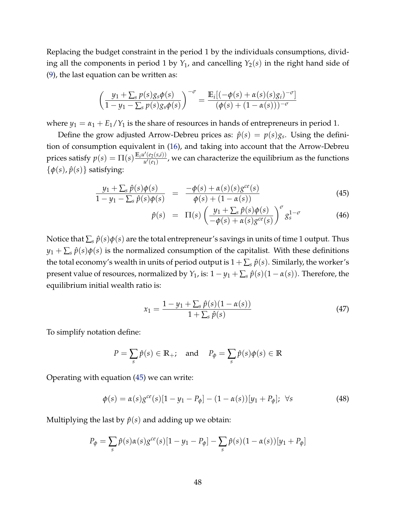Replacing the budget constraint in the period 1 by the individuals consumptions, dividing all the components in period 1 by  $Y_1$ , and cancelling  $Y_2(s)$  in the right hand side of [\(9\)](#page-11-1), the last equation can be written as:

$$
\left(\frac{y_1+\sum_s p(s)g_s\phi(s)}{1-y_1-\sum_s p(s)g_s\phi(s)}\right)^{-\sigma} = \frac{\mathbb{E}_i[(-\phi(s)+\alpha(s)(s)g_i)^{-\sigma}]}{(\phi(s)+(1-\alpha(s)))^{-\sigma}}
$$

where  $y_1 = \alpha_1 + E_1/Y_1$  is the share of resources in hands of entrepreneurs in period 1.

Define the grow adjusted Arrow-Debreu prices as:  $\hat{p}(s) = p(s)g_s$ . Using the definition of consumption equivalent in [\(16\)](#page-14-2), and taking into account that the Arrow-Debreu prices satisfy  $p(s) = \prod_{i=1}^{k} (s) \frac{\mathbb{E}_{i} u'(e_2(s,i))}{u'(e_1)}$  $\frac{u^{\prime}(e_2(s,\mu))}{u^{\prime}(e_1)}$ , we can characterize the equilibrium as the functions  $\{\phi(s), \hat{p}(s)\}\$  satisfying:

<span id="page-49-0"></span>
$$
\frac{y_1 + \sum_{s} \hat{p}(s)\phi(s)}{1 - y_1 - \sum_{s} \hat{p}(s)\phi(s)} = \frac{-\phi(s) + \alpha(s)(s)g^{ce}(s)}{\phi(s) + (1 - \alpha(s))}
$$
(45)

$$
\hat{p}(s) = \Pi(s) \left( \frac{y_1 + \sum_{s} \hat{p}(s) \phi(s)}{-\phi(s) + \alpha(s) g^{ce}(s)} \right)^{\sigma} g_s^{1-\sigma}
$$
\n(46)

Notice that  $\sum_s \hat{p}(s)\phi(s)$  are the total entrepreneur's savings in units of time 1 output. Thus  $y_1 + \sum_s \hat{p}(s)\phi(s)$  is the normalized consumption of the capitalist. With these definitions the total economy's wealth in units of period output is  $1 + \sum_s \hat{p}(s)$ . Similarly, the worker's present value of resources, normalized by *Y*<sub>1</sub>, is:  $1 - y_1 + \sum_s \hat{p}(s)(1 - \alpha(s))$ . Therefore, the equilibrium initial wealth ratio is:

<span id="page-49-2"></span>
$$
x_1 = \frac{1 - y_1 + \sum_{s} \hat{p}(s)(1 - \alpha(s))}{1 + \sum_{s} \hat{p}(s)}
$$
(47)

To simplify notation define:

$$
P = \sum_{s} \hat{p}(s) \in \mathbb{R}_{+}; \quad \text{and} \quad P_{\phi} = \sum_{s} \hat{p}(s)\phi(s) \in \mathbb{R}
$$

Operating with equation [\(45\)](#page-49-0) we can write:

<span id="page-49-1"></span>
$$
\phi(s) = \alpha(s)g^{ce}(s)[1 - y_1 - P_{\phi}] - (1 - \alpha(s))[y_1 + P_{\phi}]; \ \forall s
$$
\n(48)

Multiplying the last by  $\hat{p}(s)$  and adding up we obtain:

$$
P_{\phi} = \sum_{s} \hat{p}(s) \alpha(s) g^{ce}(s) [1 - y_1 - P_{\phi}] - \sum_{s} \hat{p}(s) (1 - \alpha(s)) [y_1 + P_{\phi}]
$$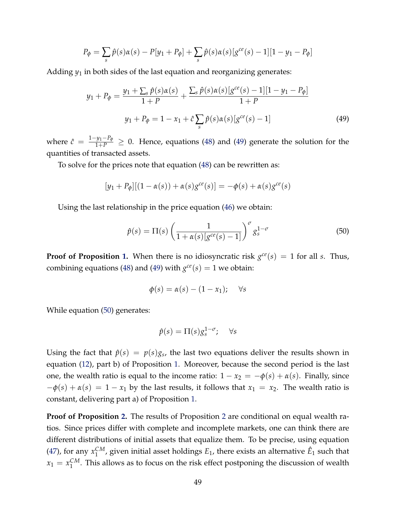$$
P_{\phi} = \sum_{s} \hat{p}(s)\alpha(s) - P[y_1 + P_{\phi}] + \sum_{s} \hat{p}(s)\alpha(s)[g^{ce}(s) - 1][1 - y_1 - P_{\phi}]
$$

Adding *y*<sup>1</sup> in both sides of the last equation and reorganizing generates:

<span id="page-50-0"></span>
$$
y_1 + P_{\phi} = \frac{y_1 + \sum_{s} \hat{p}(s)\alpha(s)}{1 + P} + \frac{\sum_{s} \hat{p}(s)\alpha(s)[g^{ce}(s) - 1][1 - y_1 - P_{\phi}]}{1 + P}
$$
  

$$
y_1 + P_{\phi} = 1 - x_1 + \hat{c} \sum_{s} \hat{p}(s)\alpha(s)[g^{ce}(s) - 1]
$$
 (49)

where  $\hat{c} = \frac{1-y_1-P_\phi}{1+P} \geq 0$ . Hence, equations [\(48\)](#page-49-1) and [\(49\)](#page-50-0) generate the solution for the quantities of transacted assets.

To solve for the prices note that equation [\(48\)](#page-49-1) can be rewritten as:

$$
[y_1 + P_{\phi}][(1 - \alpha(s)) + \alpha(s)g^{ce}(s)] = -\phi(s) + \alpha(s)g^{ce}(s)
$$

Using the last relationship in the price equation [\(46\)](#page-49-0) we obtain:

<span id="page-50-1"></span>
$$
\hat{p}(s) = \Pi(s) \left( \frac{1}{1 + \alpha(s) \left[ g^{ce}(s) - 1 \right]} \right)^{\sigma} g_s^{1 - \sigma} \tag{50}
$$

**Proof of Proposition [1.](#page-12-0)** When there is no idiosyncratic risk  $g^{ce}(s) = 1$  for all *s*. Thus, combining equations [\(48\)](#page-49-1) and [\(49\)](#page-50-0) with  $g^{ce}(s) = 1$  we obtain:

$$
\phi(s) = \alpha(s) - (1 - x_1); \quad \forall s
$$

While equation [\(50\)](#page-50-1) generates:

$$
\hat{p}(s) = \Pi(s) g_s^{1-\sigma}; \quad \forall s
$$

Using the fact that  $\hat{p}(s) = p(s)g_s$ , the last two equations deliver the results shown in equation [\(12\)](#page-12-1), part b) of Proposition [1.](#page-12-0) Moreover, because the second period is the last one, the wealth ratio is equal to the income ratio:  $1 - x_2 = -\phi(s) + \alpha(s)$ . Finally, since  $-\phi(s) + \alpha(s) = 1 - x_1$  by the last results, it follows that  $x_1 = x_2$ . The wealth ratio is constant, delivering part a) of Proposition [1.](#page-12-0)

**Proof of Proposition [2.](#page-15-1)** The results of Proposition [2](#page-15-1) are conditional on equal wealth ratios. Since prices differ with complete and incomplete markets, one can think there are different distributions of initial assets that equalize them. To be precise, using equation [\(47\)](#page-49-2), for any *x CM*  $_1^{CM}$ , given initial asset holdings  $E_1$ , there exists an alternative  $\hat{E}_1$  such that  $x_1 = x_1^{CM}$  $_1^{\text{CM}}$ . This allows as to focus on the risk effect postponing the discussion of wealth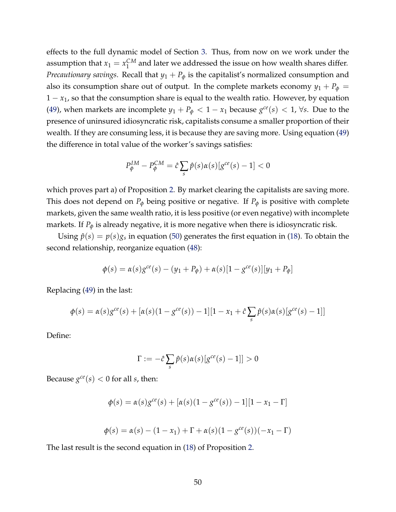effects to the full dynamic model of Section [3.](#page-19-0) Thus, from now on we work under the assumption that  $x_1 = x_1^{CM}$  $_1^{\mathsf{CM}}$  and later we addressed the issue on how wealth shares differ. *Precautionary savings.* Recall that  $y_1 + P_\phi$  is the capitalist's normalized consumption and also its consumption share out of output. In the complete markets economy  $y_1 + P_\phi =$ 1 − *x*1, so that the consumption share is equal to the wealth ratio. However, by equation [\(49\)](#page-50-0), when markets are incomplete  $y_1 + P_\phi < 1 - x_1$  because  $g^{ce}(s) < 1$ ,  $\forall s$ . Due to the presence of uninsured idiosyncratic risk, capitalists consume a smaller proportion of their wealth. If they are consuming less, it is because they are saving more. Using equation [\(49\)](#page-50-0) the difference in total value of the worker's savings satisfies:

$$
P_{\phi}^{IM} - P_{\phi}^{CM} = \hat{c} \sum_{s} \hat{p}(s) \alpha(s) [g^{ce}(s) - 1] < 0
$$

which proves part a) of Proposition [2.](#page-15-1) By market clearing the capitalists are saving more. This does not depend on  $P_{\phi}$  being positive or negative. If  $P_{\phi}$  is positive with complete markets, given the same wealth ratio, it is less positive (or even negative) with incomplete markets. If  $P_{\phi}$  is already negative, it is more negative when there is idiosyncratic risk.

Using  $\hat{p}(s) = p(s)g_s$  in equation [\(50\)](#page-50-1) generates the first equation in [\(18\)](#page-15-0). To obtain the second relationship, reorganize equation [\(48\)](#page-49-1):

$$
\phi(s) = \alpha(s)g^{ce}(s) - (y_1 + P_{\phi}) + \alpha(s)[1 - g^{ce}(s)][y_1 + P_{\phi}]
$$

Replacing [\(49\)](#page-50-0) in the last:

$$
\phi(s) = \alpha(s)g^{ce}(s) + [\alpha(s)(1 - g^{ce}(s)) - 1][1 - x_1 + \hat{c}\sum_{s}\hat{p}(s)\alpha(s)[g^{ce}(s) - 1]]
$$

Define:

$$
\Gamma := -\hat{c} \sum_{s} \hat{p}(s) \alpha(s) [g^{ce}(s) - 1]] > 0
$$

Because  $g^{ce}(s) < 0$  for all *s*, then:

$$
\phi(s) = \alpha(s)g^{ce}(s) + [\alpha(s)(1 - g^{ce}(s)) - 1][1 - x_1 - \Gamma]
$$

$$
\phi(s) = \alpha(s) - (1 - x_1) + \Gamma + \alpha(s)(1 - g^{ce}(s))(-x_1 - \Gamma)
$$

The last result is the second equation in [\(18\)](#page-15-0) of Proposition [2.](#page-15-1)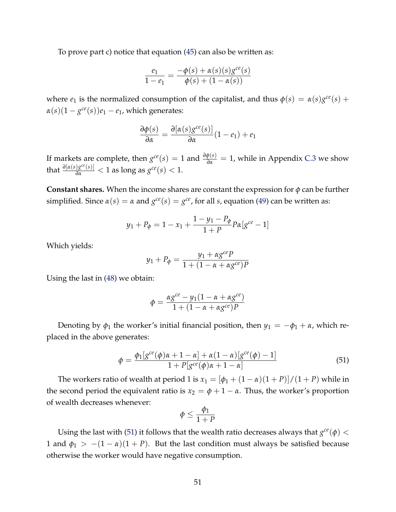To prove part c) notice that equation [\(45\)](#page-49-0) can also be written as:

$$
\frac{e_1}{1 - e_1} = \frac{-\phi(s) + \alpha(s)(s)g^{ce}(s)}{\phi(s) + (1 - \alpha(s))}
$$

where  $e_1$  is the normalized consumption of the capitalist, and thus  $\phi(s) = \alpha(s)g^{ce}(s) +$  $\alpha(s)(1-g^{ce}(s))e_1-e_1$ , which generates:

$$
\frac{\partial \phi(s)}{\partial \alpha} = \frac{\partial [\alpha(s)g^{ce}(s)]}{\partial \alpha}(1 - e_1) + e_1
$$

If markets are complete, then  $g^{ce}(s) = 1$  and  $\frac{\partial \phi(s)}{\partial a} = 1$ , while in Appendix [C.3](#page-53-0) we show that  $\frac{\partial [\alpha(s)g^{ce}(s)]}{\partial \alpha} < 1$  as long as  $g^{ce}(s) < 1$ .

**Constant shares.** When the income shares are constant the expression for *φ* can be further  $\text{simplicial.}\n \text{ Since } \alpha(s) = \alpha \text{ and } g^{ce}(s) = g^{ce}$ , for all *s*, equation [\(49\)](#page-50-0) can be written as:

$$
y_1 + P_{\phi} = 1 - x_1 + \frac{1 - y_1 - P_{\phi}}{1 + P} p_{\alpha} [g^{ce} - 1]
$$

Which yields:

$$
y_1 + P_{\phi} = \frac{y_1 + \alpha g^{ce} P}{1 + (1 - \alpha + \alpha g^{ce})P}
$$

Using the last in [\(48\)](#page-49-1) we obtain:

$$
\phi = \frac{\alpha g^{ce} - y_1(1 - \alpha + \alpha g^{ce})}{1 + (1 - \alpha + \alpha g^{ce})P}
$$

Denoting by  $\phi_1$  the worker's initial financial position, then  $y_1 = -\phi_1 + \alpha$ , which replaced in the above generates:

<span id="page-52-0"></span>
$$
\phi = \frac{\phi_1[g^{ce}(\phi)\alpha + 1 - \alpha] + \alpha(1 - \alpha)[g^{ce}(\phi) - 1]}{1 + P[g^{ce}(\phi)\alpha + 1 - \alpha]}
$$
(51)

The workers ratio of wealth at period 1 is  $x_1 = [\phi_1 + (1 - \alpha)(1 + P)]/(1 + P)$  while in the second period the equivalent ratio is  $x_2 = \phi + 1 - \alpha$ . Thus, the worker's proportion of wealth decreases whenever:

$$
\phi \leq \frac{\phi_1}{1+P}
$$

Using the last with [\(51\)](#page-52-0) it follows that the wealth ratio decreases always that  $g^{ce}(\phi) <$ 1 and  $\phi_1$  >  $-(1 - \alpha)(1 + P)$ . But the last condition must always be satisfied because otherwise the worker would have negative consumption.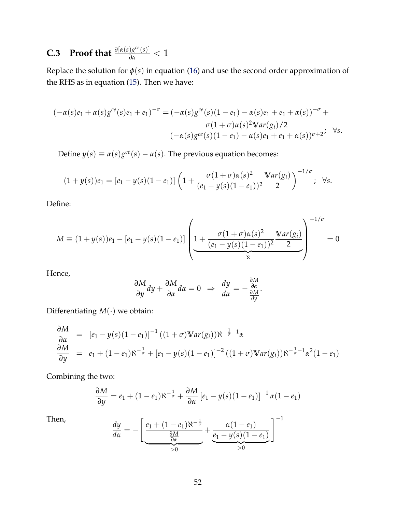# <span id="page-53-0"></span>**C.3** Proof that  $\frac{\partial [a(s)g^{ce}(s)]}{\partial \alpha} < 1$

Replace the solution for  $\phi(s)$  in equation [\(16\)](#page-14-2) and use the second order approximation of the RHS as in equation [\(15\)](#page-14-0). Then we have:

$$
(-\alpha(s)e_1 + \alpha(s)g^{ce}(s)e_1 + e_1)^{-\sigma} = (-\alpha(s)g^{ce}(s)(1 - e_1) - \alpha(s)e_1 + e_1 + \alpha(s))^{-\sigma} + \frac{\sigma(1 + \sigma)\alpha(s)^2 \mathbb{V}ar(g_i)/2}{(-\alpha(s)g^{ce}(s)(1 - e_1) - \alpha(s)e_1 + e_1 + \alpha(s))^{\sigma+2}}, \forall s.
$$

Define  $y(s) \equiv \alpha(s)g^{ce}(s) - \alpha(s)$ . The previous equation becomes:

$$
(1+y(s))e_1=[e_1-y(s)(1-e_1)]\left(1+\frac{\sigma(1+\sigma)\alpha(s)^2}{(e_1-y(s)(1-e_1))^2}\frac{\mathbb{V}ar(g_i)}{2}\right)^{-1/\sigma};\ \ \forall s.
$$

Define:

$$
M \equiv (1 + y(s))e_1 - [e_1 - y(s)(1 - e_1)] \left( 1 + \frac{\sigma(1 + \sigma)\alpha(s)^2}{(e_1 - y(s)(1 - e_1))^2} \frac{\text{Var}(g_i)}{2} \right)^{-1/\sigma} = 0
$$

Hence,

$$
\frac{\partial M}{\partial y}dy + \frac{\partial M}{\partial \alpha}d\alpha = 0 \Rightarrow \frac{dy}{d\alpha} = -\frac{\frac{\partial M}{\partial \alpha}}{\frac{\partial M}{\partial y}}.
$$

Differentiating  $M(\cdot)$  we obtain:

$$
\frac{\partial M}{\partial \alpha} = [e_1 - y(s)(1 - e_1)]^{-1} ((1 + \sigma) \mathbb{V}ar(g_i)) \aleph^{-\frac{1}{\sigma} - 1} \alpha
$$
  
\n
$$
\frac{\partial M}{\partial y} = e_1 + (1 - e_1) \aleph^{-\frac{1}{\sigma}} + [e_1 - y(s)(1 - e_1)]^{-2} ((1 + \sigma) \mathbb{V}ar(g_i)) \aleph^{-\frac{1}{\sigma} - 1} \alpha^2 (1 - e_1)
$$

Combining the two:

$$
\frac{\partial M}{\partial y} = e_1 + (1 - e_1) \aleph^{-\frac{1}{\sigma}} + \frac{\partial M}{\partial \alpha} \left[ e_1 - y(s)(1 - e_1) \right]^{-1} \alpha (1 - e_1)
$$

Then, *dy*

$$
\frac{dy}{d\alpha} = -\left[\underbrace{\frac{e_1 + (1 - e_1)\aleph^{-\frac{1}{\sigma}}}{\frac{\partial M}{\partial \alpha}}}_{>0} + \underbrace{\frac{\alpha(1 - e_1)}{e_1 - y(s)(1 - e_1)}}_{>0}\right]^{-1}
$$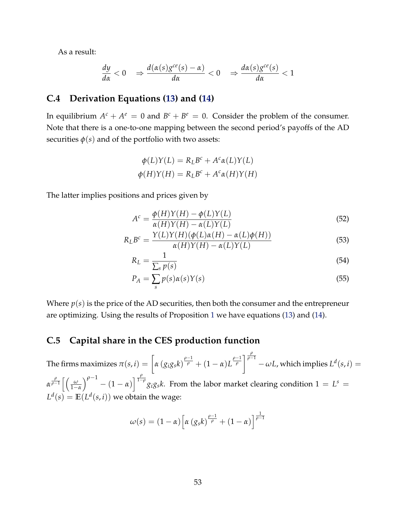As a result:

$$
\frac{dy}{d\alpha} < 0 \quad \Rightarrow \frac{d(\alpha(s)g^{ce}(s) - \alpha)}{d\alpha} < 0 \quad \Rightarrow \frac{d\alpha(s)g^{ce}(s)}{d\alpha} < 1
$$

#### <span id="page-54-0"></span>**C.4 Derivation Equations [\(13\)](#page-13-0) and [\(14\)](#page-13-1)**

In equilibrium  $A^c + A^e = 0$  and  $B^c + B^e = 0$ . Consider the problem of the consumer. Note that there is a one-to-one mapping between the second period's payoffs of the AD securities  $\phi(s)$  and of the portfolio with two assets:

$$
\phi(L)Y(L) = R_L B^c + A^c \alpha(L) Y(L)
$$

$$
\phi(H)Y(H) = R_L B^c + A^c \alpha(H) Y(H)
$$

The latter implies positions and prices given by

$$
Ac = \frac{\phi(H)Y(H) - \phi(L)Y(L)}{\alpha(H)Y(H) - \alpha(L)Y(L)}
$$
\n(52)

$$
R_L B^c = \frac{Y(L)Y(H)(\phi(L)\alpha(H) - \alpha(L)\phi(H))}{\alpha(H)Y(H) - \alpha(L)Y(L)}
$$
\n(53)

$$
R_L = \frac{1}{\sum_s p(s)}\tag{54}
$$

$$
P_A = \sum_{s} p(s)\alpha(s)Y(s) \tag{55}
$$

Where  $p(s)$  is the price of the AD securities, then both the consumer and the entrepreneur are optimizing. Using the results of Proposition [1](#page-12-0) we have equations [\(13\)](#page-13-0) and [\(14\)](#page-13-1).

#### **C.5 Capital share in the CES production function**

The firms maximizes  $\pi(s,i)=\left[\alpha\left(g_ig_sk\right)^{\frac{\rho-1}{\rho}}+(1-\alpha)L^{\frac{\rho-1}{\rho}}\right]^{\frac{\rho}{\rho-1}}-\omega L$ , which implies  $L^d(s,i)=0$  $\alpha^{\frac{\rho}{\rho-1}}\left[\frac{\omega}{1-\omega}\right]$ 1−*α*  $\int_{0}^{\rho-1}$  –  $(1-\alpha)\Big|^{\frac{\rho}{1-\rho}}$ *g<sub>i</sub>g<sub>s</sub>k*. From the labor market clearing condition 1 = *L*<sup>*s*</sup> =  $L^d(s) = \mathbb{E}(L^d(s, i))$  we obtain the wage:

$$
\omega(s) = (1 - \alpha) \left[ \alpha \left( g_s k \right)^{\frac{\rho - 1}{\rho}} + (1 - \alpha) \right]^{\frac{1}{\rho - 1}}
$$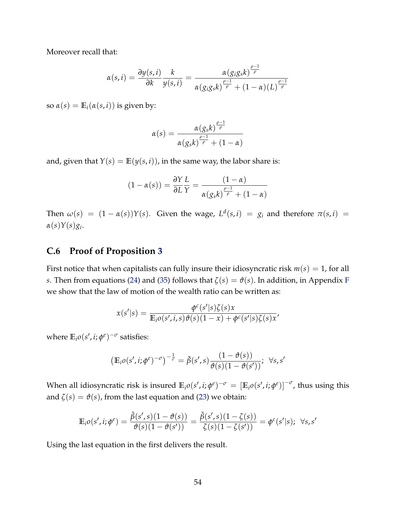Moreover recall that:

$$
\alpha(s,i) = \frac{\partial y(s,i)}{\partial k} \frac{k}{y(s,i)} = \frac{\alpha(g_i g_s k)^{\frac{\rho-1}{\rho}}}{\alpha(g_i g_s k)^{\frac{\rho-1}{\rho}} + (1-\alpha)(L)^{\frac{\rho-1}{\rho}}}
$$

so  $\alpha(s) = \mathbb{E}_i(\alpha(s, i))$  is given by:

$$
\alpha(s) = \frac{\alpha(g_s k)^{\frac{\rho-1}{\rho}}}{\alpha(g_s k)^{\frac{\rho-1}{\rho}} + (1-\alpha)}
$$

and, given that  $Y(s) = \mathbb{E}(y(s, i))$ , in the same way, the labor share is:

$$
(1 - \alpha(s)) = \frac{\partial Y}{\partial L} \frac{L}{Y} = \frac{(1 - \alpha)}{\alpha (g_s k)^{\frac{\rho - 1}{\rho}} + (1 - \alpha)}
$$

Then  $\omega(s) = (1 - \alpha(s))Y(s)$ . Given the wage,  $L^d(s, i) = g_i$  and therefore  $\pi(s, i) =$ *α*(*s*)*Y*(*s*)*g<sup>i</sup>* .

#### <span id="page-55-0"></span>**C.6 Proof of Proposition [3](#page-26-0)**

First notice that when capitalists can fully insure their idiosyncratic risk  $m(s) = 1$ , for all *s*. Then from equations [\(24\)](#page-20-2) and [\(35\)](#page-24-1) follows that  $\zeta(s) = \vartheta(s)$ . In addition, in Appendix [F](#page--1-1) we show that the law of motion of the wealth ratio can be written as:

$$
x(s'|s) = \frac{\phi^c(s'|s)\zeta(s)x}{\mathbb{E}_i o(s',i,s)\vartheta(s)(1-x) + \phi^c(s'|s)\zeta(s)x'}
$$

where  $\mathbb{E}_i o(s', i; \phi^e)^{-\sigma}$  satisfies:

$$
\left(\mathbb{E}_{i}\rho(s',i;\phi^e)^{-\sigma}\right)^{-\frac{1}{\sigma}}=\tilde{\beta}(s',s)\frac{(1-\vartheta(s))}{\vartheta(s)(1-\vartheta(s'))};\ \ \forall s,s'
$$

When all idiosyncratic risk is insured  $\mathbb{E}_i o(s',i;\phi^\varrho)^{-\sigma}=\left[\mathbb{E}_i o(s',i;\phi^\varrho)\right]^{-\sigma}$ , thus using this and  $\zeta(s) = \vartheta(s)$ , from the last equation and [\(23\)](#page-20-1) we obtain:

$$
\mathbb{E}_{i}o(s', i; \phi^{e}) = \frac{\tilde{\beta}(s', s)(1 - \vartheta(s))}{\vartheta(s)(1 - \vartheta(s'))} = \frac{\tilde{\beta}(s', s)(1 - \zeta(s))}{\zeta(s)(1 - \zeta(s'))} = \phi^{c}(s'|s); \ \forall s, s'
$$

Using the last equation in the first delivers the result.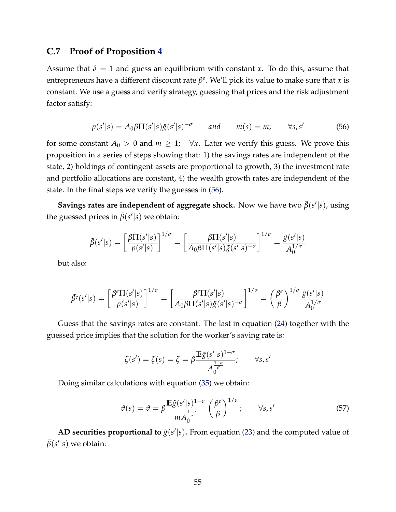#### <span id="page-56-0"></span>**C.7 Proof of Proposition [4](#page-28-0)**

Assume that  $\delta = 1$  and guess an equilibrium with constant *x*. To do this, assume that entrepreneurs have a different discount rate *β e* . We'll pick its value to make sure that *x* is constant. We use a guess and verify strategy, guessing that prices and the risk adjustment factor satisfy:

<span id="page-56-1"></span>
$$
p(s'|s) = A_0 \beta \Pi(s'|s) \tilde{g}(s'|s)^{-\sigma} \qquad \text{and} \qquad m(s) = m; \qquad \forall s, s' \tag{56}
$$

for some constant  $A_0 > 0$  and  $m \geq 1$ ;  $\forall x$ . Later we verify this guess. We prove this proposition in a series of steps showing that: 1) the savings rates are independent of the state, 2) holdings of contingent assets are proportional to growth, 3) the investment rate and portfolio allocations are constant, 4) the wealth growth rates are independent of the state. In the final steps we verify the guesses in [\(56\)](#page-56-1).

**Savings rates are independent of aggregate shock.** Now we have two  $\tilde{\beta}(s'|s)$ , using the guessed prices in  $\tilde{\beta}(s'|s)$  we obtain:

$$
\tilde{\beta}(s'|s) = \left[\frac{\beta \Pi(s'|s)}{p(s'|s)}\right]^{1/\sigma} = \left[\frac{\beta \Pi(s'|s)}{A_0 \beta \Pi(s'|s) \tilde{g}(s'|s)^{-\sigma}}\right]^{1/\sigma} = \frac{\tilde{g}(s'|s)}{A_0^{1/\sigma}}
$$

but also:

$$
\tilde{\beta}^e(s'|s) = \left[\frac{\beta^e \Pi(s'|s)}{p(s'|s)}\right]^{1/\sigma} = \left[\frac{\beta^e \Pi(s'|s)}{A_0 \beta \Pi(s'|s) \tilde{g}(s'|s)^{-\sigma}}\right]^{1/\sigma} = \left(\frac{\beta^e}{\beta}\right)^{1/\sigma} \frac{\tilde{g}(s'|s)}{A_0^{1/\sigma}}
$$

Guess that the savings rates are constant. The last in equation [\(24\)](#page-20-2) together with the guessed price implies that the solution for the worker's saving rate is:

$$
\zeta(s') = \zeta(s) = \zeta = \beta \frac{\mathbb{E}\tilde{g}(s'|s)^{1-\sigma}}{A_0^{\frac{1-\sigma}{\sigma}}}; \qquad \forall s, s'
$$

Doing similar calculations with equation [\(35\)](#page-24-1) we obtain:

<span id="page-56-2"></span>
$$
\vartheta(s) = \vartheta = \beta \frac{\mathbb{E}\tilde{g}(s'|s)^{1-\sigma}}{m A_0^{\frac{1-\sigma}{\sigma}}} \left(\frac{\beta^e}{\beta}\right)^{1/\sigma}; \qquad \forall s, s'
$$
\n(57)

**AD securities proportional to**  $\tilde{g}(s'|s)$ . From equation [\(23\)](#page-20-1) and the computed value of  $\tilde{\beta}(s'|s)$  we obtain: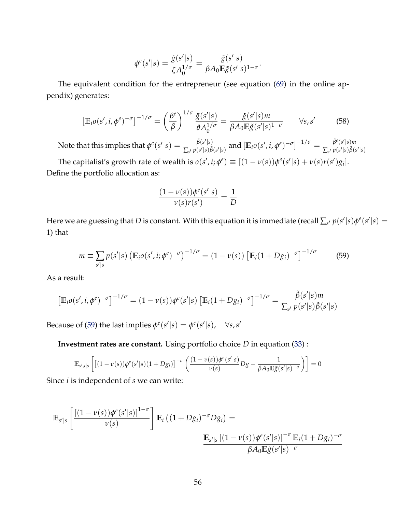$$
\phi^c(s'|s) = \frac{\tilde{g}(s'|s)}{\zeta A_0^{1/\sigma}} = \frac{\tilde{g}(s'|s)}{\beta A_0 \mathbb{E}\tilde{g}(s'|s)^{1-\sigma}}.
$$

The equivalent condition for the entrepreneur (see equation [\(69\)](#page--1-5) in the online appendix) generates:

$$
\left[\mathbb{E}_{i}o(s',i,\phi^e)^{-\sigma}\right]^{-1/\sigma} = \left(\frac{\beta^e}{\beta}\right)^{1/\sigma} \frac{\tilde{g}(s'|s)}{\vartheta A_0^{1/\sigma}} = \frac{\tilde{g}(s'|s)m}{\beta A_0 \mathbb{E}\tilde{g}(s'|s)^{1-\sigma}} \qquad \forall s, s' \tag{58}
$$

Note that this implies that  $\phi^c(s'|s) = \frac{\tilde{\beta}(s'|s)}{\sum_{s'} p(s'|s) \tilde{\beta}}$  $\frac{\tilde{\beta}(s'|s)}{\sum_{s'} p(s'|s)\tilde{\beta}(s'|s)}$  and  $\left[\mathbb{E}_{i}o(s',i,\phi^{e})^{-\sigma}\right]^{-1/\sigma} = \frac{\tilde{\beta}^{e}(s'|s)m}{\sum_{s'} p(s'|s)\tilde{\beta}(s')}$  $\sum_{s'} p(s'|s) \tilde{\beta}(s'|s)$ The capitalist's growth rate of wealth is  $o(s', i; \phi^e) \equiv [(1 - v(s))\phi^e(s'|s) + v(s)r(s')g_i].$ Define the portfolio allocation as:

$$
\frac{(1-\nu(s))\phi^e(s'|s)}{\nu(s)r(s')}=\frac{1}{D}
$$

Here we are guessing that  $D$  is constant. With this equation it is immediate (recall  $\sum_{s'} p(s'|s) \phi^e(s'|s) =$ 1) that

<span id="page-57-0"></span>
$$
m \equiv \sum_{s'|s} p(s'|s) \left( \mathbb{E}_{i} o(s', i; \phi^e)^{-\sigma} \right)^{-1/\sigma} = (1 - \nu(s)) \left[ \mathbb{E}_{i} (1 + D g_i)^{-\sigma} \right]^{-1/\sigma}
$$
(59)

As a result:

$$
\left[\mathbb{E}_{i}o(s',i,\phi^e)^{-\sigma}\right]^{-1/\sigma} = (1-\nu(s))\phi^e(s'|s)\left[\mathbb{E}_{i}(1+Dg_i)^{-\sigma}\right]^{-1/\sigma} = \frac{\tilde{\beta}(s'|s)m}{\sum_{s'}p(s'|s)\tilde{\beta}(s'|s)}
$$

Because of [\(59\)](#page-57-0) the last implies  $\phi^e(s'|s) = \phi^c(s'|s)$ ,  $\forall s, s'$ 

**Investment rates are constant.** Using portfolio choice *D* in equation [\(33\)](#page-23-4) :

$$
\mathbb{E}_{s',i|s}\left[\left[(1-\nu(s))\phi^e(s'|s)(1+Dg_i)\right]^{-\sigma}\left(\frac{(1-\nu(s))\phi^e(s'|s)}{\nu(s)}Dg-\frac{1}{\beta A_0\mathbb{E}\tilde{g}(s'|s)^{-\sigma}}\right)\right]=0
$$

Since *i* is independent of *s* we can write:

$$
\mathbb{E}_{s'|s} \left[ \frac{\left[ (1 - \nu(s)) \phi^e(s'|s) \right]^{1-\sigma}}{\nu(s)} \right] \mathbb{E}_i \left( (1 + D g_i)^{-\sigma} D g_i \right) =
$$
\n
$$
\frac{\mathbb{E}_{s'|s} \left[ (1 - \nu(s)) \phi^e(s'|s) \right]^{-\sigma} \mathbb{E}_i (1 + D g_i)^{-\sigma}}{\beta A_0 \mathbb{E} \tilde{g}(s'|s)^{-\sigma}}
$$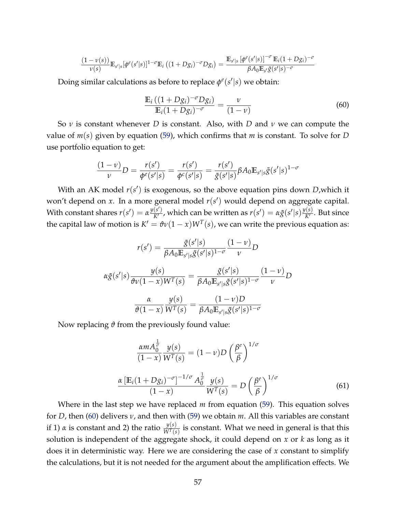$$
\frac{(1-\nu(s))}{\nu(s)}\mathbb{E}_{s'|s}[\phi^e(s'|s)]^{1-\sigma}\mathbb{E}_i\left((1+Dg_i)^{-\sigma}Dg_i\right)=\frac{\mathbb{E}_{s'|s}[\phi^e(s'|s)]^{-\sigma}\mathbb{E}_i(1+Dg_i)^{-\sigma}}{\beta A_0\mathbb{E}_{s'}\tilde{g}(s'|s)^{-\sigma}}
$$

Doing similar calculations as before to replace  $\phi^e(s'|s)$  we obtain:

<span id="page-58-0"></span>
$$
\frac{\mathbb{E}_{i}((1+Dg_{i})^{-\sigma}Dg_{i})}{\mathbb{E}_{i}(1+Dg_{i})^{-\sigma}} = \frac{\nu}{(1-\nu)}
$$
(60)

So *ν* is constant whenever *D* is constant. Also, with *D* and *ν* we can compute the value of *m*(*s*) given by equation [\(59\)](#page-57-0), which confirms that *m* is constant. To solve for *D* use portfolio equation to get:

$$
\frac{(1-\nu)}{\nu}D = \frac{r(s')}{\phi^e(s'|s)} = \frac{r(s')}{\phi^c(s'|s)} = \frac{r(s')}{\tilde{g}(s'|s)}\beta A_0 \mathbb{E}_{s'|s}\tilde{g}(s'|s)^{1-\sigma}
$$

With an AK model  $r(s')$  is exogenous, so the above equation pins down *D*, which it won't depend on  $x$ . In a more general model  $r(s')$  would depend on aggregate capital. With constant shares  $r(s') = \alpha \frac{y(s')}{K'}$  $\frac{f(s')}{K'}$ , which can be written as  $r(s') = \alpha \tilde{g}(s'|s) \frac{y(s)}{K'}$  $\frac{N(S)}{K'}$ . But since the capital law of motion is  $K' = \vartheta v(1-x)W^T(s)$ , we can write the previous equation as:

$$
r(s') = \frac{\tilde{g}(s'|s)}{\beta A_0 \mathbb{E}_{s'|s} \tilde{g}(s'|s)^{1-\sigma}} \frac{(1-\nu)}{\nu} D
$$

$$
\alpha \tilde{g}(s'|s) \frac{y(s)}{\vartheta \nu (1-x) W^T(s)} = \frac{\tilde{g}(s'|s)}{\beta A_0 \mathbb{E}_{s'|s} \tilde{g}(s'|s)^{1-\sigma}} \frac{(1-\nu)}{\nu} D
$$

$$
\frac{\alpha}{\vartheta (1-x)} \frac{y(s)}{W^T(s)} = \frac{(1-\nu)D}{\beta A_0 \mathbb{E}_{s'|s} \tilde{g}(s'|s)^{1-\sigma}}
$$

Now replacing *ϑ* from the previously found value:

<span id="page-58-1"></span>
$$
\frac{\alpha m A_0^{\frac{1}{\sigma}}}{(1-x)} \frac{y(s)}{W^T(s)} = (1-v)D\left(\frac{\beta^e}{\beta}\right)^{1/\sigma}
$$

$$
\frac{\alpha \left[\mathbb{E}_i(1+Dg_i)^{-\sigma}\right]^{-1/\sigma} A_0^{\frac{1}{\sigma}}}{(1-x)} \frac{y(s)}{W^T(s)} = D\left(\frac{\beta^e}{\beta}\right)^{1/\sigma} \tag{61}
$$

Where in the last step we have replaced *m* from equation [\(59\)](#page-57-0). This equation solves for *D*, then [\(60\)](#page-58-0) delivers *ν*, and then with [\(59\)](#page-57-0) we obtain *m*. All this variables are constant if 1)  $\alpha$  is constant and 2) the ratio  $\frac{y(s)}{W^T(s)}$  is constant. What we need in general is that this solution is independent of the aggregate shock, it could depend on *x* or *k* as long as it does it in deterministic way. Here we are considering the case of *x* constant to simplify the calculations, but it is not needed for the argument about the amplification effects. We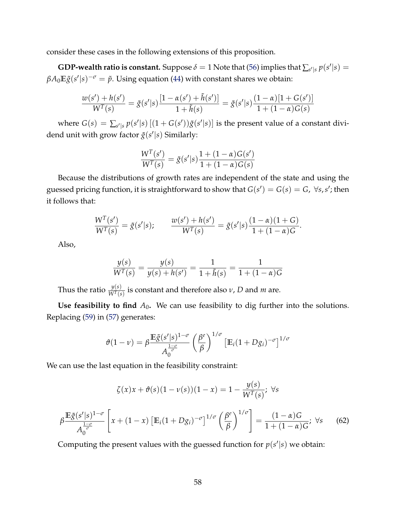consider these cases in the following extensions of this proposition.

**GDP-wealth ratio is constant.** Suppose  $\delta = 1$  Note that [\(56\)](#page-56-1) implies that  $\sum_{s'|s} p(s'|s) =$  $\beta A_0 \mathbb{E} \tilde{g}(s'|s)^{-\sigma} = \tilde{p}$ . Using equation [\(44\)](#page-27-0) with constant shares we obtain:

$$
\frac{w(s')+h(s')}{W^T(s)}=\tilde{g}(s'|s)\frac{[1-\alpha(s')+\tilde{h}(s')]}{1+\tilde{h}(s)}=\tilde{g}(s'|s)\frac{(1-\alpha)[1+G(s')]}{1+(1-\alpha)G(s)}
$$

where  $G(s) = \sum_{s'|s} p(s'|s) [(1 + G(s'))\tilde{g}(s'|s)]$  is the present value of a constant dividend unit with grow factor  $\tilde{g}(s'|s)$  Similarly:

$$
\frac{W^{T}(s')}{W^{T}(s)} = \tilde{g}(s'|s)\frac{1 + (1 - \alpha)G(s')}{1 + (1 - \alpha)G(s)}
$$

Because the distributions of growth rates are independent of the state and using the guessed pricing function, it is straightforward to show that  $G(s') = G(s) = G$ ,  $\forall s, s'$ ; then it follows that:

$$
\frac{W^{T}(s')}{W^{T}(s)} = \tilde{g}(s'|s); \qquad \frac{w(s') + h(s')}{W^{T}(s)} = \tilde{g}(s'|s)\frac{(1-\alpha)(1+G)}{1+(1-\alpha)G}.
$$

Also,

<span id="page-59-0"></span>*β*

$$
\frac{y(s)}{W^{T}(s)} = \frac{y(s)}{y(s) + h(s')} = \frac{1}{1 + \tilde{h}(s)} = \frac{1}{1 + (1 - \alpha)G}
$$

Thus the ratio  $\frac{y(s)}{W^T(s)}$  is constant and therefore also *ν*, *D* and *m* are.

**Use feasibility to find**  $A_0$ . We can use feasibility to dig further into the solutions. Replacing [\(59\)](#page-57-0) in [\(57\)](#page-56-2) generates:

$$
\vartheta(1-\nu) = \beta \frac{\mathbb{E}\tilde{g}(s'|s)^{1-\sigma}}{A_0^{\frac{1-\sigma}{\sigma}}} \left(\frac{\beta^e}{\beta}\right)^{1/\sigma} \left[\mathbb{E}_i(1+Dg_i)^{-\sigma}\right]^{1/\sigma}
$$

We can use the last equation in the feasibility constraint:

$$
\zeta(x)x + \vartheta(s)(1 - \nu(s))(1 - x) = 1 - \frac{y(s)}{W^T(s)}; \ \forall s
$$
  

$$
\frac{\mathbb{E}\tilde{g}(s'|s)^{1-\sigma}}{A_0^{\frac{1-\sigma}{\sigma}}} \left[ x + (1-x) \left[ \mathbb{E}_i (1 + Dg_i)^{-\sigma} \right]^{1/\sigma} \left( \frac{\beta^e}{\beta} \right)^{1/\sigma} \right] = \frac{(1-\alpha)G}{1 + (1-\alpha)G}; \ \forall s \qquad (62)
$$

Computing the present values with the guessed function for  $p(s'|s)$  we obtain: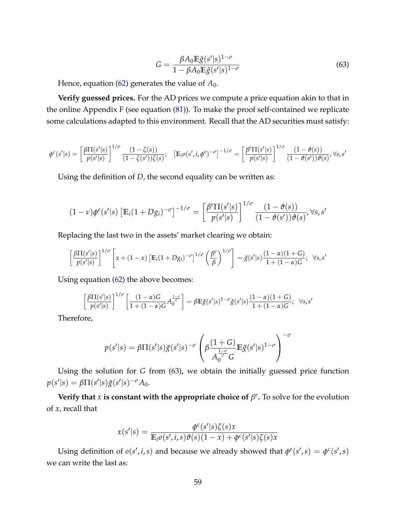<span id="page-60-0"></span>
$$
G = \frac{\beta A_0 \mathbb{E}\tilde{g}(s'|s)^{1-\sigma}}{1 - \beta A_0 \mathbb{E}\tilde{g}(s'|s)^{1-\sigma}}
$$
(63)

Hence, equation [\(62\)](#page-59-0) generates the value of  $A_0$ .

**Verify guessed prices.** For the AD prices we compute a price equation akin to that in the online Appendix [F](#page--1-1) (see equation [\(81\)](#page--1-2)). To make the proof self-contained we replicate some calculations adapted to this environment. Recall that the AD securities must satisfy:

$$
\phi^c(s'|s) = \left[\frac{\beta\Pi(s'|s)}{p(s'|s)}\right]^{1/\sigma} \frac{(1-\zeta(s))}{(1-\zeta(s'))\zeta(s)}; \quad \left[\mathbb{E}_i o(s',i,\phi^e)^{-\sigma}\right]^{-1/\sigma} = \left[\frac{\beta^e \Pi(s'|s)}{p(s'|s)}\right]^{1/\sigma} \frac{(1-\vartheta(s))}{(1-\vartheta(s'))\vartheta(s)}, \forall s, s'
$$

Using the definition of *D*, the second equality can be written as:

$$
(1-\nu)\phi^{e}(s'|s)\left[\mathbb{E}_{i}(1+Dg_{i})^{-\sigma}\right]^{-1/\sigma}=\left[\frac{\beta^{e}\Pi(s'|s)}{p(s'|s)}\right]^{1/\sigma}\frac{(1-\vartheta(s))}{(1-\vartheta(s'))\vartheta(s)},\forall s,s'
$$

Replacing the last two in the assets' market clearing we obtain:

$$
\left[\frac{\beta\Pi(s'|s)}{p(s'|s)}\right]^{1/\sigma}\left[x+(1-x)\left[\mathbb{E}_i(1+Dg_i)^{-\sigma}\right]^{1/\sigma}\left(\frac{\beta^e}{\beta}\right)^{1/\sigma}\right] = \tilde{g}(s'|s)\frac{(1-\alpha)(1+G)}{1+(1-\alpha)G};\ \ \forall s,s'
$$

Using equation [\(62\)](#page-59-0) the above becomes:

$$
\left[\frac{\beta\Pi(s'|s)}{p(s'|s)}\right]^{1/\sigma}\left[\frac{(1-\alpha)G}{1+(1-\alpha)G}A_0^{\frac{1-\sigma}{\sigma}}\right] = \beta\mathbb{E}\tilde{g}(s'|s)^{1-\sigma}\tilde{g}(s'|s)\frac{(1-\alpha)(1+G)}{1+(1-\alpha)G};\ \ \forall s,s'
$$

Therefore,

$$
p(s'|s) = \beta \Pi(s'|s) \tilde{g}(s'|s)^{-\sigma} \left( \beta \frac{(1+G)}{A_0^{\frac{1-\sigma}{\sigma}} G} \mathbb{E} \tilde{g}(s'|s)^{1-\sigma} \right)^{-\sigma}
$$

Using the solution for *G* from [\(63\)](#page-60-0), we obtain the initially guessed price function  $p(s'|s) = \beta \Pi(s'|s) \tilde{g}(s'|s)^{-\sigma} A_0.$ 

**Verify that** *x* is constant with the appropriate choice of  $\beta^e$ . To solve for the evolution of *x*, recall that

$$
x(s'|s) = \frac{\phi^c(s'|s)\zeta(s)x}{\mathbb{E}_i o(s',i,s)\vartheta(s)(1-x) + \phi^c(s'|s)\zeta(s)x}
$$

Using definition of  $o(s', i, s)$  and because we already showed that  $\phi^e(s', s) = \phi^c(s', s)$ we can write the last as: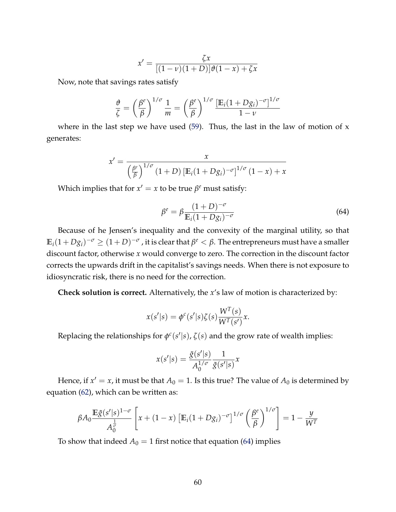$$
x' = \frac{\zeta x}{[(1-\nu)(1+D)]\vartheta(1-x) + \zeta x}
$$

Now, note that savings rates satisfy

$$
\frac{\vartheta}{\zeta} = \left(\frac{\beta^e}{\beta}\right)^{1/\sigma} \frac{1}{m} = \left(\frac{\beta^e}{\beta}\right)^{1/\sigma} \frac{\left[\mathbb{E}_i(1+Dg_i)^{-\sigma}\right]^{1/\sigma}}{1-\nu}
$$

where in the last step we have used  $(59)$ . Thus, the last in the law of motion of x generates:

$$
x' = \frac{x}{\left(\frac{\beta^e}{\beta}\right)^{1/\sigma} (1+D) \left[\mathbb{E}_i(1+D g_i)^{-\sigma}\right]^{1/\sigma} (1-x) + x}
$$

Which implies that for  $x' = x$  to be true  $\beta^e$  must satisfy:

<span id="page-61-0"></span>
$$
\beta^{e} = \beta \frac{(1+D)^{-\sigma}}{\mathbb{E}_{i}(1+Dg_{i})^{-\sigma}}
$$
\n(64)

Because of he Jensen's inequality and the convexity of the marginal utility, so that  $\mathbb{E}_i(1+Dg_i)^{-\sigma} \geq (1+D)^{-\sigma}$  , it is clear that  $\beta^e < \beta.$  The entrepreneurs must have a smaller discount factor, otherwise *x* would converge to zero. The correction in the discount factor corrects the upwards drift in the capitalist's savings needs. When there is not exposure to idiosyncratic risk, there is no need for the correction.

**Check solution is correct.** Alternatively, the *x*'s law of motion is characterized by:

$$
x(s'|s) = \phi^c(s'|s)\zeta(s)\frac{W^T(s)}{W^T(s')}x.
$$

Replacing the relationships for  $\phi^c(s'|s)$ ,  $\zeta(s)$  and the grow rate of wealth implies:

$$
x(s'|s) = \frac{\tilde{g}(s'|s)}{A_0^{1/\sigma}} \frac{1}{\tilde{g}(s'|s)} x
$$

Hence, if  $x' = x$ , it must be that  $A_0 = 1$ . Is this true? The value of  $A_0$  is determined by equation [\(62\)](#page-59-0), which can be written as:

$$
\beta A_0 \frac{\mathbb{E}\tilde{g}(s'|s)^{1-\sigma}}{A_0^{\frac{1}{\sigma}}} \left[ x + (1-x) \left[ \mathbb{E}_i (1+D g_i)^{-\sigma} \right]^{1/\sigma} \left( \frac{\beta^e}{\beta} \right)^{1/\sigma} \right] = 1 - \frac{y}{W^T}
$$

To show that indeed  $A_0 = 1$  first notice that equation [\(64\)](#page-61-0) implies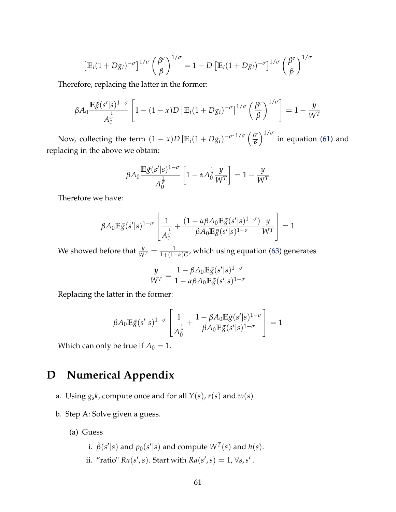$$
\left[\mathbb{E}_{i}(1+Dg_{i})^{-\sigma}\right]^{1/\sigma}\left(\frac{\beta^{e}}{\beta}\right)^{1/\sigma}=1-D\left[\mathbb{E}_{i}(1+Dg_{i})^{-\sigma}\right]^{1/\sigma}\left(\frac{\beta^{e}}{\beta}\right)^{1/\sigma}
$$

Therefore, replacing the latter in the former:

$$
\beta A_0 \frac{\mathbb{E}\tilde{g}(s'|s)^{1-\sigma}}{A_0^{\frac{1}{\sigma}}} \left[1 - (1-x)D\left[\mathbb{E}_i(1+D g_i)^{-\sigma}\right]^{1/\sigma}\left(\frac{\beta^e}{\beta}\right)^{1/\sigma}\right] = 1 - \frac{y}{W^T}
$$

Now, collecting the term  $(1 - x)D \left[\mathbb{E}_i(1 + D g_i)^{-\sigma}\right]^{1/\sigma} \left(\frac{\beta^e}{\beta}\right)$ *β*  $\int^{1/\sigma}$  in equation [\(61\)](#page-58-1) and replacing in the above we obtain:

$$
\beta A_0 \frac{\mathbb{E}\tilde{g}(s'|s)^{1-\sigma}}{A_0^{\frac{1}{\sigma}}} \left[1 - \alpha A_0^{\frac{1}{\sigma}} \frac{y}{W^T}\right] = 1 - \frac{y}{W^T}
$$

Therefore we have:

$$
\beta A_0 \mathbb{E} \tilde{g}(s'|s)^{1-\sigma} \left[ \frac{1}{A_0^{\frac{1}{\sigma}}} + \frac{(1-\alpha \beta A_0 \mathbb{E} \tilde{g}(s'|s)^{1-\sigma})}{\beta A_0 \mathbb{E} \tilde{g}(s'|s)^{1-\sigma}} \frac{y}{W^T} \right] = 1
$$

We showed before that  $\frac{y}{W^T} = \frac{1}{1 + (1 - \alpha)G}$ , which using equation [\(63\)](#page-60-0) generates

$$
\frac{y}{W^T} = \frac{1 - \beta A_0 \mathbb{E}\tilde{g}(s'|s)^{1-\sigma}}{1 - \alpha \beta A_0 \mathbb{E}\tilde{g}(s'|s)^{1-\sigma}}
$$

Replacing the latter in the former:

$$
\beta A_0 \mathbb{E} \tilde{g}(s'|s)^{1-\sigma} \left[ \frac{1}{A_0^{\frac{1}{\sigma}}} + \frac{1 - \beta A_0 \mathbb{E} \tilde{g}(s'|s)^{1-\sigma}}{\beta A_0 \mathbb{E} \tilde{g}(s'|s)^{1-\sigma}} \right] = 1
$$

Which can only be true if  $A_0 = 1$ .

# **D Numerical Appendix**

- a. Using  $g_s k$ , compute once and for all  $Y(s)$ ,  $r(s)$  and  $w(s)$
- b. Step A: Solve given a guess.
	- (a) Guess
		- i.  $\tilde{\beta}(s'|s)$  and  $p_0(s'|s)$  and compute  $W^T(s)$  and  $h(s)$ .
		- ii. "ratio"  $Ra(s', s)$ . Start with  $Ra(s', s) = 1$ ,  $\forall s, s'$ .